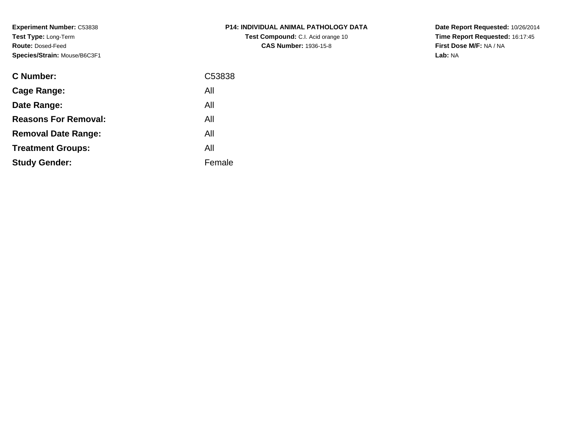**Experiment Number:** C53838**Test Type:** Long-Term**Route:** Dosed-Feed**Species/Stra** 

**Study Gender:**

| <b>Species/Strain: Mouse/B6C3F1</b> |        |  |  |  |
|-------------------------------------|--------|--|--|--|
| <b>C</b> Number:                    | C53838 |  |  |  |
| Cage Range:                         | All    |  |  |  |
| Date Range:                         | All    |  |  |  |
| <b>Reasons For Removal:</b>         | All    |  |  |  |
| <b>Removal Date Range:</b>          | All    |  |  |  |

Female

**Treatment Groups:**All

# **P14: INDIVIDUAL ANIMAL PATHOLOGY DATATest Compound:** C.I. Acid orange 10**CAS Number:** 1936-15-8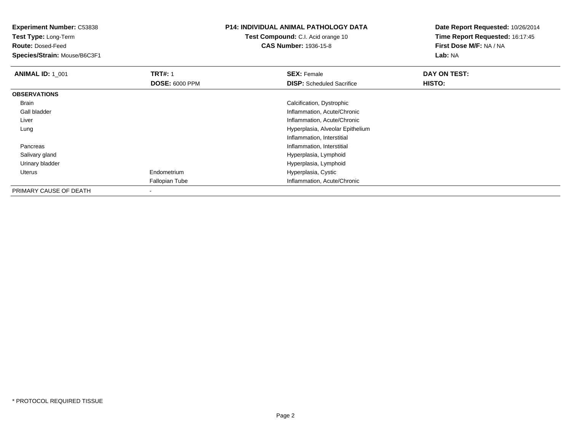**Experiment Number:** C53838**Test Type:** Long-Term

**Route:** Dosed-Feed

**Species/Strain:** Mouse/B6C3F1

# **P14: INDIVIDUAL ANIMAL PATHOLOGY DATA**

**Test Compound:** C.I. Acid orange 10**CAS Number:** 1936-15-8

| <b>ANIMAL ID: 1 001</b> | <b>TRT#: 1</b>        | <b>SEX: Female</b>               | DAY ON TEST:  |
|-------------------------|-----------------------|----------------------------------|---------------|
|                         | <b>DOSE: 6000 PPM</b> | <b>DISP:</b> Scheduled Sacrifice | <b>HISTO:</b> |
| <b>OBSERVATIONS</b>     |                       |                                  |               |
| Brain                   |                       | Calcification, Dystrophic        |               |
| Gall bladder            |                       | Inflammation, Acute/Chronic      |               |
| Liver                   |                       | Inflammation, Acute/Chronic      |               |
| Lung                    |                       | Hyperplasia, Alveolar Epithelium |               |
|                         |                       | Inflammation, Interstitial       |               |
| Pancreas                |                       | Inflammation, Interstitial       |               |
| Salivary gland          |                       | Hyperplasia, Lymphoid            |               |
| Urinary bladder         |                       | Hyperplasia, Lymphoid            |               |
| Uterus                  | Endometrium           | Hyperplasia, Cystic              |               |
|                         | Fallopian Tube        | Inflammation, Acute/Chronic      |               |
| PRIMARY CAUSE OF DEATH  |                       |                                  |               |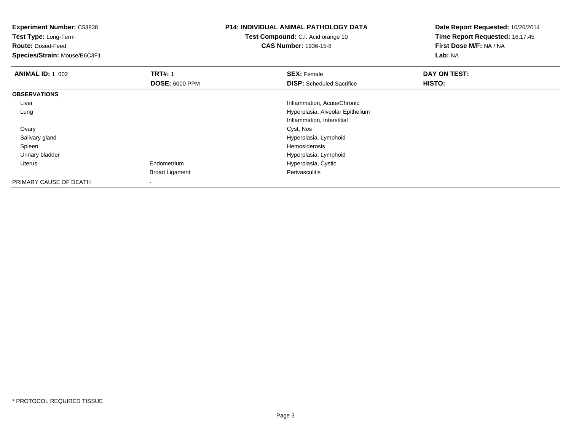**Experiment Number:** C53838**Test Type:** Long-Term**Route:** Dosed-Feed **Species/Strain:** Mouse/B6C3F1**P14: INDIVIDUAL ANIMAL PATHOLOGY DATATest Compound:** C.I. Acid orange 10**CAS Number:** 1936-15-8**Date Report Requested:** 10/26/2014**Time Report Requested:** 16:17:45**First Dose M/F:** NA / NA**Lab:** NA**ANIMAL ID: 1\_002 TRT#:** 1 **SEX:** Female **DAY ON TEST: DOSE:** 6000 PPM**DISP:** Scheduled Sacrifice **HISTO: OBSERVATIONS** Liver Inflammation, Acute/Chronic Hyperplasia, Alveolar Epithelium LungInflammation, Interstitial**Ovary** y and the control of the control of the control of the control of the control of the control of the control of the control of the control of the control of the control of the control of the control of the control of the co Salivary gland Hyperplasia, Lymphoid Spleenn and the state of the state of the state of the state of the state of the state of the state of the state of the state of the state of the state of the state of the state of the state of the state of the state of the stat Urinary bladder Hyperplasia, Lymphoid Uterus Endometrium Hyperplasia, Cystic Broad Ligament PerivasculitisPRIMARY CAUSE OF DEATH-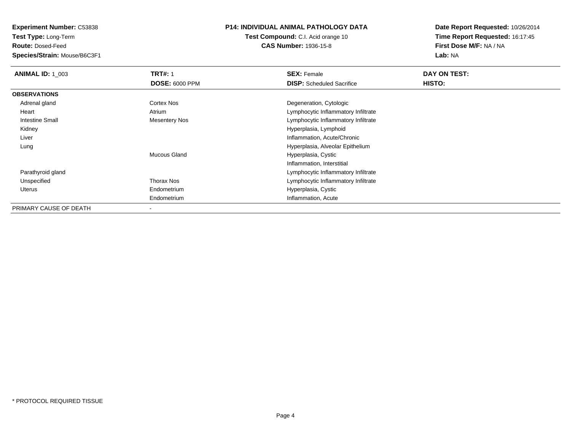**Test Type:** Long-Term

**Route:** Dosed-Feed

**Species/Strain:** Mouse/B6C3F1

#### **P14: INDIVIDUAL ANIMAL PATHOLOGY DATA**

**Test Compound:** C.I. Acid orange 10**CAS Number:** 1936-15-8

| <b>ANIMAL ID: 1 003</b> | <b>TRT#: 1</b>        | <b>SEX: Female</b>                  | DAY ON TEST: |  |
|-------------------------|-----------------------|-------------------------------------|--------------|--|
|                         | <b>DOSE: 6000 PPM</b> | <b>DISP:</b> Scheduled Sacrifice    | HISTO:       |  |
| <b>OBSERVATIONS</b>     |                       |                                     |              |  |
| Adrenal gland           | Cortex Nos            | Degeneration, Cytologic             |              |  |
| Heart                   | Atrium                | Lymphocytic Inflammatory Infiltrate |              |  |
| <b>Intestine Small</b>  | <b>Mesentery Nos</b>  | Lymphocytic Inflammatory Infiltrate |              |  |
| Kidney                  |                       | Hyperplasia, Lymphoid               |              |  |
| Liver                   |                       | Inflammation, Acute/Chronic         |              |  |
| Lung                    |                       | Hyperplasia, Alveolar Epithelium    |              |  |
|                         | Mucous Gland          | Hyperplasia, Cystic                 |              |  |
|                         |                       | Inflammation, Interstitial          |              |  |
| Parathyroid gland       |                       | Lymphocytic Inflammatory Infiltrate |              |  |
| Unspecified             | Thorax Nos            | Lymphocytic Inflammatory Infiltrate |              |  |
| Uterus                  | Endometrium           | Hyperplasia, Cystic                 |              |  |
|                         | Endometrium           | Inflammation, Acute                 |              |  |
| PRIMARY CAUSE OF DEATH  |                       |                                     |              |  |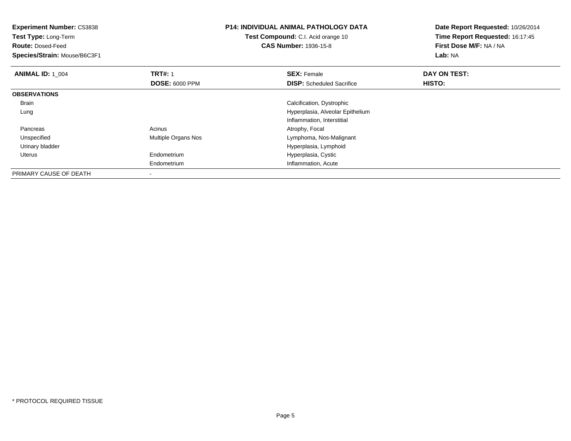**Experiment Number:** C53838**Test Type:** Long-Term**Route:** Dosed-Feed **Species/Strain:** Mouse/B6C3F1**P14: INDIVIDUAL ANIMAL PATHOLOGY DATATest Compound:** C.I. Acid orange 10**CAS Number:** 1936-15-8**Date Report Requested:** 10/26/2014**Time Report Requested:** 16:17:45**First Dose M/F:** NA / NA**Lab:** NA**ANIMAL ID: 1\_004 TRT#:** 1 **SEX:** Female **DAY ON TEST: DOSE:** 6000 PPM**DISP:** Scheduled Sacrifice **HISTO: OBSERVATIONS** Brain Calcification, Dystrophic Lung Hyperplasia, Alveolar EpitheliumInflammation, Interstitial**Pancreas** Acinus **Acinus** Atrophy, Focal UnspecifiedMultiple Organs Nos **Multiple Organs** Nos Urinary bladder Hyperplasia, Lymphoid Uterus Endometrium Hyperplasia, Cystic Endometrium Inflammation, Acute PRIMARY CAUSE OF DEATH-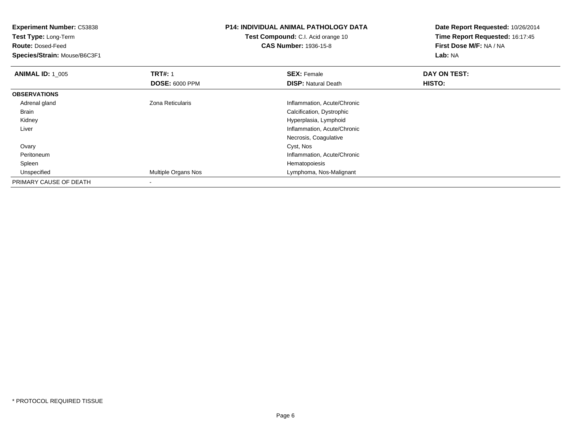| <b>Experiment Number: C53838</b> |                       | <b>P14: INDIVIDUAL ANIMAL PATHOLOGY DATA</b> | Date Report Requested: 10/26/2014 |
|----------------------------------|-----------------------|----------------------------------------------|-----------------------------------|
| Test Type: Long-Term             |                       | Test Compound: C.I. Acid orange 10           | Time Report Requested: 16:17:45   |
| <b>Route: Dosed-Feed</b>         |                       | <b>CAS Number: 1936-15-8</b>                 | First Dose M/F: NA / NA           |
| Species/Strain: Mouse/B6C3F1     |                       |                                              | Lab: NA                           |
| <b>ANIMAL ID: 1 005</b>          | <b>TRT#: 1</b>        | <b>SEX: Female</b>                           | DAY ON TEST:                      |
|                                  | <b>DOSE: 6000 PPM</b> | <b>DISP: Natural Death</b>                   | HISTO:                            |
| <b>OBSERVATIONS</b>              |                       |                                              |                                   |
| Adrenal gland                    | Zona Reticularis      | Inflammation, Acute/Chronic                  |                                   |
| Brain                            |                       | Calcification, Dystrophic                    |                                   |
| Kidney                           |                       | Hyperplasia, Lymphoid                        |                                   |
| Liver                            |                       | Inflammation, Acute/Chronic                  |                                   |
|                                  |                       | Necrosis, Coagulative                        |                                   |
| Ovary                            |                       | Cyst, Nos                                    |                                   |
| Peritoneum                       |                       | Inflammation, Acute/Chronic                  |                                   |
| Spleen                           |                       | Hematopoiesis                                |                                   |
| Unspecified                      | Multiple Organs Nos   | Lymphoma, Nos-Malignant                      |                                   |
| PRIMARY CAUSE OF DEATH           |                       |                                              |                                   |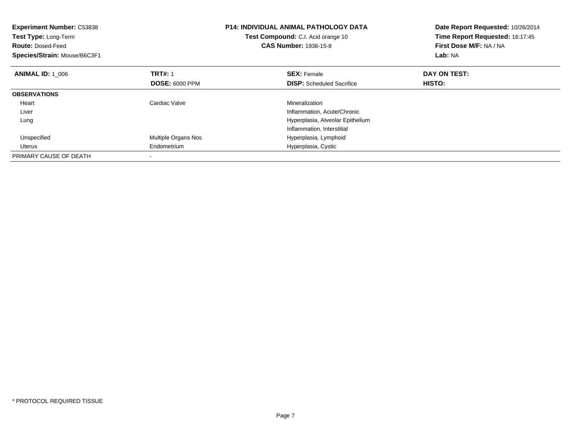| <b>Experiment Number: C53838</b><br>Test Type: Long-Term<br><b>Route: Dosed-Feed</b><br>Species/Strain: Mouse/B6C3F1 |                       | <b>P14: INDIVIDUAL ANIMAL PATHOLOGY DATA</b><br>Test Compound: C.I. Acid orange 10<br><b>CAS Number: 1936-15-8</b> | Date Report Requested: 10/26/2014<br>Time Report Requested: 16:17:45<br>First Dose M/F: NA / NA<br>Lab: NA |
|----------------------------------------------------------------------------------------------------------------------|-----------------------|--------------------------------------------------------------------------------------------------------------------|------------------------------------------------------------------------------------------------------------|
| <b>ANIMAL ID: 1 006</b>                                                                                              | <b>TRT#: 1</b>        | <b>SEX: Female</b>                                                                                                 | DAY ON TEST:                                                                                               |
|                                                                                                                      | <b>DOSE: 6000 PPM</b> | <b>DISP:</b> Scheduled Sacrifice                                                                                   | <b>HISTO:</b>                                                                                              |
| <b>OBSERVATIONS</b>                                                                                                  |                       |                                                                                                                    |                                                                                                            |
| Heart                                                                                                                | Cardiac Valve         | Mineralization                                                                                                     |                                                                                                            |
| Liver                                                                                                                |                       | Inflammation, Acute/Chronic                                                                                        |                                                                                                            |
| Lung                                                                                                                 |                       | Hyperplasia, Alveolar Epithelium                                                                                   |                                                                                                            |
|                                                                                                                      |                       | Inflammation, Interstitial                                                                                         |                                                                                                            |
| Unspecified                                                                                                          | Multiple Organs Nos   | Hyperplasia, Lymphoid                                                                                              |                                                                                                            |
| Uterus                                                                                                               | Endometrium           | Hyperplasia, Cystic                                                                                                |                                                                                                            |
| PRIMARY CAUSE OF DEATH                                                                                               |                       |                                                                                                                    |                                                                                                            |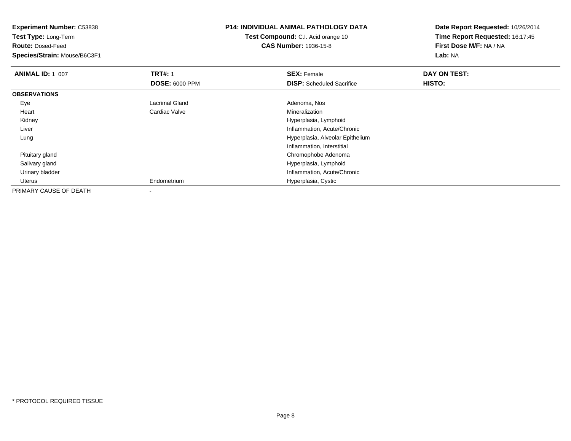**Test Type:** Long-Term

**Route:** Dosed-Feed

**Species/Strain:** Mouse/B6C3F1

# **P14: INDIVIDUAL ANIMAL PATHOLOGY DATA**

**Test Compound:** C.I. Acid orange 10**CAS Number:** 1936-15-8

| <b>ANIMAL ID: 1 007</b> | <b>TRT#: 1</b>           | <b>SEX: Female</b>               | DAY ON TEST: |  |
|-------------------------|--------------------------|----------------------------------|--------------|--|
|                         | <b>DOSE: 6000 PPM</b>    | <b>DISP:</b> Scheduled Sacrifice | HISTO:       |  |
| <b>OBSERVATIONS</b>     |                          |                                  |              |  |
| Eye                     | Lacrimal Gland           | Adenoma, Nos                     |              |  |
| Heart                   | Cardiac Valve            | Mineralization                   |              |  |
| Kidney                  |                          | Hyperplasia, Lymphoid            |              |  |
| Liver                   |                          | Inflammation, Acute/Chronic      |              |  |
| Lung                    |                          | Hyperplasia, Alveolar Epithelium |              |  |
|                         |                          | Inflammation, Interstitial       |              |  |
| Pituitary gland         |                          | Chromophobe Adenoma              |              |  |
| Salivary gland          |                          | Hyperplasia, Lymphoid            |              |  |
| Urinary bladder         |                          | Inflammation, Acute/Chronic      |              |  |
| Uterus                  | Endometrium              | Hyperplasia, Cystic              |              |  |
| PRIMARY CAUSE OF DEATH  | $\overline{\phantom{a}}$ |                                  |              |  |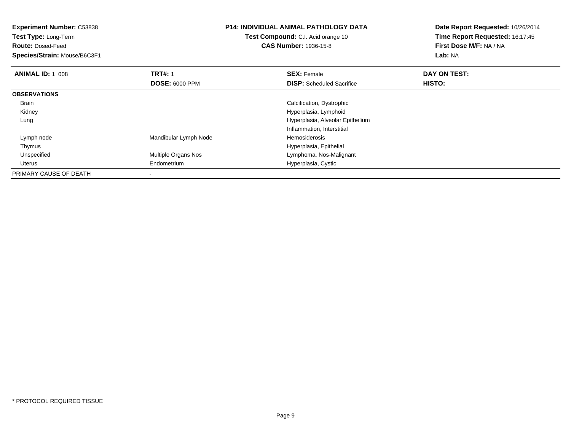**Experiment Number:** C53838**Test Type:** Long-Term**Route:** Dosed-Feed **Species/Strain:** Mouse/B6C3F1**P14: INDIVIDUAL ANIMAL PATHOLOGY DATATest Compound:** C.I. Acid orange 10**CAS Number:** 1936-15-8**Date Report Requested:** 10/26/2014**Time Report Requested:** 16:17:45**First Dose M/F:** NA / NA**Lab:** NA**ANIMAL ID: 1\_008 REX:** Female **DAY ON TEST: CONSIST: SEX:** Female **DAY ON TEST: DOSE:** 6000 PPM**DISP:** Scheduled Sacrifice **HISTO: OBSERVATIONS** Brain Calcification, Dystrophic Kidney Hyperplasia, Lymphoid Hyperplasia, Alveolar Epithelium LungInflammation, Interstitial Lymph nodeMandibular Lymph Node **Hemosiderosis**  ThymusHyperplasia, Epithelial<br>Multiple Organs Nos **Alta Equation State State Control**<br>Lymphoma, Nos-Malig UnspecifiedLymphoma, Nos-Malignant

Hyperplasia, Cystic

Endometrium

-

Uterus

PRIMARY CAUSE OF DEATH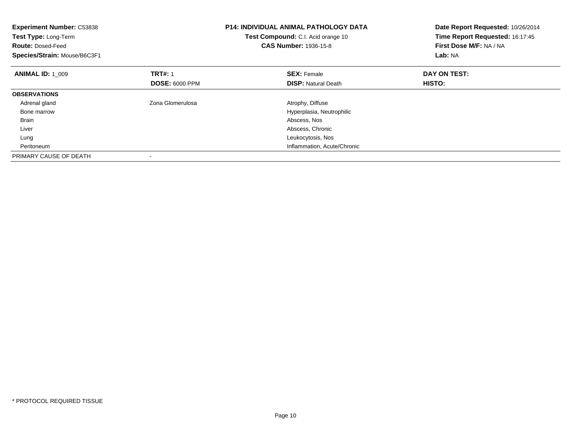| <b>Experiment Number: C53838</b><br>Test Type: Long-Term<br><b>Route: Dosed-Feed</b><br>Species/Strain: Mouse/B6C3F1 |                       | <b>P14: INDIVIDUAL ANIMAL PATHOLOGY DATA</b><br>Test Compound: C.I. Acid orange 10<br><b>CAS Number: 1936-15-8</b> | Date Report Requested: 10/26/2014<br>Time Report Requested: 16:17:45<br>First Dose M/F: NA / NA<br>Lab: NA |
|----------------------------------------------------------------------------------------------------------------------|-----------------------|--------------------------------------------------------------------------------------------------------------------|------------------------------------------------------------------------------------------------------------|
| <b>ANIMAL ID: 1 009</b>                                                                                              | <b>TRT#: 1</b>        | <b>SEX: Female</b>                                                                                                 | DAY ON TEST:                                                                                               |
|                                                                                                                      | <b>DOSE: 6000 PPM</b> | <b>DISP:</b> Natural Death                                                                                         | HISTO:                                                                                                     |
| <b>OBSERVATIONS</b>                                                                                                  |                       |                                                                                                                    |                                                                                                            |
| Adrenal gland                                                                                                        | Zona Glomerulosa      | Atrophy, Diffuse                                                                                                   |                                                                                                            |
| Bone marrow                                                                                                          |                       | Hyperplasia, Neutrophilic                                                                                          |                                                                                                            |
| <b>Brain</b>                                                                                                         |                       | Abscess, Nos                                                                                                       |                                                                                                            |
| Liver                                                                                                                |                       | Abscess, Chronic                                                                                                   |                                                                                                            |
| Lung                                                                                                                 |                       | Leukocytosis, Nos                                                                                                  |                                                                                                            |
| Peritoneum                                                                                                           |                       | Inflammation, Acute/Chronic                                                                                        |                                                                                                            |
| PRIMARY CAUSE OF DEATH                                                                                               |                       |                                                                                                                    |                                                                                                            |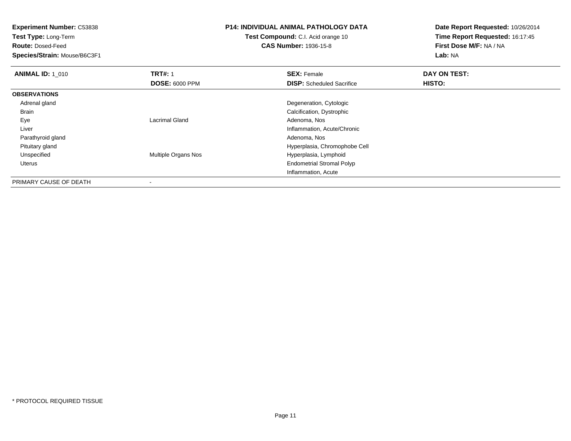**Test Type:** Long-Term

**Route:** Dosed-Feed

**Species/Strain:** Mouse/B6C3F1

# **P14: INDIVIDUAL ANIMAL PATHOLOGY DATA**

**Test Compound:** C.I. Acid orange 10**CAS Number:** 1936-15-8

| <b>ANIMAL ID: 1 010</b> | <b>TRT#: 1</b>           | <b>SEX: Female</b>               | DAY ON TEST: |  |
|-------------------------|--------------------------|----------------------------------|--------------|--|
|                         | <b>DOSE: 6000 PPM</b>    | <b>DISP:</b> Scheduled Sacrifice | HISTO:       |  |
| <b>OBSERVATIONS</b>     |                          |                                  |              |  |
| Adrenal gland           |                          | Degeneration, Cytologic          |              |  |
| <b>Brain</b>            |                          | Calcification, Dystrophic        |              |  |
| Eye                     | Lacrimal Gland           | Adenoma, Nos                     |              |  |
| Liver                   |                          | Inflammation, Acute/Chronic      |              |  |
| Parathyroid gland       |                          | Adenoma, Nos                     |              |  |
| Pituitary gland         |                          | Hyperplasia, Chromophobe Cell    |              |  |
| Unspecified             | Multiple Organs Nos      | Hyperplasia, Lymphoid            |              |  |
| Uterus                  |                          | <b>Endometrial Stromal Polyp</b> |              |  |
|                         |                          | Inflammation, Acute              |              |  |
| PRIMARY CAUSE OF DEATH  | $\overline{\phantom{a}}$ |                                  |              |  |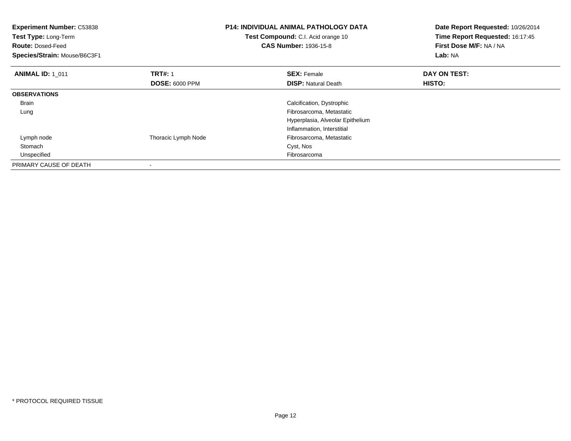| <b>Experiment Number: C53838</b><br>Test Type: Long-Term<br><b>Route: Dosed-Feed</b><br>Species/Strain: Mouse/B6C3F1 |                       | <b>P14: INDIVIDUAL ANIMAL PATHOLOGY DATA</b><br>Test Compound: C.I. Acid orange 10<br><b>CAS Number: 1936-15-8</b> | Date Report Requested: 10/26/2014<br>Time Report Requested: 16:17:45<br>First Dose M/F: NA / NA<br>Lab: NA |
|----------------------------------------------------------------------------------------------------------------------|-----------------------|--------------------------------------------------------------------------------------------------------------------|------------------------------------------------------------------------------------------------------------|
| <b>ANIMAL ID: 1 011</b>                                                                                              | <b>TRT#: 1</b>        | <b>SEX: Female</b>                                                                                                 | DAY ON TEST:                                                                                               |
|                                                                                                                      | <b>DOSE: 6000 PPM</b> | <b>DISP: Natural Death</b>                                                                                         | HISTO:                                                                                                     |
| <b>OBSERVATIONS</b>                                                                                                  |                       |                                                                                                                    |                                                                                                            |
| Brain                                                                                                                |                       | Calcification, Dystrophic                                                                                          |                                                                                                            |
| Lung                                                                                                                 |                       | Fibrosarcoma, Metastatic                                                                                           |                                                                                                            |
|                                                                                                                      |                       | Hyperplasia, Alveolar Epithelium                                                                                   |                                                                                                            |
|                                                                                                                      |                       | Inflammation, Interstitial                                                                                         |                                                                                                            |
| Lymph node                                                                                                           | Thoracic Lymph Node   | Fibrosarcoma, Metastatic                                                                                           |                                                                                                            |
| Stomach                                                                                                              |                       | Cyst, Nos                                                                                                          |                                                                                                            |
| Unspecified                                                                                                          |                       | Fibrosarcoma                                                                                                       |                                                                                                            |
| PRIMARY CAUSE OF DEATH                                                                                               |                       |                                                                                                                    |                                                                                                            |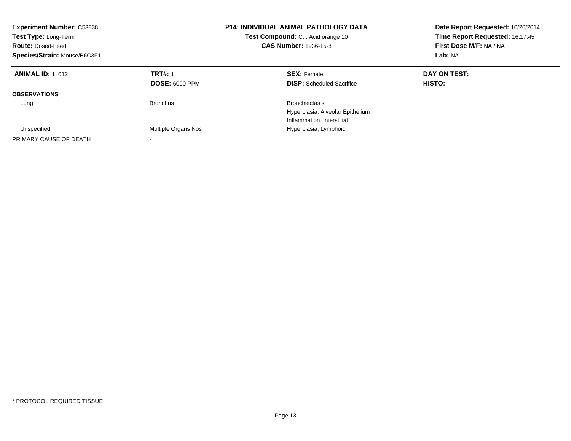| <b>Experiment Number: C53838</b><br>Test Type: Long-Term<br><b>Route: Dosed-Feed</b><br>Species/Strain: Mouse/B6C3F1 |                                         | <b>P14: INDIVIDUAL ANIMAL PATHOLOGY DATA</b><br><b>Test Compound:</b> C.I. Acid orange 10<br><b>CAS Number: 1936-15-8</b> | Date Report Requested: 10/26/2014<br>Time Report Requested: 16:17:45<br>First Dose M/F: NA / NA<br>Lab: NA |
|----------------------------------------------------------------------------------------------------------------------|-----------------------------------------|---------------------------------------------------------------------------------------------------------------------------|------------------------------------------------------------------------------------------------------------|
| <b>ANIMAL ID: 1 012</b>                                                                                              | <b>TRT#: 1</b><br><b>DOSE: 6000 PPM</b> | <b>SEX: Female</b><br><b>DISP:</b> Scheduled Sacrifice                                                                    | DAY ON TEST:<br>HISTO:                                                                                     |
| <b>OBSERVATIONS</b>                                                                                                  |                                         |                                                                                                                           |                                                                                                            |
| Lung                                                                                                                 | <b>Bronchus</b>                         | <b>Bronchiectasis</b><br>Hyperplasia, Alveolar Epithelium<br>Inflammation, Interstitial                                   |                                                                                                            |
| Unspecified                                                                                                          | Multiple Organs Nos                     | Hyperplasia, Lymphoid                                                                                                     |                                                                                                            |
| PRIMARY CAUSE OF DEATH                                                                                               |                                         |                                                                                                                           |                                                                                                            |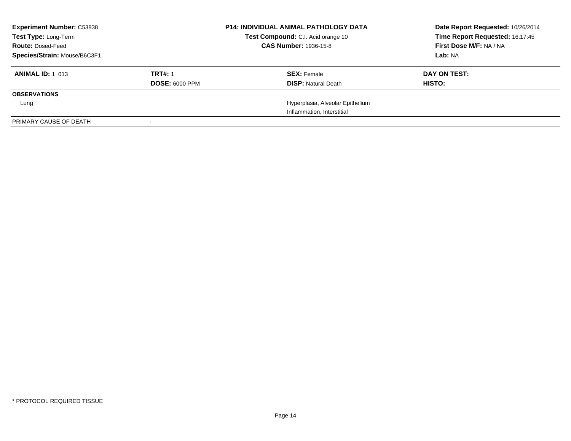| <b>Experiment Number: C53838</b><br>Test Type: Long-Term<br><b>Route: Dosed-Feed</b><br>Species/Strain: Mouse/B6C3F1 |                                         | <b>P14: INDIVIDUAL ANIMAL PATHOLOGY DATA</b><br>Test Compound: C.I. Acid orange 10<br><b>CAS Number: 1936-15-8</b> | Date Report Requested: 10/26/2014<br>Time Report Requested: 16:17:45<br>First Dose M/F: NA / NA<br>Lab: NA |
|----------------------------------------------------------------------------------------------------------------------|-----------------------------------------|--------------------------------------------------------------------------------------------------------------------|------------------------------------------------------------------------------------------------------------|
| <b>ANIMAL ID: 1 013</b>                                                                                              | <b>TRT#: 1</b><br><b>DOSE: 6000 PPM</b> | <b>SEX: Female</b><br><b>DISP:</b> Natural Death                                                                   | DAY ON TEST:<br><b>HISTO:</b>                                                                              |
| <b>OBSERVATIONS</b>                                                                                                  |                                         |                                                                                                                    |                                                                                                            |
| Lung                                                                                                                 |                                         | Hyperplasia, Alveolar Epithelium                                                                                   |                                                                                                            |
|                                                                                                                      |                                         | Inflammation, Interstitial                                                                                         |                                                                                                            |
| PRIMARY CAUSE OF DEATH                                                                                               |                                         |                                                                                                                    |                                                                                                            |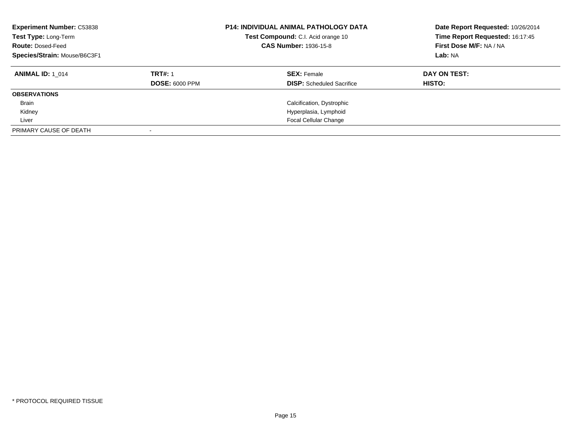| <b>Experiment Number: C53838</b><br>Test Type: Long-Term<br><b>Route: Dosed-Feed</b><br>Species/Strain: Mouse/B6C3F1 |                       | <b>P14: INDIVIDUAL ANIMAL PATHOLOGY DATA</b><br>Test Compound: C.I. Acid orange 10<br><b>CAS Number: 1936-15-8</b> | Date Report Requested: 10/26/2014<br>Time Report Requested: 16:17:45<br>First Dose M/F: NA / NA<br>Lab: NA |
|----------------------------------------------------------------------------------------------------------------------|-----------------------|--------------------------------------------------------------------------------------------------------------------|------------------------------------------------------------------------------------------------------------|
| <b>ANIMAL ID: 1 014</b>                                                                                              | <b>TRT#: 1</b>        | <b>SEX: Female</b>                                                                                                 | DAY ON TEST:                                                                                               |
|                                                                                                                      | <b>DOSE: 6000 PPM</b> | <b>DISP:</b> Scheduled Sacrifice                                                                                   | HISTO:                                                                                                     |
| <b>OBSERVATIONS</b>                                                                                                  |                       |                                                                                                                    |                                                                                                            |
| <b>Brain</b>                                                                                                         |                       | Calcification, Dystrophic                                                                                          |                                                                                                            |
| Kidney                                                                                                               |                       | Hyperplasia, Lymphoid                                                                                              |                                                                                                            |
| Liver                                                                                                                |                       | <b>Focal Cellular Change</b>                                                                                       |                                                                                                            |
| PRIMARY CAUSE OF DEATH                                                                                               |                       |                                                                                                                    |                                                                                                            |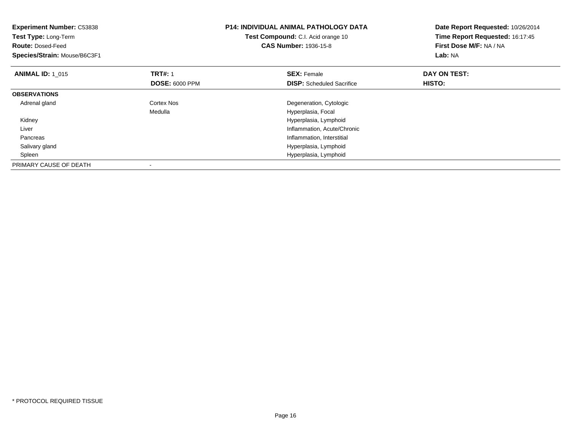| <b>Experiment Number: C53838</b><br>Test Type: Long-Term<br><b>Route: Dosed-Feed</b><br>Species/Strain: Mouse/B6C3F1 |                                         | <b>P14: INDIVIDUAL ANIMAL PATHOLOGY DATA</b><br>Test Compound: C.I. Acid orange 10<br><b>CAS Number: 1936-15-8</b> | Date Report Requested: 10/26/2014<br>Time Report Requested: 16:17:45<br>First Dose M/F: NA / NA<br>Lab: NA |
|----------------------------------------------------------------------------------------------------------------------|-----------------------------------------|--------------------------------------------------------------------------------------------------------------------|------------------------------------------------------------------------------------------------------------|
| <b>ANIMAL ID: 1_015</b>                                                                                              | <b>TRT#: 1</b><br><b>DOSE: 6000 PPM</b> | <b>SEX: Female</b><br><b>DISP:</b> Scheduled Sacrifice                                                             | DAY ON TEST:<br>HISTO:                                                                                     |
| <b>OBSERVATIONS</b>                                                                                                  |                                         |                                                                                                                    |                                                                                                            |
| Adrenal gland                                                                                                        | Cortex Nos<br>Medulla                   | Degeneration, Cytologic<br>Hyperplasia, Focal                                                                      |                                                                                                            |
| Kidney                                                                                                               |                                         | Hyperplasia, Lymphoid                                                                                              |                                                                                                            |
| Liver                                                                                                                |                                         | Inflammation, Acute/Chronic                                                                                        |                                                                                                            |
| Pancreas                                                                                                             |                                         | Inflammation, Interstitial                                                                                         |                                                                                                            |
| Salivary gland                                                                                                       |                                         | Hyperplasia, Lymphoid                                                                                              |                                                                                                            |
| Spleen                                                                                                               |                                         | Hyperplasia, Lymphoid                                                                                              |                                                                                                            |
| PRIMARY CAUSE OF DEATH                                                                                               |                                         |                                                                                                                    |                                                                                                            |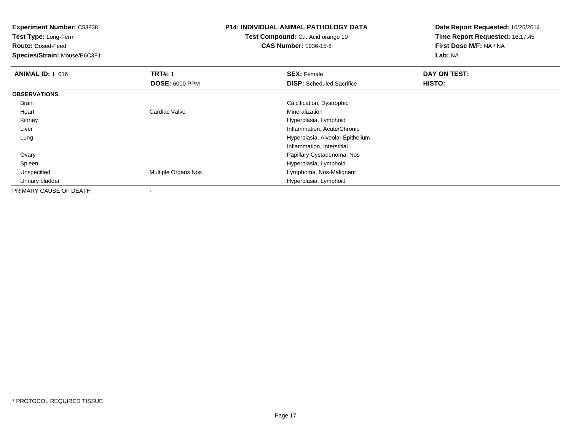**Test Type:** Long-Term

**Route:** Dosed-Feed

**Species/Strain:** Mouse/B6C3F1

# **P14: INDIVIDUAL ANIMAL PATHOLOGY DATA**

**Test Compound:** C.I. Acid orange 10**CAS Number:** 1936-15-8

| <b>ANIMAL ID: 1 016</b> | <b>TRT#: 1</b>        | <b>SEX: Female</b>               | DAY ON TEST: |  |
|-------------------------|-----------------------|----------------------------------|--------------|--|
|                         | <b>DOSE: 6000 PPM</b> | <b>DISP:</b> Scheduled Sacrifice | HISTO:       |  |
| <b>OBSERVATIONS</b>     |                       |                                  |              |  |
| Brain                   |                       | Calcification, Dystrophic        |              |  |
| Heart                   | Cardiac Valve         | Mineralization                   |              |  |
| Kidney                  |                       | Hyperplasia, Lymphoid            |              |  |
| Liver                   |                       | Inflammation, Acute/Chronic      |              |  |
| Lung                    |                       | Hyperplasia, Alveolar Epithelium |              |  |
|                         |                       | Inflammation, Interstitial       |              |  |
| Ovary                   |                       | Papillary Cystadenoma, Nos       |              |  |
| Spleen                  |                       | Hyperplasia, Lymphoid            |              |  |
| Unspecified             | Multiple Organs Nos   | Lymphoma, Nos-Malignant          |              |  |
| Urinary bladder         |                       | Hyperplasia, Lymphoid            |              |  |
| PRIMARY CAUSE OF DEATH  |                       |                                  |              |  |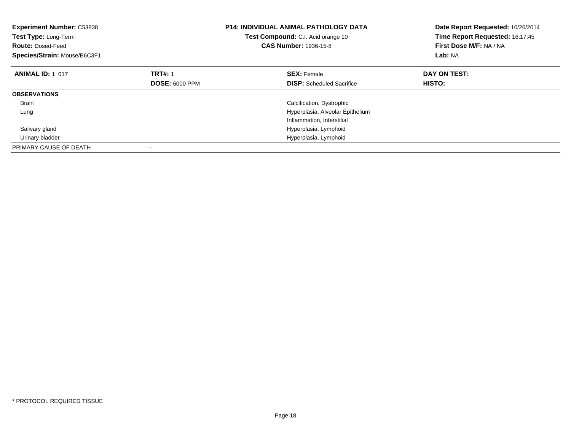| <b>Experiment Number: C53838</b><br>Test Type: Long-Term<br><b>Route: Dosed-Feed</b><br>Species/Strain: Mouse/B6C3F1 |                       | P14: INDIVIDUAL ANIMAL PATHOLOGY DATA<br>Test Compound: C.I. Acid orange 10<br><b>CAS Number: 1936-15-8</b> | Date Report Requested: 10/26/2014<br>Time Report Requested: 16:17:45<br>First Dose M/F: NA / NA<br>Lab: NA |  |
|----------------------------------------------------------------------------------------------------------------------|-----------------------|-------------------------------------------------------------------------------------------------------------|------------------------------------------------------------------------------------------------------------|--|
| <b>ANIMAL ID: 1 017</b>                                                                                              | <b>TRT#: 1</b>        | <b>SEX:</b> Female                                                                                          | DAY ON TEST:                                                                                               |  |
|                                                                                                                      | <b>DOSE: 6000 PPM</b> | <b>DISP:</b> Scheduled Sacrifice                                                                            | HISTO:                                                                                                     |  |
| <b>OBSERVATIONS</b>                                                                                                  |                       |                                                                                                             |                                                                                                            |  |
| <b>Brain</b>                                                                                                         |                       | Calcification, Dystrophic                                                                                   |                                                                                                            |  |
| Lung                                                                                                                 |                       | Hyperplasia, Alveolar Epithelium                                                                            |                                                                                                            |  |
|                                                                                                                      |                       | Inflammation, Interstitial                                                                                  |                                                                                                            |  |
| Salivary gland                                                                                                       |                       | Hyperplasia, Lymphoid                                                                                       |                                                                                                            |  |
| Urinary bladder                                                                                                      |                       | Hyperplasia, Lymphoid                                                                                       |                                                                                                            |  |
| PRIMARY CAUSE OF DEATH                                                                                               |                       |                                                                                                             |                                                                                                            |  |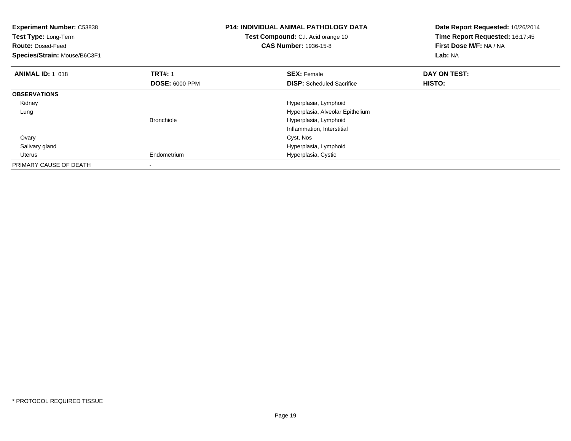| <b>Experiment Number: C53838</b><br>Test Type: Long-Term<br><b>Route: Dosed-Feed</b><br>Species/Strain: Mouse/B6C3F1 |                       | <b>P14: INDIVIDUAL ANIMAL PATHOLOGY DATA</b><br>Test Compound: C.I. Acid orange 10<br><b>CAS Number: 1936-15-8</b> | Date Report Requested: 10/26/2014<br>Time Report Requested: 16:17:45<br>First Dose M/F: NA / NA<br>Lab: NA |
|----------------------------------------------------------------------------------------------------------------------|-----------------------|--------------------------------------------------------------------------------------------------------------------|------------------------------------------------------------------------------------------------------------|
| <b>ANIMAL ID: 1 018</b>                                                                                              | <b>TRT#: 1</b>        | <b>SEX: Female</b>                                                                                                 | DAY ON TEST:                                                                                               |
|                                                                                                                      | <b>DOSE: 6000 PPM</b> | <b>DISP:</b> Scheduled Sacrifice                                                                                   | <b>HISTO:</b>                                                                                              |
| <b>OBSERVATIONS</b>                                                                                                  |                       |                                                                                                                    |                                                                                                            |
| Kidney                                                                                                               |                       | Hyperplasia, Lymphoid                                                                                              |                                                                                                            |
| Lung                                                                                                                 |                       | Hyperplasia, Alveolar Epithelium                                                                                   |                                                                                                            |
|                                                                                                                      | <b>Bronchiole</b>     | Hyperplasia, Lymphoid                                                                                              |                                                                                                            |
|                                                                                                                      |                       | Inflammation, Interstitial                                                                                         |                                                                                                            |
| Ovary                                                                                                                |                       | Cyst, Nos                                                                                                          |                                                                                                            |
| Salivary gland                                                                                                       |                       | Hyperplasia, Lymphoid                                                                                              |                                                                                                            |
| Uterus                                                                                                               | Endometrium           | Hyperplasia, Cystic                                                                                                |                                                                                                            |
| PRIMARY CAUSE OF DEATH                                                                                               |                       |                                                                                                                    |                                                                                                            |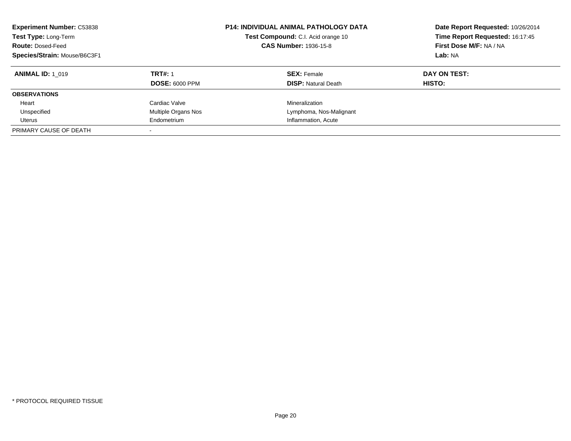| <b>Experiment Number: C53838</b><br>Test Type: Long-Term<br><b>Route: Dosed-Feed</b><br>Species/Strain: Mouse/B6C3F1 |                       | P14: INDIVIDUAL ANIMAL PATHOLOGY DATA<br>Test Compound: C.I. Acid orange 10<br><b>CAS Number: 1936-15-8</b> | Date Report Requested: 10/26/2014<br>Time Report Requested: 16:17:45<br>First Dose M/F: NA / NA<br>Lab: NA |  |
|----------------------------------------------------------------------------------------------------------------------|-----------------------|-------------------------------------------------------------------------------------------------------------|------------------------------------------------------------------------------------------------------------|--|
| <b>ANIMAL ID: 1 019</b>                                                                                              | <b>TRT#: 1</b>        | <b>SEX: Female</b>                                                                                          | DAY ON TEST:                                                                                               |  |
|                                                                                                                      | <b>DOSE: 6000 PPM</b> | <b>DISP: Natural Death</b>                                                                                  | HISTO:                                                                                                     |  |
| <b>OBSERVATIONS</b>                                                                                                  |                       |                                                                                                             |                                                                                                            |  |
| Heart                                                                                                                | Cardiac Valve         | Mineralization                                                                                              |                                                                                                            |  |
| Unspecified                                                                                                          | Multiple Organs Nos   | Lymphoma, Nos-Malignant                                                                                     |                                                                                                            |  |
| Uterus                                                                                                               | Endometrium           | Inflammation, Acute                                                                                         |                                                                                                            |  |
| PRIMARY CAUSE OF DEATH                                                                                               |                       |                                                                                                             |                                                                                                            |  |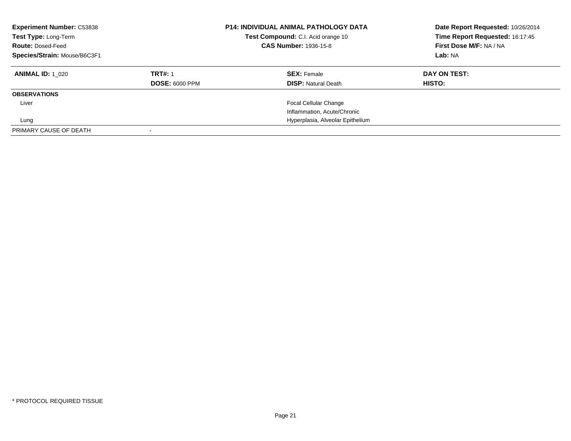| <b>Experiment Number: C53838</b><br>Test Type: Long-Term<br><b>Route: Dosed-Feed</b><br>Species/Strain: Mouse/B6C3F1 |                       | <b>P14: INDIVIDUAL ANIMAL PATHOLOGY DATA</b><br>Test Compound: C.I. Acid orange 10<br><b>CAS Number: 1936-15-8</b> | Date Report Requested: 10/26/2014<br>Time Report Requested: 16:17:45<br>First Dose M/F: NA / NA<br>Lab: NA |  |
|----------------------------------------------------------------------------------------------------------------------|-----------------------|--------------------------------------------------------------------------------------------------------------------|------------------------------------------------------------------------------------------------------------|--|
| <b>ANIMAL ID:</b> 1 020                                                                                              | <b>TRT#: 1</b>        | <b>SEX:</b> Female                                                                                                 | DAY ON TEST:                                                                                               |  |
|                                                                                                                      | <b>DOSE: 6000 PPM</b> | <b>DISP: Natural Death</b>                                                                                         | HISTO:                                                                                                     |  |
| <b>OBSERVATIONS</b>                                                                                                  |                       |                                                                                                                    |                                                                                                            |  |
| Liver                                                                                                                |                       | Focal Cellular Change                                                                                              |                                                                                                            |  |
|                                                                                                                      |                       | Inflammation, Acute/Chronic                                                                                        |                                                                                                            |  |
| Lung                                                                                                                 |                       | Hyperplasia, Alveolar Epithelium                                                                                   |                                                                                                            |  |
| PRIMARY CAUSE OF DEATH                                                                                               |                       |                                                                                                                    |                                                                                                            |  |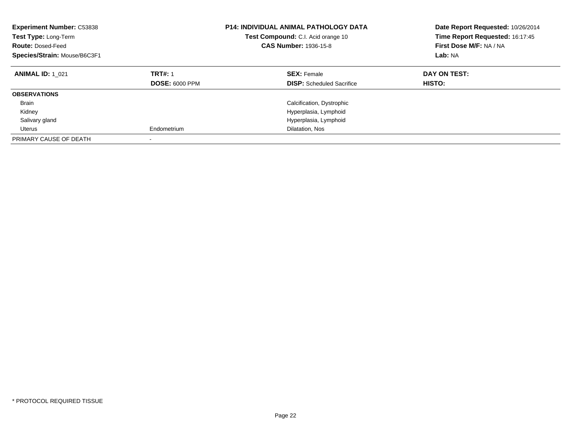| <b>Experiment Number: C53838</b><br>Test Type: Long-Term<br><b>Route: Dosed-Feed</b><br>Species/Strain: Mouse/B6C3F1 |                                         | <b>P14: INDIVIDUAL ANIMAL PATHOLOGY DATA</b><br><b>Test Compound:</b> C.I. Acid orange 10<br><b>CAS Number: 1936-15-8</b> | Date Report Requested: 10/26/2014<br>Time Report Requested: 16:17:45<br>First Dose M/F: NA / NA<br>Lab: NA |  |
|----------------------------------------------------------------------------------------------------------------------|-----------------------------------------|---------------------------------------------------------------------------------------------------------------------------|------------------------------------------------------------------------------------------------------------|--|
| <b>ANIMAL ID: 1 021</b>                                                                                              | <b>TRT#: 1</b><br><b>DOSE: 6000 PPM</b> | <b>SEX: Female</b><br><b>DISP:</b> Scheduled Sacrifice                                                                    | DAY ON TEST:<br><b>HISTO:</b>                                                                              |  |
| <b>OBSERVATIONS</b>                                                                                                  |                                         |                                                                                                                           |                                                                                                            |  |
| <b>Brain</b>                                                                                                         |                                         | Calcification, Dystrophic                                                                                                 |                                                                                                            |  |
| Kidney                                                                                                               |                                         | Hyperplasia, Lymphoid                                                                                                     |                                                                                                            |  |
| Salivary gland                                                                                                       |                                         | Hyperplasia, Lymphoid                                                                                                     |                                                                                                            |  |
| Uterus                                                                                                               | Endometrium                             | Dilatation, Nos                                                                                                           |                                                                                                            |  |
| PRIMARY CAUSE OF DEATH                                                                                               |                                         |                                                                                                                           |                                                                                                            |  |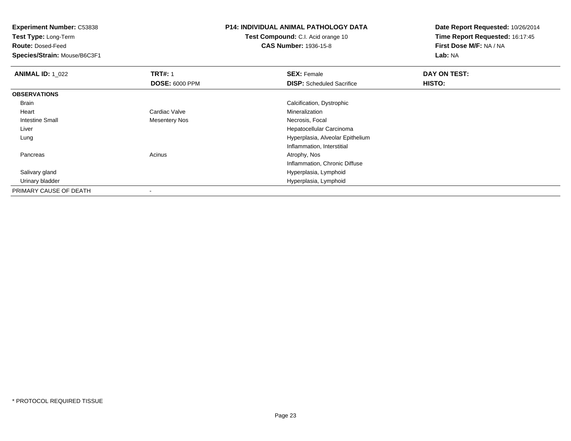**Test Type:** Long-Term

**Route:** Dosed-Feed

**Species/Strain:** Mouse/B6C3F1

# **P14: INDIVIDUAL ANIMAL PATHOLOGY DATA**

**Test Compound:** C.I. Acid orange 10**CAS Number:** 1936-15-8

| <b>ANIMAL ID: 1 022</b> | <b>TRT#: 1</b>           | <b>SEX: Female</b>               | DAY ON TEST: |  |
|-------------------------|--------------------------|----------------------------------|--------------|--|
|                         | <b>DOSE: 6000 PPM</b>    | <b>DISP:</b> Scheduled Sacrifice | HISTO:       |  |
| <b>OBSERVATIONS</b>     |                          |                                  |              |  |
| Brain                   |                          | Calcification, Dystrophic        |              |  |
| Heart                   | Cardiac Valve            | Mineralization                   |              |  |
| Intestine Small         | <b>Mesentery Nos</b>     | Necrosis, Focal                  |              |  |
| Liver                   |                          | Hepatocellular Carcinoma         |              |  |
| Lung                    |                          | Hyperplasia, Alveolar Epithelium |              |  |
|                         |                          | Inflammation, Interstitial       |              |  |
| Pancreas                | Acinus                   | Atrophy, Nos                     |              |  |
|                         |                          | Inflammation, Chronic Diffuse    |              |  |
| Salivary gland          |                          | Hyperplasia, Lymphoid            |              |  |
| Urinary bladder         |                          | Hyperplasia, Lymphoid            |              |  |
| PRIMARY CAUSE OF DEATH  | $\overline{\phantom{a}}$ |                                  |              |  |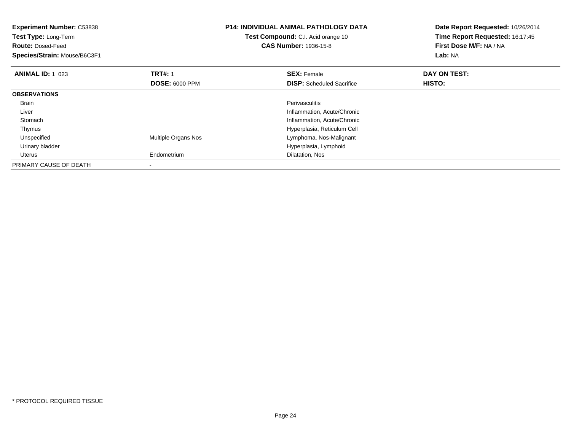| <b>Experiment Number: C53838</b><br>Test Type: Long-Term<br><b>Route: Dosed-Feed</b><br>Species/Strain: Mouse/B6C3F1 |                            | <b>P14: INDIVIDUAL ANIMAL PATHOLOGY DATA</b><br>Test Compound: C.I. Acid orange 10<br><b>CAS Number: 1936-15-8</b> | Date Report Requested: 10/26/2014<br>Time Report Requested: 16:17:45<br>First Dose M/F: NA / NA<br><b>Lab: NA</b> |
|----------------------------------------------------------------------------------------------------------------------|----------------------------|--------------------------------------------------------------------------------------------------------------------|-------------------------------------------------------------------------------------------------------------------|
| <b>ANIMAL ID: 1 023</b>                                                                                              | <b>TRT#: 1</b>             | <b>SEX: Female</b>                                                                                                 | DAY ON TEST:                                                                                                      |
|                                                                                                                      | <b>DOSE: 6000 PPM</b>      | <b>DISP:</b> Scheduled Sacrifice                                                                                   | HISTO:                                                                                                            |
| <b>OBSERVATIONS</b>                                                                                                  |                            |                                                                                                                    |                                                                                                                   |
| <b>Brain</b>                                                                                                         |                            | <b>Perivasculitis</b>                                                                                              |                                                                                                                   |
| Liver                                                                                                                |                            | Inflammation, Acute/Chronic                                                                                        |                                                                                                                   |
| Stomach                                                                                                              |                            | Inflammation, Acute/Chronic                                                                                        |                                                                                                                   |
| Thymus                                                                                                               |                            | Hyperplasia, Reticulum Cell                                                                                        |                                                                                                                   |
| Unspecified                                                                                                          | <b>Multiple Organs Nos</b> | Lymphoma, Nos-Malignant                                                                                            |                                                                                                                   |
| Urinary bladder                                                                                                      |                            | Hyperplasia, Lymphoid                                                                                              |                                                                                                                   |
| Uterus                                                                                                               | Endometrium                | Dilatation, Nos                                                                                                    |                                                                                                                   |
| PRIMARY CAUSE OF DEATH                                                                                               |                            |                                                                                                                    |                                                                                                                   |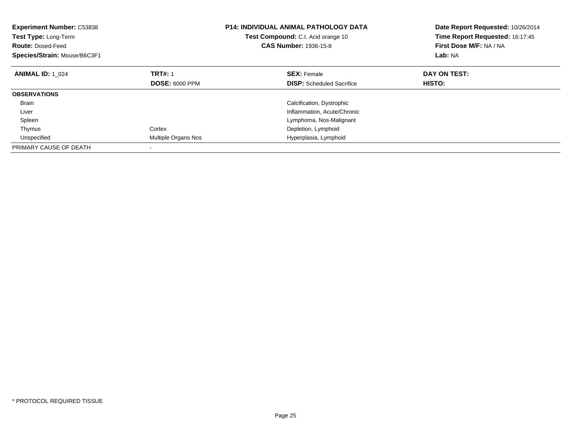| <b>Experiment Number: C53838</b><br><b>Test Type: Long-Term</b><br><b>Route: Dosed-Feed</b><br>Species/Strain: Mouse/B6C3F1 |                       | <b>P14: INDIVIDUAL ANIMAL PATHOLOGY DATA</b><br>Test Compound: C.I. Acid orange 10<br><b>CAS Number: 1936-15-8</b> | Date Report Requested: 10/26/2014<br>Time Report Requested: 16:17:45<br>First Dose M/F: NA / NA<br>Lab: NA |  |
|-----------------------------------------------------------------------------------------------------------------------------|-----------------------|--------------------------------------------------------------------------------------------------------------------|------------------------------------------------------------------------------------------------------------|--|
| <b>ANIMAL ID: 1 024</b>                                                                                                     | <b>TRT#: 1</b>        | <b>SEX: Female</b>                                                                                                 | DAY ON TEST:                                                                                               |  |
|                                                                                                                             | <b>DOSE: 6000 PPM</b> | <b>DISP:</b> Scheduled Sacrifice                                                                                   | HISTO:                                                                                                     |  |
| <b>OBSERVATIONS</b>                                                                                                         |                       |                                                                                                                    |                                                                                                            |  |
| <b>Brain</b>                                                                                                                |                       | Calcification, Dystrophic                                                                                          |                                                                                                            |  |
| Liver                                                                                                                       |                       | Inflammation, Acute/Chronic                                                                                        |                                                                                                            |  |
| Spleen                                                                                                                      |                       | Lymphoma, Nos-Malignant                                                                                            |                                                                                                            |  |
| Thymus                                                                                                                      | Cortex                | Depletion, Lymphoid                                                                                                |                                                                                                            |  |
| Unspecified                                                                                                                 | Multiple Organs Nos   | Hyperplasia, Lymphoid                                                                                              |                                                                                                            |  |
| PRIMARY CAUSE OF DEATH                                                                                                      |                       |                                                                                                                    |                                                                                                            |  |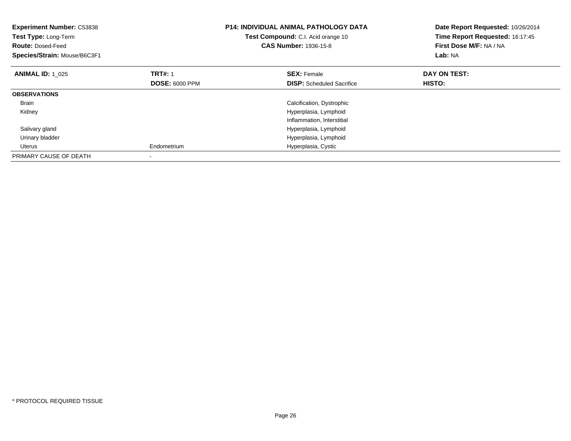| <b>Experiment Number: C53838</b><br>Test Type: Long-Term<br><b>Route: Dosed-Feed</b><br>Species/Strain: Mouse/B6C3F1 |                       | <b>P14: INDIVIDUAL ANIMAL PATHOLOGY DATA</b><br>Test Compound: C.I. Acid orange 10<br><b>CAS Number: 1936-15-8</b> | Date Report Requested: 10/26/2014<br>Time Report Requested: 16:17:45<br>First Dose M/F: NA / NA<br>Lab: NA |  |
|----------------------------------------------------------------------------------------------------------------------|-----------------------|--------------------------------------------------------------------------------------------------------------------|------------------------------------------------------------------------------------------------------------|--|
| <b>ANIMAL ID: 1 025</b>                                                                                              | <b>TRT#: 1</b>        | <b>SEX: Female</b>                                                                                                 | DAY ON TEST:                                                                                               |  |
|                                                                                                                      | <b>DOSE: 6000 PPM</b> | <b>DISP:</b> Scheduled Sacrifice                                                                                   | HISTO:                                                                                                     |  |
| <b>OBSERVATIONS</b>                                                                                                  |                       |                                                                                                                    |                                                                                                            |  |
| <b>Brain</b>                                                                                                         |                       | Calcification, Dystrophic                                                                                          |                                                                                                            |  |
| Kidney                                                                                                               |                       | Hyperplasia, Lymphoid                                                                                              |                                                                                                            |  |
|                                                                                                                      |                       | Inflammation, Interstitial                                                                                         |                                                                                                            |  |
| Salivary gland                                                                                                       |                       | Hyperplasia, Lymphoid                                                                                              |                                                                                                            |  |
| Urinary bladder                                                                                                      |                       | Hyperplasia, Lymphoid                                                                                              |                                                                                                            |  |
| Uterus                                                                                                               | Endometrium           | Hyperplasia, Cystic                                                                                                |                                                                                                            |  |
| PRIMARY CAUSE OF DEATH                                                                                               |                       |                                                                                                                    |                                                                                                            |  |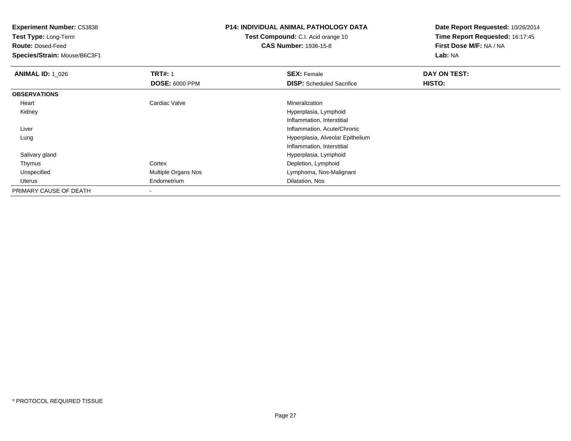**Test Type:** Long-Term

**Route:** Dosed-Feed

**Species/Strain:** Mouse/B6C3F1

#### **P14: INDIVIDUAL ANIMAL PATHOLOGY DATA**

# **Test Compound:** C.I. Acid orange 10**CAS Number:** 1936-15-8

| <b>ANIMAL ID: 1 026</b> | <b>TRT#: 1</b>        | <b>SEX: Female</b>               | DAY ON TEST: |  |
|-------------------------|-----------------------|----------------------------------|--------------|--|
|                         | <b>DOSE: 6000 PPM</b> | <b>DISP:</b> Scheduled Sacrifice | HISTO:       |  |
| <b>OBSERVATIONS</b>     |                       |                                  |              |  |
| Heart                   | Cardiac Valve         | Mineralization                   |              |  |
| Kidney                  |                       | Hyperplasia, Lymphoid            |              |  |
|                         |                       | Inflammation, Interstitial       |              |  |
| Liver                   |                       | Inflammation, Acute/Chronic      |              |  |
| Lung                    |                       | Hyperplasia, Alveolar Epithelium |              |  |
|                         |                       | Inflammation, Interstitial       |              |  |
| Salivary gland          |                       | Hyperplasia, Lymphoid            |              |  |
| Thymus                  | Cortex                | Depletion, Lymphoid              |              |  |
| Unspecified             | Multiple Organs Nos   | Lymphoma, Nos-Malignant          |              |  |
| Uterus                  | Endometrium           | Dilatation, Nos                  |              |  |
| PRIMARY CAUSE OF DEATH  |                       |                                  |              |  |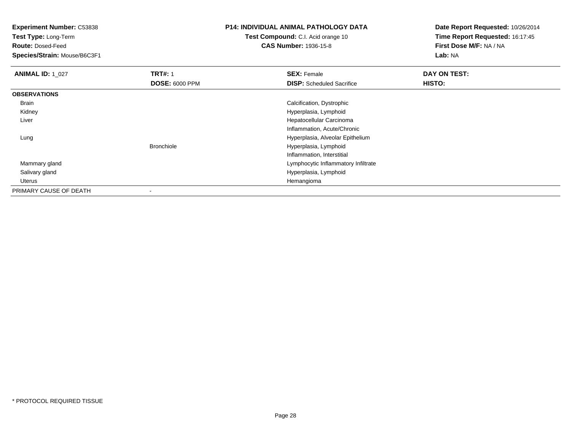**Test Type:** Long-Term

**Route:** Dosed-Feed

**Species/Strain:** Mouse/B6C3F1

## **P14: INDIVIDUAL ANIMAL PATHOLOGY DATA**

**Test Compound:** C.I. Acid orange 10**CAS Number:** 1936-15-8

| <b>ANIMAL ID: 1_027</b> | <b>TRT#: 1</b>        | <b>SEX: Female</b>                  | DAY ON TEST: |  |
|-------------------------|-----------------------|-------------------------------------|--------------|--|
|                         | <b>DOSE: 6000 PPM</b> | <b>DISP:</b> Scheduled Sacrifice    | HISTO:       |  |
| <b>OBSERVATIONS</b>     |                       |                                     |              |  |
| Brain                   |                       | Calcification, Dystrophic           |              |  |
| Kidney                  |                       | Hyperplasia, Lymphoid               |              |  |
| Liver                   |                       | Hepatocellular Carcinoma            |              |  |
|                         |                       | Inflammation, Acute/Chronic         |              |  |
| Lung                    |                       | Hyperplasia, Alveolar Epithelium    |              |  |
|                         | <b>Bronchiole</b>     | Hyperplasia, Lymphoid               |              |  |
|                         |                       | Inflammation, Interstitial          |              |  |
| Mammary gland           |                       | Lymphocytic Inflammatory Infiltrate |              |  |
| Salivary gland          |                       | Hyperplasia, Lymphoid               |              |  |
| Uterus                  |                       | Hemangioma                          |              |  |
| PRIMARY CAUSE OF DEATH  | ۰                     |                                     |              |  |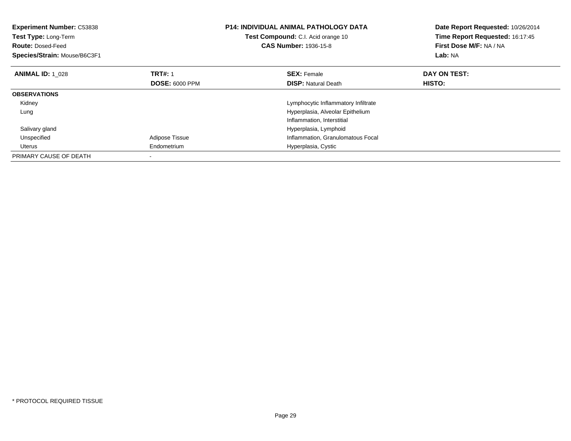| <b>Experiment Number: C53838</b><br>Test Type: Long-Term<br><b>Route: Dosed-Feed</b><br>Species/Strain: Mouse/B6C3F1 |                       | <b>P14: INDIVIDUAL ANIMAL PATHOLOGY DATA</b><br>Test Compound: C.I. Acid orange 10<br><b>CAS Number: 1936-15-8</b> | Date Report Requested: 10/26/2014<br>Time Report Requested: 16:17:45<br>First Dose M/F: NA / NA<br>Lab: NA |
|----------------------------------------------------------------------------------------------------------------------|-----------------------|--------------------------------------------------------------------------------------------------------------------|------------------------------------------------------------------------------------------------------------|
| <b>ANIMAL ID: 1 028</b>                                                                                              | <b>TRT#: 1</b>        | <b>SEX: Female</b>                                                                                                 | DAY ON TEST:                                                                                               |
|                                                                                                                      | <b>DOSE: 6000 PPM</b> | <b>DISP:</b> Natural Death                                                                                         | <b>HISTO:</b>                                                                                              |
| <b>OBSERVATIONS</b>                                                                                                  |                       |                                                                                                                    |                                                                                                            |
| Kidney                                                                                                               |                       | Lymphocytic Inflammatory Infiltrate                                                                                |                                                                                                            |
| Lung                                                                                                                 |                       | Hyperplasia, Alveolar Epithelium                                                                                   |                                                                                                            |
|                                                                                                                      |                       | Inflammation, Interstitial                                                                                         |                                                                                                            |
| Salivary gland                                                                                                       |                       | Hyperplasia, Lymphoid                                                                                              |                                                                                                            |
| Unspecified                                                                                                          | Adipose Tissue        | Inflammation, Granulomatous Focal                                                                                  |                                                                                                            |
| Uterus                                                                                                               | Endometrium           | Hyperplasia, Cystic                                                                                                |                                                                                                            |
| PRIMARY CAUSE OF DEATH                                                                                               |                       |                                                                                                                    |                                                                                                            |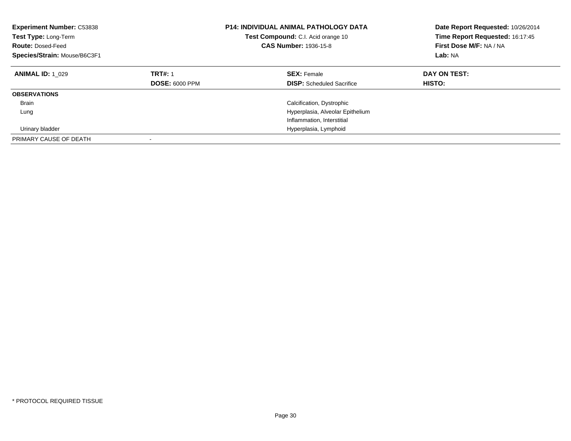| <b>Experiment Number: C53838</b><br>Test Type: Long-Term<br><b>Route: Dosed-Feed</b><br>Species/Strain: Mouse/B6C3F1 |                                         | <b>P14: INDIVIDUAL ANIMAL PATHOLOGY DATA</b><br>Test Compound: C.I. Acid orange 10<br><b>CAS Number: 1936-15-8</b> | Date Report Requested: 10/26/2014<br>Time Report Requested: 16:17:45<br>First Dose M/F: NA / NA<br>Lab: NA |
|----------------------------------------------------------------------------------------------------------------------|-----------------------------------------|--------------------------------------------------------------------------------------------------------------------|------------------------------------------------------------------------------------------------------------|
| <b>ANIMAL ID: 1 029</b>                                                                                              | <b>TRT#: 1</b><br><b>DOSE: 6000 PPM</b> | <b>SEX: Female</b><br><b>DISP:</b> Scheduled Sacrifice                                                             | DAY ON TEST:<br><b>HISTO:</b>                                                                              |
| <b>OBSERVATIONS</b>                                                                                                  |                                         |                                                                                                                    |                                                                                                            |
| Brain                                                                                                                |                                         | Calcification, Dystrophic                                                                                          |                                                                                                            |
| Lung                                                                                                                 |                                         | Hyperplasia, Alveolar Epithelium                                                                                   |                                                                                                            |
|                                                                                                                      |                                         | Inflammation, Interstitial                                                                                         |                                                                                                            |
| Urinary bladder                                                                                                      |                                         | Hyperplasia, Lymphoid                                                                                              |                                                                                                            |
| PRIMARY CAUSE OF DEATH                                                                                               |                                         |                                                                                                                    |                                                                                                            |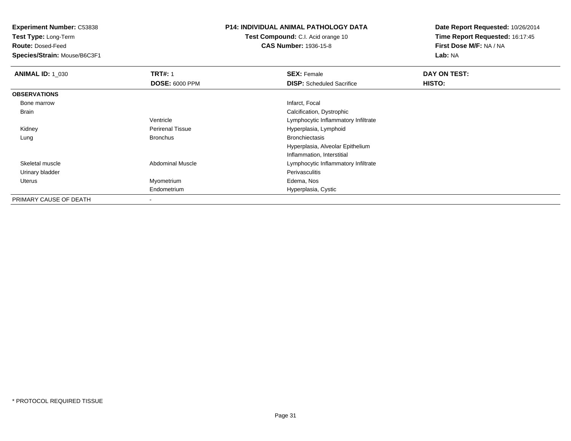**Test Type:** Long-Term

**Route:** Dosed-Feed

**Species/Strain:** Mouse/B6C3F1

#### **P14: INDIVIDUAL ANIMAL PATHOLOGY DATA**

**Test Compound:** C.I. Acid orange 10**CAS Number:** 1936-15-8

| <b>ANIMAL ID: 1 030</b> | <b>TRT#: 1</b>          | <b>SEX: Female</b>                  | DAY ON TEST: |  |
|-------------------------|-------------------------|-------------------------------------|--------------|--|
|                         | <b>DOSE: 6000 PPM</b>   | <b>DISP:</b> Scheduled Sacrifice    | HISTO:       |  |
| <b>OBSERVATIONS</b>     |                         |                                     |              |  |
| Bone marrow             |                         | Infarct, Focal                      |              |  |
| Brain                   |                         | Calcification, Dystrophic           |              |  |
|                         | Ventricle               | Lymphocytic Inflammatory Infiltrate |              |  |
| Kidney                  | <b>Perirenal Tissue</b> | Hyperplasia, Lymphoid               |              |  |
| Lung                    | <b>Bronchus</b>         | <b>Bronchiectasis</b>               |              |  |
|                         |                         | Hyperplasia, Alveolar Epithelium    |              |  |
|                         |                         | Inflammation, Interstitial          |              |  |
| Skeletal muscle         | <b>Abdominal Muscle</b> | Lymphocytic Inflammatory Infiltrate |              |  |
| Urinary bladder         |                         | Perivasculitis                      |              |  |
| Uterus                  | Myometrium              | Edema, Nos                          |              |  |
|                         | Endometrium             | Hyperplasia, Cystic                 |              |  |
| PRIMARY CAUSE OF DEATH  |                         |                                     |              |  |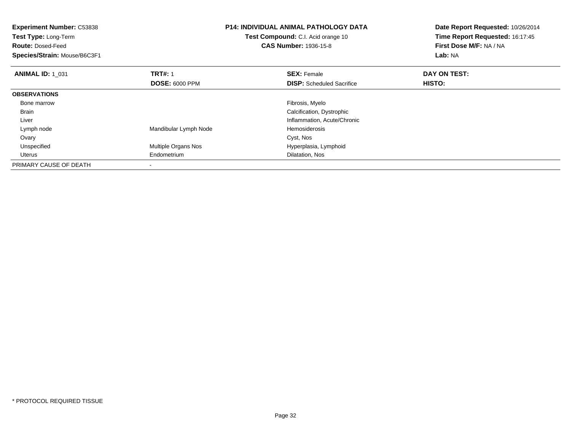| <b>Experiment Number: C53838</b><br>Test Type: Long-Term<br><b>Route: Dosed-Feed</b> |                       | <b>P14: INDIVIDUAL ANIMAL PATHOLOGY DATA</b><br>Test Compound: C.I. Acid orange 10<br><b>CAS Number: 1936-15-8</b> | Date Report Requested: 10/26/2014<br>Time Report Requested: 16:17:45<br>First Dose M/F: NA / NA |
|--------------------------------------------------------------------------------------|-----------------------|--------------------------------------------------------------------------------------------------------------------|-------------------------------------------------------------------------------------------------|
| Species/Strain: Mouse/B6C3F1                                                         |                       |                                                                                                                    | Lab: NA                                                                                         |
| <b>ANIMAL ID: 1 031</b>                                                              | <b>TRT#: 1</b>        | <b>SEX: Female</b>                                                                                                 | DAY ON TEST:                                                                                    |
|                                                                                      | <b>DOSE: 6000 PPM</b> | <b>DISP:</b> Scheduled Sacrifice                                                                                   | HISTO:                                                                                          |
| <b>OBSERVATIONS</b>                                                                  |                       |                                                                                                                    |                                                                                                 |
| Bone marrow                                                                          |                       | Fibrosis, Myelo                                                                                                    |                                                                                                 |
| Brain                                                                                |                       | Calcification, Dystrophic                                                                                          |                                                                                                 |
| Liver                                                                                |                       | Inflammation, Acute/Chronic                                                                                        |                                                                                                 |
| Lymph node                                                                           | Mandibular Lymph Node | Hemosiderosis                                                                                                      |                                                                                                 |
| Ovary                                                                                |                       | Cyst, Nos                                                                                                          |                                                                                                 |
| Unspecified                                                                          | Multiple Organs Nos   | Hyperplasia, Lymphoid                                                                                              |                                                                                                 |
| Uterus                                                                               | Endometrium           | Dilatation, Nos                                                                                                    |                                                                                                 |
| PRIMARY CAUSE OF DEATH                                                               |                       |                                                                                                                    |                                                                                                 |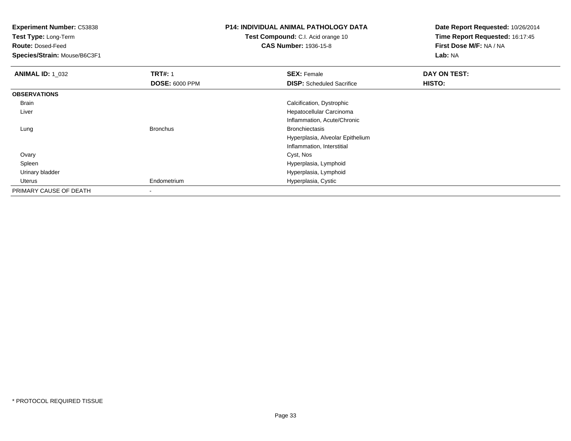**Test Type:** Long-Term

**Route:** Dosed-Feed

**Species/Strain:** Mouse/B6C3F1

# **P14: INDIVIDUAL ANIMAL PATHOLOGY DATA**

**Test Compound:** C.I. Acid orange 10**CAS Number:** 1936-15-8

| <b>ANIMAL ID: 1 032</b> | <b>TRT#: 1</b>        | <b>SEX: Female</b>               | DAY ON TEST: |  |
|-------------------------|-----------------------|----------------------------------|--------------|--|
|                         | <b>DOSE: 6000 PPM</b> | <b>DISP:</b> Scheduled Sacrifice | HISTO:       |  |
| <b>OBSERVATIONS</b>     |                       |                                  |              |  |
| Brain                   |                       | Calcification, Dystrophic        |              |  |
| Liver                   |                       | Hepatocellular Carcinoma         |              |  |
|                         |                       | Inflammation, Acute/Chronic      |              |  |
| Lung                    | <b>Bronchus</b>       | <b>Bronchiectasis</b>            |              |  |
|                         |                       | Hyperplasia, Alveolar Epithelium |              |  |
|                         |                       | Inflammation, Interstitial       |              |  |
| Ovary                   |                       | Cyst, Nos                        |              |  |
| Spleen                  |                       | Hyperplasia, Lymphoid            |              |  |
| Urinary bladder         |                       | Hyperplasia, Lymphoid            |              |  |
| Uterus                  | Endometrium           | Hyperplasia, Cystic              |              |  |
| PRIMARY CAUSE OF DEATH  | ۰                     |                                  |              |  |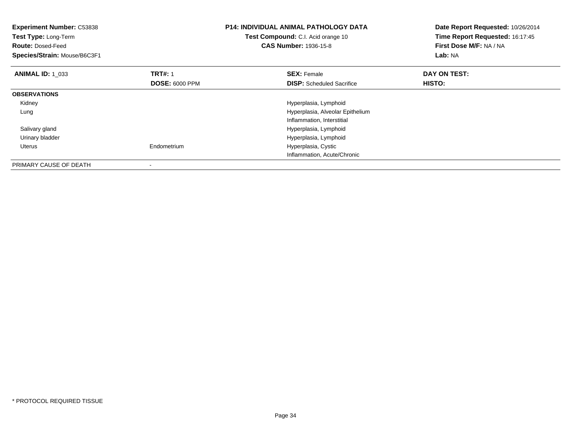| <b>Experiment Number: C53838</b><br>Test Type: Long-Term<br><b>Route: Dosed-Feed</b><br>Species/Strain: Mouse/B6C3F1 |                                         | <b>P14: INDIVIDUAL ANIMAL PATHOLOGY DATA</b><br>Test Compound: C.I. Acid orange 10<br><b>CAS Number: 1936-15-8</b> | Date Report Requested: 10/26/2014<br>Time Report Requested: 16:17:45<br>First Dose M/F: NA / NA<br>Lab: NA |
|----------------------------------------------------------------------------------------------------------------------|-----------------------------------------|--------------------------------------------------------------------------------------------------------------------|------------------------------------------------------------------------------------------------------------|
| <b>ANIMAL ID: 1 033</b>                                                                                              | <b>TRT#: 1</b><br><b>DOSE: 6000 PPM</b> | <b>SEX: Female</b><br><b>DISP:</b> Scheduled Sacrifice                                                             | DAY ON TEST:<br>HISTO:                                                                                     |
| <b>OBSERVATIONS</b>                                                                                                  |                                         |                                                                                                                    |                                                                                                            |
| Kidney                                                                                                               |                                         | Hyperplasia, Lymphoid                                                                                              |                                                                                                            |
| Lung                                                                                                                 |                                         | Hyperplasia, Alveolar Epithelium                                                                                   |                                                                                                            |
|                                                                                                                      |                                         | Inflammation, Interstitial                                                                                         |                                                                                                            |
| Salivary gland                                                                                                       |                                         | Hyperplasia, Lymphoid                                                                                              |                                                                                                            |
| Urinary bladder                                                                                                      |                                         | Hyperplasia, Lymphoid                                                                                              |                                                                                                            |
| Uterus                                                                                                               | Endometrium                             | Hyperplasia, Cystic                                                                                                |                                                                                                            |
|                                                                                                                      |                                         | Inflammation, Acute/Chronic                                                                                        |                                                                                                            |
| PRIMARY CAUSE OF DEATH                                                                                               |                                         |                                                                                                                    |                                                                                                            |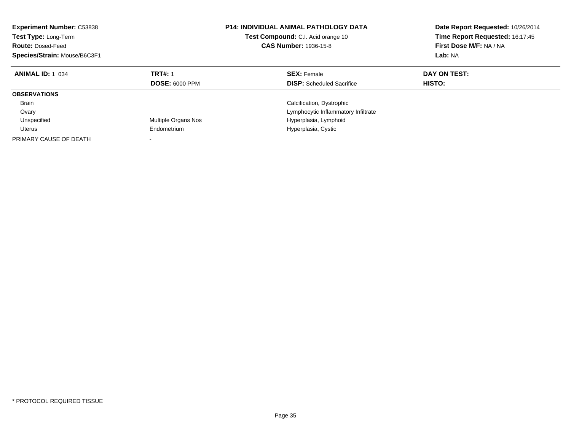| <b>Experiment Number: C53838</b><br>Test Type: Long-Term<br><b>Route: Dosed-Feed</b><br>Species/Strain: Mouse/B6C3F1 |                                         | <b>P14: INDIVIDUAL ANIMAL PATHOLOGY DATA</b><br>Test Compound: C.I. Acid orange 10<br><b>CAS Number: 1936-15-8</b> | Date Report Requested: 10/26/2014<br>Time Report Requested: 16:17:45<br>First Dose M/F: NA / NA<br>Lab: NA |
|----------------------------------------------------------------------------------------------------------------------|-----------------------------------------|--------------------------------------------------------------------------------------------------------------------|------------------------------------------------------------------------------------------------------------|
| <b>ANIMAL ID: 1 034</b>                                                                                              | <b>TRT#: 1</b><br><b>DOSE: 6000 PPM</b> | <b>SEX: Female</b><br><b>DISP:</b> Scheduled Sacrifice                                                             | DAY ON TEST:<br>HISTO:                                                                                     |
| <b>OBSERVATIONS</b>                                                                                                  |                                         |                                                                                                                    |                                                                                                            |
| <b>Brain</b>                                                                                                         |                                         | Calcification, Dystrophic                                                                                          |                                                                                                            |
| Ovary                                                                                                                |                                         | Lymphocytic Inflammatory Infiltrate                                                                                |                                                                                                            |
| Unspecified                                                                                                          | Multiple Organs Nos                     | Hyperplasia, Lymphoid                                                                                              |                                                                                                            |
| Uterus                                                                                                               | Endometrium                             | Hyperplasia, Cystic                                                                                                |                                                                                                            |
| PRIMARY CAUSE OF DEATH                                                                                               |                                         |                                                                                                                    |                                                                                                            |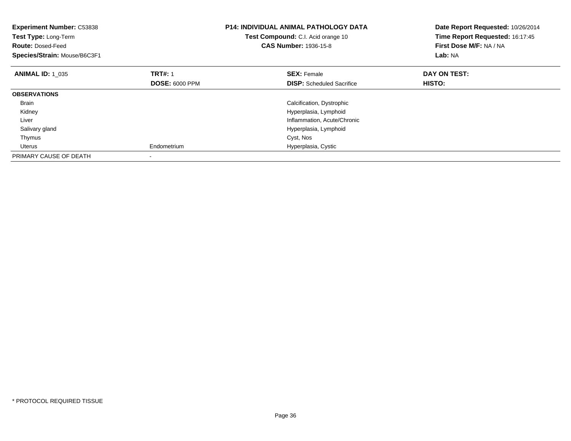| <b>Experiment Number: C53838</b><br>Test Type: Long-Term<br><b>Route: Dosed-Feed</b><br>Species/Strain: Mouse/B6C3F1 |                       | <b>P14: INDIVIDUAL ANIMAL PATHOLOGY DATA</b><br><b>Test Compound:</b> C.I. Acid orange 10<br><b>CAS Number: 1936-15-8</b> | Date Report Requested: 10/26/2014<br>Time Report Requested: 16:17:45<br>First Dose M/F: NA / NA<br>Lab: NA |
|----------------------------------------------------------------------------------------------------------------------|-----------------------|---------------------------------------------------------------------------------------------------------------------------|------------------------------------------------------------------------------------------------------------|
| <b>ANIMAL ID: 1 035</b>                                                                                              | <b>TRT#: 1</b>        | <b>SEX: Female</b>                                                                                                        | DAY ON TEST:                                                                                               |
|                                                                                                                      | <b>DOSE: 6000 PPM</b> | <b>DISP:</b> Scheduled Sacrifice                                                                                          | HISTO:                                                                                                     |
| <b>OBSERVATIONS</b>                                                                                                  |                       |                                                                                                                           |                                                                                                            |
| Brain                                                                                                                |                       | Calcification, Dystrophic                                                                                                 |                                                                                                            |
| Kidney                                                                                                               |                       | Hyperplasia, Lymphoid                                                                                                     |                                                                                                            |
| Liver                                                                                                                |                       | Inflammation, Acute/Chronic                                                                                               |                                                                                                            |
| Salivary gland                                                                                                       |                       | Hyperplasia, Lymphoid                                                                                                     |                                                                                                            |
| Thymus                                                                                                               |                       | Cyst, Nos                                                                                                                 |                                                                                                            |
| Uterus                                                                                                               | Endometrium           | Hyperplasia, Cystic                                                                                                       |                                                                                                            |
| PRIMARY CAUSE OF DEATH                                                                                               |                       |                                                                                                                           |                                                                                                            |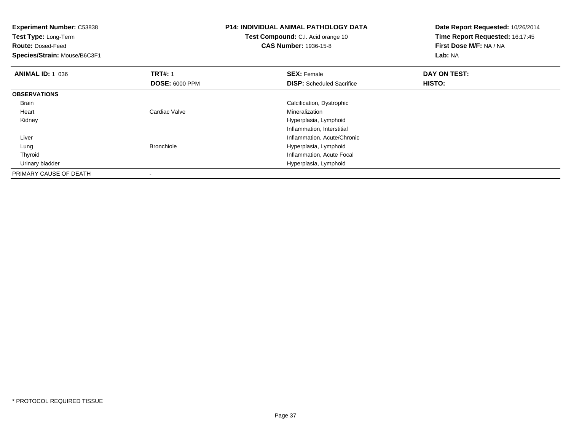| <b>Experiment Number: C53838</b><br>Test Type: Long-Term<br><b>Route: Dosed-Feed</b><br>Species/Strain: Mouse/B6C3F1 |                                         | <b>P14: INDIVIDUAL ANIMAL PATHOLOGY DATA</b><br>Test Compound: C.I. Acid orange 10<br><b>CAS Number: 1936-15-8</b> | Date Report Requested: 10/26/2014<br>Time Report Requested: 16:17:45<br>First Dose M/F: NA / NA<br>Lab: NA |
|----------------------------------------------------------------------------------------------------------------------|-----------------------------------------|--------------------------------------------------------------------------------------------------------------------|------------------------------------------------------------------------------------------------------------|
| <b>ANIMAL ID: 1 036</b>                                                                                              | <b>TRT#: 1</b><br><b>DOSE: 6000 PPM</b> | <b>SEX: Female</b><br><b>DISP:</b> Scheduled Sacrifice                                                             | DAY ON TEST:<br>HISTO:                                                                                     |
| <b>OBSERVATIONS</b>                                                                                                  |                                         |                                                                                                                    |                                                                                                            |
| Brain                                                                                                                |                                         | Calcification, Dystrophic                                                                                          |                                                                                                            |
| Heart                                                                                                                | Cardiac Valve                           | Mineralization                                                                                                     |                                                                                                            |
| Kidney                                                                                                               |                                         | Hyperplasia, Lymphoid                                                                                              |                                                                                                            |
|                                                                                                                      |                                         | Inflammation, Interstitial                                                                                         |                                                                                                            |
| Liver                                                                                                                |                                         | Inflammation, Acute/Chronic                                                                                        |                                                                                                            |
| Lung                                                                                                                 | <b>Bronchiole</b>                       | Hyperplasia, Lymphoid                                                                                              |                                                                                                            |
| Thyroid                                                                                                              |                                         | Inflammation, Acute Focal                                                                                          |                                                                                                            |
| Urinary bladder                                                                                                      |                                         | Hyperplasia, Lymphoid                                                                                              |                                                                                                            |
| PRIMARY CAUSE OF DEATH                                                                                               |                                         |                                                                                                                    |                                                                                                            |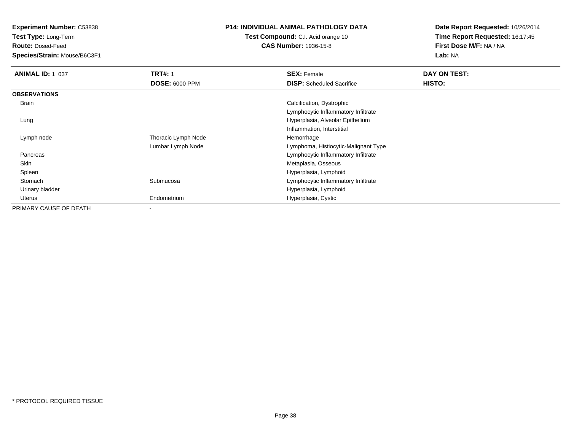**Test Type:** Long-Term

**Route:** Dosed-Feed

**Species/Strain:** Mouse/B6C3F1

# **P14: INDIVIDUAL ANIMAL PATHOLOGY DATA**

**Test Compound:** C.I. Acid orange 10**CAS Number:** 1936-15-8

| <b>ANIMAL ID: 1 037</b> | <b>TRT#: 1</b>        | <b>SEX: Female</b>                   | DAY ON TEST: |
|-------------------------|-----------------------|--------------------------------------|--------------|
|                         | <b>DOSE: 6000 PPM</b> | <b>DISP:</b> Scheduled Sacrifice     | HISTO:       |
| <b>OBSERVATIONS</b>     |                       |                                      |              |
| <b>Brain</b>            |                       | Calcification, Dystrophic            |              |
|                         |                       | Lymphocytic Inflammatory Infiltrate  |              |
| Lung                    |                       | Hyperplasia, Alveolar Epithelium     |              |
|                         |                       | Inflammation, Interstitial           |              |
| Lymph node              | Thoracic Lymph Node   | Hemorrhage                           |              |
|                         | Lumbar Lymph Node     | Lymphoma, Histiocytic-Malignant Type |              |
| Pancreas                |                       | Lymphocytic Inflammatory Infiltrate  |              |
| Skin                    |                       | Metaplasia, Osseous                  |              |
| Spleen                  |                       | Hyperplasia, Lymphoid                |              |
| Stomach                 | Submucosa             | Lymphocytic Inflammatory Infiltrate  |              |
| Urinary bladder         |                       | Hyperplasia, Lymphoid                |              |
| Uterus                  | Endometrium           | Hyperplasia, Cystic                  |              |
| PRIMARY CAUSE OF DEATH  |                       |                                      |              |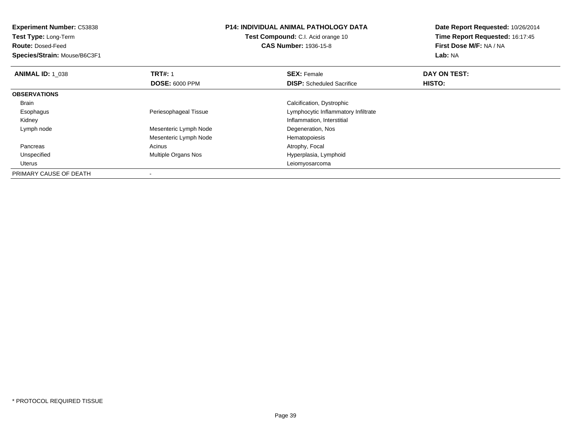**Test Type:** Long-Term

**Route:** Dosed-Feed

**Species/Strain:** Mouse/B6C3F1

#### **P14: INDIVIDUAL ANIMAL PATHOLOGY DATA**

**Test Compound:** C.I. Acid orange 10**CAS Number:** 1936-15-8

| <b>ANIMAL ID: 1 038</b> | <b>TRT#: 1</b>        | <b>SEX: Female</b>                  | DAY ON TEST: |  |
|-------------------------|-----------------------|-------------------------------------|--------------|--|
|                         | <b>DOSE: 6000 PPM</b> | <b>DISP:</b> Scheduled Sacrifice    | HISTO:       |  |
| <b>OBSERVATIONS</b>     |                       |                                     |              |  |
| Brain                   |                       | Calcification, Dystrophic           |              |  |
| Esophagus               | Periesophageal Tissue | Lymphocytic Inflammatory Infiltrate |              |  |
| Kidney                  |                       | Inflammation, Interstitial          |              |  |
| Lymph node              | Mesenteric Lymph Node | Degeneration, Nos                   |              |  |
|                         | Mesenteric Lymph Node | Hematopoiesis                       |              |  |
| Pancreas                | Acinus                | Atrophy, Focal                      |              |  |
| Unspecified             | Multiple Organs Nos   | Hyperplasia, Lymphoid               |              |  |
| Uterus                  |                       | Leiomyosarcoma                      |              |  |
| PRIMARY CAUSE OF DEATH  |                       |                                     |              |  |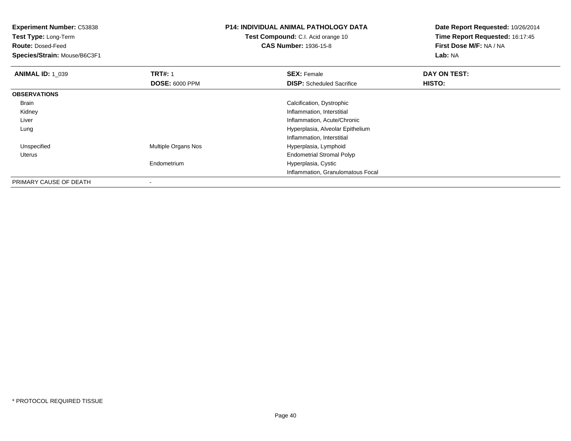**Experiment Number:** C53838**Test Type:** Long-Term**Route:** Dosed-Feed **Species/Strain:** Mouse/B6C3F1**P14: INDIVIDUAL ANIMAL PATHOLOGY DATATest Compound:** C.I. Acid orange 10**CAS Number:** 1936-15-8**Date Report Requested:** 10/26/2014**Time Report Requested:** 16:17:45**First Dose M/F:** NA / NA**Lab:** NA**ANIMAL ID: 1\_039 TRT#:** 1 **SEX:** Female **DAY ON TEST: DOSE:** 6000 PPM**DISP:** Scheduled Sacrifice **HISTO: OBSERVATIONS** Brain Calcification, Dystrophic Kidney Inflammation, Interstitial Liver Inflammation, Acute/Chronic Hyperplasia, Alveolar Epithelium LungInflammation, Interstitial UnspecifiedMultiple Organs Nos **Hyperplasia, Lymphoid**  Uterus Endometrial Stromal PolypEndometrium Hyperplasia, Cystic Inflammation, Granulomatous Focal

PRIMARY CAUSE OF DEATH-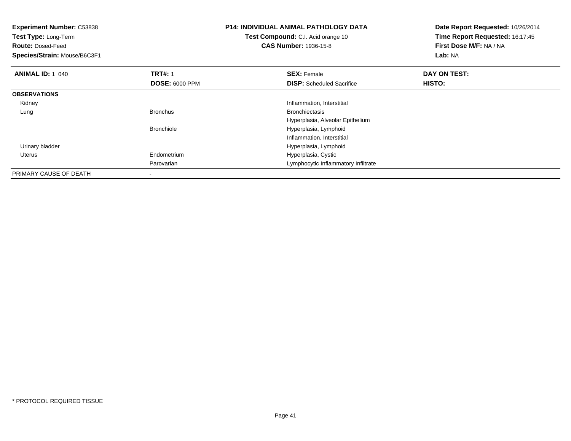| <b>Experiment Number: C53838</b><br>Test Type: Long-Term<br><b>Route: Dosed-Feed</b><br>Species/Strain: Mouse/B6C3F1 | <b>P14: INDIVIDUAL ANIMAL PATHOLOGY DATA</b><br><b>Test Compound:</b> C.I. Acid orange 10<br><b>CAS Number: 1936-15-8</b> |                                     | Date Report Requested: 10/26/2014<br>Time Report Requested: 16:17:45<br>First Dose M/F: NA / NA<br>Lab: NA |
|----------------------------------------------------------------------------------------------------------------------|---------------------------------------------------------------------------------------------------------------------------|-------------------------------------|------------------------------------------------------------------------------------------------------------|
| <b>ANIMAL ID: 1 040</b>                                                                                              | <b>TRT#: 1</b>                                                                                                            | <b>SEX: Female</b>                  | DAY ON TEST:                                                                                               |
|                                                                                                                      | <b>DOSE: 6000 PPM</b>                                                                                                     | <b>DISP:</b> Scheduled Sacrifice    | HISTO:                                                                                                     |
| <b>OBSERVATIONS</b>                                                                                                  |                                                                                                                           |                                     |                                                                                                            |
| Kidney                                                                                                               |                                                                                                                           | Inflammation, Interstitial          |                                                                                                            |
| Lung                                                                                                                 | <b>Bronchus</b>                                                                                                           | <b>Bronchiectasis</b>               |                                                                                                            |
|                                                                                                                      |                                                                                                                           | Hyperplasia, Alveolar Epithelium    |                                                                                                            |
|                                                                                                                      | <b>Bronchiole</b>                                                                                                         | Hyperplasia, Lymphoid               |                                                                                                            |
|                                                                                                                      |                                                                                                                           | Inflammation, Interstitial          |                                                                                                            |
| Urinary bladder                                                                                                      |                                                                                                                           | Hyperplasia, Lymphoid               |                                                                                                            |
| Uterus                                                                                                               | Endometrium                                                                                                               | Hyperplasia, Cystic                 |                                                                                                            |
|                                                                                                                      | Parovarian                                                                                                                | Lymphocytic Inflammatory Infiltrate |                                                                                                            |
| PRIMARY CAUSE OF DEATH                                                                                               |                                                                                                                           |                                     |                                                                                                            |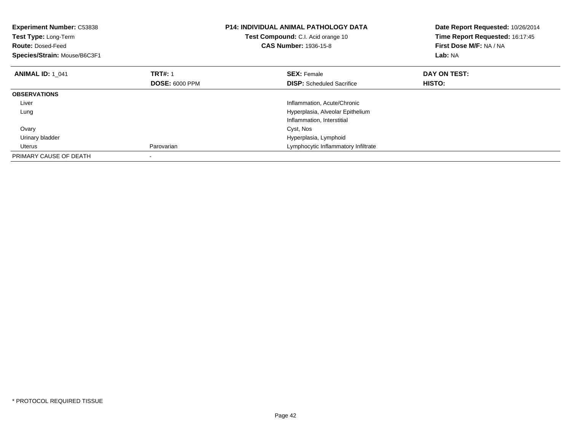| <b>Experiment Number: C53838</b><br>Test Type: Long-Term<br><b>Route: Dosed-Feed</b><br>Species/Strain: Mouse/B6C3F1 |                       | <b>P14: INDIVIDUAL ANIMAL PATHOLOGY DATA</b><br><b>Test Compound:</b> C.I. Acid orange 10<br><b>CAS Number: 1936-15-8</b> | Date Report Requested: 10/26/2014<br>Time Report Requested: 16:17:45<br>First Dose M/F: NA / NA<br>Lab: NA |
|----------------------------------------------------------------------------------------------------------------------|-----------------------|---------------------------------------------------------------------------------------------------------------------------|------------------------------------------------------------------------------------------------------------|
| <b>ANIMAL ID: 1 041</b>                                                                                              | <b>TRT#: 1</b>        | <b>SEX: Female</b>                                                                                                        | DAY ON TEST:                                                                                               |
|                                                                                                                      | <b>DOSE: 6000 PPM</b> | <b>DISP:</b> Scheduled Sacrifice                                                                                          | HISTO:                                                                                                     |
| <b>OBSERVATIONS</b>                                                                                                  |                       |                                                                                                                           |                                                                                                            |
| Liver                                                                                                                |                       | Inflammation, Acute/Chronic                                                                                               |                                                                                                            |
| Lung                                                                                                                 |                       | Hyperplasia, Alveolar Epithelium                                                                                          |                                                                                                            |
|                                                                                                                      |                       | Inflammation, Interstitial                                                                                                |                                                                                                            |
| Ovary                                                                                                                |                       | Cyst, Nos                                                                                                                 |                                                                                                            |
| Urinary bladder                                                                                                      |                       | Hyperplasia, Lymphoid                                                                                                     |                                                                                                            |
| Uterus                                                                                                               | Parovarian            | Lymphocytic Inflammatory Infiltrate                                                                                       |                                                                                                            |
| PRIMARY CAUSE OF DEATH                                                                                               |                       |                                                                                                                           |                                                                                                            |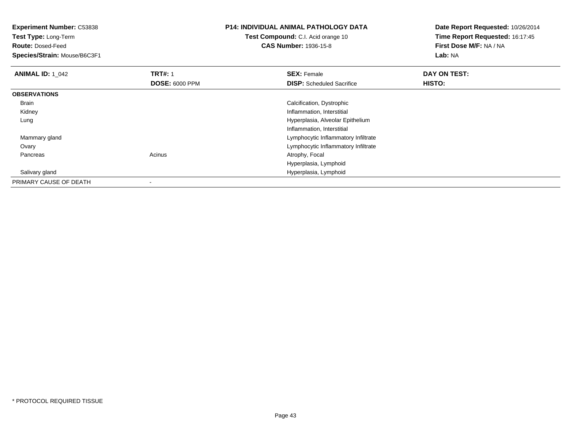**Experiment Number:** C53838**Test Type:** Long-Term**Route:** Dosed-Feed **Species/Strain:** Mouse/B6C3F1**P14: INDIVIDUAL ANIMAL PATHOLOGY DATATest Compound:** C.I. Acid orange 10**CAS Number:** 1936-15-8**Date Report Requested:** 10/26/2014**Time Report Requested:** 16:17:45**First Dose M/F:** NA / NA**Lab:** NA**ANIMAL ID: 1\_042 TRT#:** 1 **SEX:** Female **DAY ON TEST: DOSE:** 6000 PPM**DISP:** Scheduled Sacrifice **HISTO: OBSERVATIONS** Brain Calcification, Dystrophic Kidney Inflammation, Interstitial Lung Hyperplasia, Alveolar EpitheliumInflammation, Interstitial Mammary gland Lymphocytic Inflammatory Infiltrate **Ovary**  Lymphocytic Inflammatory Infiltrate PancreasAcinus **Acinus** Atrophy, Focal Hyperplasia, Lymphoid Hyperplasia, Lymphoid Salivary glandPRIMARY CAUSE OF DEATH

-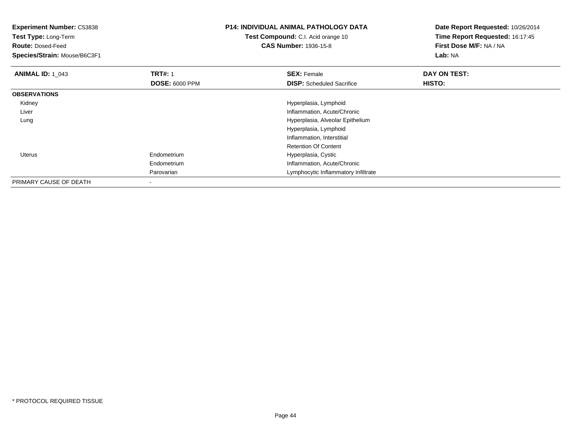| <b>Experiment Number: C53838</b><br>Test Type: Long-Term<br><b>Route: Dosed-Feed</b><br>Species/Strain: Mouse/B6C3F1 |                       | <b>P14: INDIVIDUAL ANIMAL PATHOLOGY DATA</b><br>Test Compound: C.I. Acid orange 10<br><b>CAS Number: 1936-15-8</b> | Date Report Requested: 10/26/2014<br>Time Report Requested: 16:17:45<br>First Dose M/F: NA / NA<br>Lab: NA |
|----------------------------------------------------------------------------------------------------------------------|-----------------------|--------------------------------------------------------------------------------------------------------------------|------------------------------------------------------------------------------------------------------------|
| <b>ANIMAL ID: 1 043</b>                                                                                              | <b>TRT#: 1</b>        | <b>SEX: Female</b>                                                                                                 | DAY ON TEST:                                                                                               |
|                                                                                                                      | <b>DOSE: 6000 PPM</b> | <b>DISP:</b> Scheduled Sacrifice                                                                                   | HISTO:                                                                                                     |
| <b>OBSERVATIONS</b>                                                                                                  |                       |                                                                                                                    |                                                                                                            |
| Kidney                                                                                                               |                       | Hyperplasia, Lymphoid                                                                                              |                                                                                                            |
| Liver                                                                                                                |                       | Inflammation, Acute/Chronic                                                                                        |                                                                                                            |
| Lung                                                                                                                 |                       | Hyperplasia, Alveolar Epithelium                                                                                   |                                                                                                            |
|                                                                                                                      |                       | Hyperplasia, Lymphoid                                                                                              |                                                                                                            |
|                                                                                                                      |                       | Inflammation, Interstitial                                                                                         |                                                                                                            |
|                                                                                                                      |                       | <b>Retention Of Content</b>                                                                                        |                                                                                                            |
| <b>Uterus</b>                                                                                                        | Endometrium           | Hyperplasia, Cystic                                                                                                |                                                                                                            |
|                                                                                                                      | Endometrium           | Inflammation, Acute/Chronic                                                                                        |                                                                                                            |
|                                                                                                                      | Parovarian            | Lymphocytic Inflammatory Infiltrate                                                                                |                                                                                                            |
| PRIMARY CAUSE OF DEATH                                                                                               |                       |                                                                                                                    |                                                                                                            |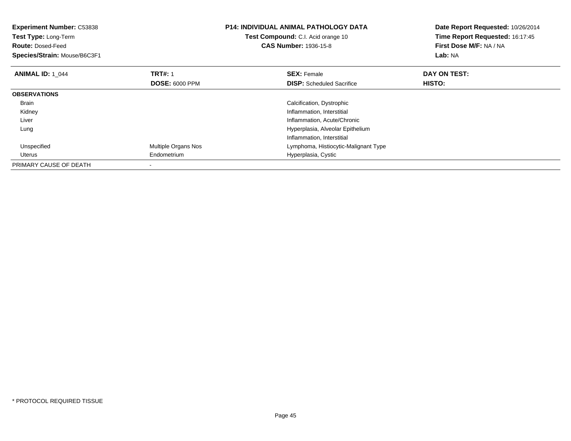| <b>Experiment Number: C53838</b><br>Test Type: Long-Term<br><b>Route: Dosed-Feed</b><br>Species/Strain: Mouse/B6C3F1 |                       | <b>P14: INDIVIDUAL ANIMAL PATHOLOGY DATA</b><br>Test Compound: C.I. Acid orange 10<br><b>CAS Number: 1936-15-8</b> | Date Report Requested: 10/26/2014<br>Time Report Requested: 16:17:45<br>First Dose M/F: NA / NA<br>Lab: NA |
|----------------------------------------------------------------------------------------------------------------------|-----------------------|--------------------------------------------------------------------------------------------------------------------|------------------------------------------------------------------------------------------------------------|
| <b>ANIMAL ID: 1 044</b>                                                                                              | <b>TRT#: 1</b>        | <b>SEX: Female</b>                                                                                                 | DAY ON TEST:                                                                                               |
|                                                                                                                      | <b>DOSE: 6000 PPM</b> | <b>DISP:</b> Scheduled Sacrifice                                                                                   | HISTO:                                                                                                     |
| <b>OBSERVATIONS</b>                                                                                                  |                       |                                                                                                                    |                                                                                                            |
| <b>Brain</b>                                                                                                         |                       | Calcification, Dystrophic                                                                                          |                                                                                                            |
| Kidney                                                                                                               |                       | Inflammation, Interstitial                                                                                         |                                                                                                            |
| Liver                                                                                                                |                       | Inflammation, Acute/Chronic                                                                                        |                                                                                                            |
| Lung                                                                                                                 |                       | Hyperplasia, Alveolar Epithelium                                                                                   |                                                                                                            |
|                                                                                                                      |                       | Inflammation, Interstitial                                                                                         |                                                                                                            |
| Unspecified                                                                                                          | Multiple Organs Nos   | Lymphoma, Histiocytic-Malignant Type                                                                               |                                                                                                            |
| Uterus                                                                                                               | Endometrium           | Hyperplasia, Cystic                                                                                                |                                                                                                            |
| PRIMARY CAUSE OF DEATH                                                                                               |                       |                                                                                                                    |                                                                                                            |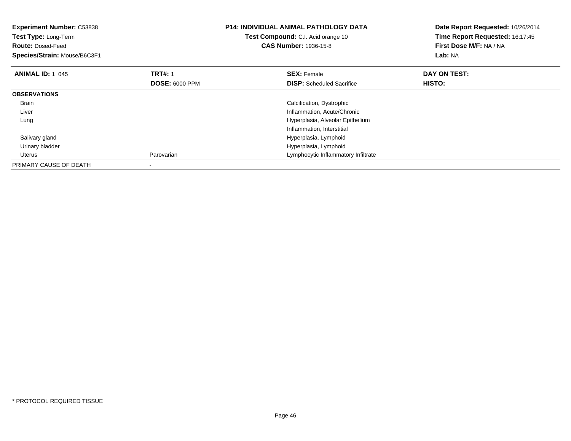| <b>Experiment Number: C53838</b><br>Test Type: Long-Term<br><b>Route: Dosed-Feed</b><br>Species/Strain: Mouse/B6C3F1 |                                         | <b>P14: INDIVIDUAL ANIMAL PATHOLOGY DATA</b><br>Test Compound: C.I. Acid orange 10<br><b>CAS Number: 1936-15-8</b> | Date Report Requested: 10/26/2014<br>Time Report Requested: 16:17:45<br>First Dose M/F: NA / NA<br>Lab: NA |
|----------------------------------------------------------------------------------------------------------------------|-----------------------------------------|--------------------------------------------------------------------------------------------------------------------|------------------------------------------------------------------------------------------------------------|
| <b>ANIMAL ID: 1 045</b>                                                                                              | <b>TRT#:</b> 1<br><b>DOSE: 6000 PPM</b> | <b>SEX: Female</b><br><b>DISP:</b> Scheduled Sacrifice                                                             | DAY ON TEST:<br>HISTO:                                                                                     |
| <b>OBSERVATIONS</b>                                                                                                  |                                         |                                                                                                                    |                                                                                                            |
| <b>Brain</b>                                                                                                         |                                         | Calcification, Dystrophic                                                                                          |                                                                                                            |
| Liver                                                                                                                |                                         | Inflammation, Acute/Chronic                                                                                        |                                                                                                            |
| Lung                                                                                                                 |                                         | Hyperplasia, Alveolar Epithelium                                                                                   |                                                                                                            |
|                                                                                                                      |                                         | Inflammation, Interstitial                                                                                         |                                                                                                            |
| Salivary gland                                                                                                       |                                         | Hyperplasia, Lymphoid                                                                                              |                                                                                                            |
| Urinary bladder                                                                                                      |                                         | Hyperplasia, Lymphoid                                                                                              |                                                                                                            |
| Uterus                                                                                                               | Parovarian                              | Lymphocytic Inflammatory Infiltrate                                                                                |                                                                                                            |
| PRIMARY CAUSE OF DEATH                                                                                               |                                         |                                                                                                                    |                                                                                                            |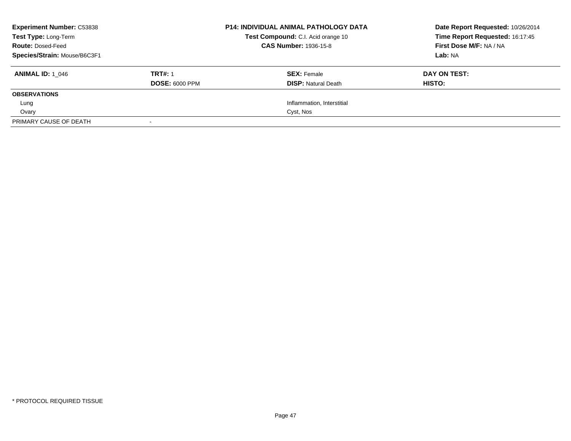| <b>Experiment Number: C53838</b><br>Test Type: Long-Term<br><b>Route: Dosed-Feed</b><br>Species/Strain: Mouse/B6C3F1 |                                         | <b>P14: INDIVIDUAL ANIMAL PATHOLOGY DATA</b><br>Test Compound: C.I. Acid orange 10<br><b>CAS Number: 1936-15-8</b> | Date Report Requested: 10/26/2014<br>Time Report Requested: 16:17:45<br>First Dose M/F: NA / NA<br>Lab: NA |
|----------------------------------------------------------------------------------------------------------------------|-----------------------------------------|--------------------------------------------------------------------------------------------------------------------|------------------------------------------------------------------------------------------------------------|
| <b>ANIMAL ID: 1 046</b>                                                                                              | <b>TRT#: 1</b><br><b>DOSE: 6000 PPM</b> | <b>SEX: Female</b><br><b>DISP: Natural Death</b>                                                                   | DAY ON TEST:<br>HISTO:                                                                                     |
| <b>OBSERVATIONS</b>                                                                                                  |                                         |                                                                                                                    |                                                                                                            |
| Lung                                                                                                                 |                                         | Inflammation, Interstitial                                                                                         |                                                                                                            |
| Ovary                                                                                                                |                                         | Cyst, Nos                                                                                                          |                                                                                                            |
| PRIMARY CAUSE OF DEATH                                                                                               |                                         |                                                                                                                    |                                                                                                            |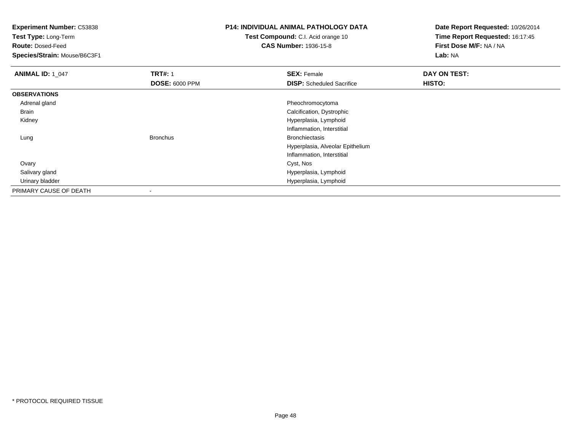**Test Type:** Long-Term

**Route:** Dosed-Feed

**Species/Strain:** Mouse/B6C3F1

## **P14: INDIVIDUAL ANIMAL PATHOLOGY DATA**

**Test Compound:** C.I. Acid orange 10**CAS Number:** 1936-15-8

| <b>ANIMAL ID: 1_047</b> | <b>TRT#: 1</b>        | <b>SEX: Female</b>               | DAY ON TEST: |
|-------------------------|-----------------------|----------------------------------|--------------|
|                         | <b>DOSE: 6000 PPM</b> | <b>DISP:</b> Scheduled Sacrifice | HISTO:       |
| <b>OBSERVATIONS</b>     |                       |                                  |              |
| Adrenal gland           |                       | Pheochromocytoma                 |              |
| Brain                   |                       | Calcification, Dystrophic        |              |
| Kidney                  |                       | Hyperplasia, Lymphoid            |              |
|                         |                       | Inflammation, Interstitial       |              |
| Lung                    | <b>Bronchus</b>       | <b>Bronchiectasis</b>            |              |
|                         |                       | Hyperplasia, Alveolar Epithelium |              |
|                         |                       | Inflammation, Interstitial       |              |
| Ovary                   |                       | Cyst, Nos                        |              |
| Salivary gland          |                       | Hyperplasia, Lymphoid            |              |
| Urinary bladder         |                       | Hyperplasia, Lymphoid            |              |
| PRIMARY CAUSE OF DEATH  |                       |                                  |              |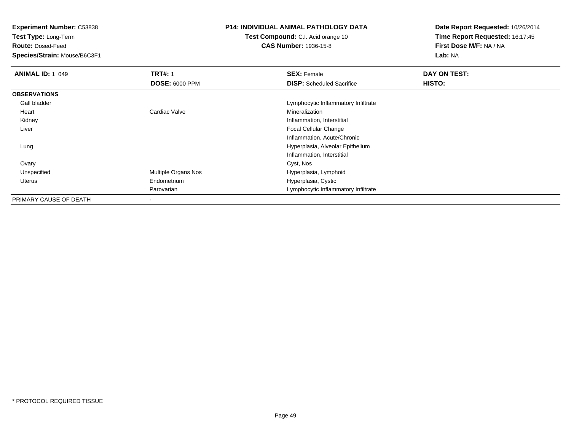**Test Type:** Long-Term

**Route:** Dosed-Feed

**Species/Strain:** Mouse/B6C3F1

## **P14: INDIVIDUAL ANIMAL PATHOLOGY DATA**

**Test Compound:** C.I. Acid orange 10**CAS Number:** 1936-15-8

| <b>ANIMAL ID: 1 049</b> | <b>TRT#: 1</b>             | <b>SEX: Female</b>                  | DAY ON TEST: |  |
|-------------------------|----------------------------|-------------------------------------|--------------|--|
|                         | <b>DOSE: 6000 PPM</b>      | <b>DISP:</b> Scheduled Sacrifice    | HISTO:       |  |
| <b>OBSERVATIONS</b>     |                            |                                     |              |  |
| Gall bladder            |                            | Lymphocytic Inflammatory Infiltrate |              |  |
| Heart                   | Cardiac Valve              | Mineralization                      |              |  |
| Kidney                  |                            | Inflammation, Interstitial          |              |  |
| Liver                   |                            | <b>Focal Cellular Change</b>        |              |  |
|                         |                            | Inflammation, Acute/Chronic         |              |  |
| Lung                    |                            | Hyperplasia, Alveolar Epithelium    |              |  |
|                         |                            | Inflammation, Interstitial          |              |  |
| Ovary                   |                            | Cyst, Nos                           |              |  |
| Unspecified             | <b>Multiple Organs Nos</b> | Hyperplasia, Lymphoid               |              |  |
| Uterus                  | Endometrium                | Hyperplasia, Cystic                 |              |  |
|                         | Parovarian                 | Lymphocytic Inflammatory Infiltrate |              |  |
| PRIMARY CAUSE OF DEATH  | ۰                          |                                     |              |  |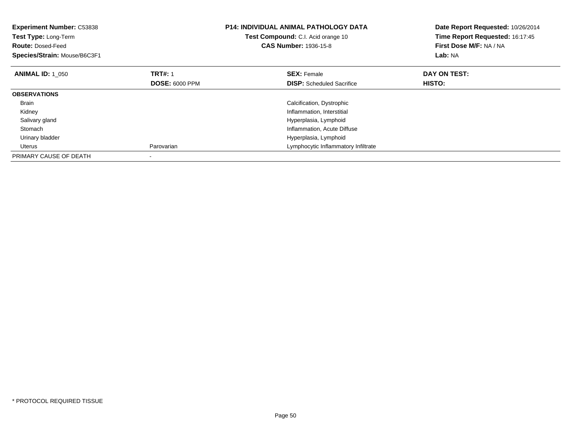| <b>Experiment Number: C53838</b><br>Test Type: Long-Term<br><b>Route: Dosed-Feed</b><br>Species/Strain: Mouse/B6C3F1 |                       | <b>P14: INDIVIDUAL ANIMAL PATHOLOGY DATA</b><br><b>Test Compound:</b> C.I. Acid orange 10<br><b>CAS Number: 1936-15-8</b> | Date Report Requested: 10/26/2014<br>Time Report Requested: 16:17:45<br>First Dose M/F: NA / NA<br>Lab: NA |
|----------------------------------------------------------------------------------------------------------------------|-----------------------|---------------------------------------------------------------------------------------------------------------------------|------------------------------------------------------------------------------------------------------------|
| <b>ANIMAL ID: 1 050</b>                                                                                              | <b>TRT#: 1</b>        | <b>SEX: Female</b>                                                                                                        | DAY ON TEST:                                                                                               |
|                                                                                                                      | <b>DOSE: 6000 PPM</b> | <b>DISP:</b> Scheduled Sacrifice                                                                                          | <b>HISTO:</b>                                                                                              |
| <b>OBSERVATIONS</b>                                                                                                  |                       |                                                                                                                           |                                                                                                            |
| <b>Brain</b>                                                                                                         |                       | Calcification, Dystrophic                                                                                                 |                                                                                                            |
| Kidney                                                                                                               |                       | Inflammation, Interstitial                                                                                                |                                                                                                            |
| Salivary gland                                                                                                       |                       | Hyperplasia, Lymphoid                                                                                                     |                                                                                                            |
| Stomach                                                                                                              |                       | Inflammation, Acute Diffuse                                                                                               |                                                                                                            |
| Urinary bladder                                                                                                      |                       | Hyperplasia, Lymphoid                                                                                                     |                                                                                                            |
| Uterus                                                                                                               | Parovarian            | Lymphocytic Inflammatory Infiltrate                                                                                       |                                                                                                            |
| PRIMARY CAUSE OF DEATH                                                                                               |                       |                                                                                                                           |                                                                                                            |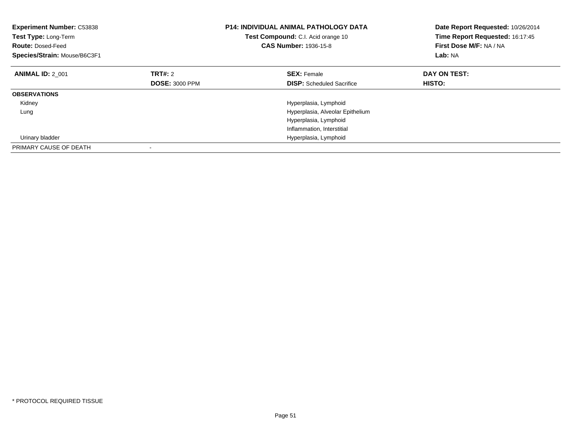| <b>Experiment Number: C53838</b><br>Test Type: Long-Term<br><b>Route: Dosed-Feed</b><br>Species/Strain: Mouse/B6C3F1 | <b>P14: INDIVIDUAL ANIMAL PATHOLOGY DATA</b><br>Test Compound: C.I. Acid orange 10<br><b>CAS Number: 1936-15-8</b> |                                  | Date Report Requested: 10/26/2014<br>Time Report Requested: 16:17:45<br>First Dose M/F: NA / NA<br>Lab: NA |
|----------------------------------------------------------------------------------------------------------------------|--------------------------------------------------------------------------------------------------------------------|----------------------------------|------------------------------------------------------------------------------------------------------------|
| <b>ANIMAL ID: 2 001</b>                                                                                              | TRT#: 2                                                                                                            | <b>SEX: Female</b>               | DAY ON TEST:                                                                                               |
|                                                                                                                      | <b>DOSE: 3000 PPM</b>                                                                                              | <b>DISP:</b> Scheduled Sacrifice | HISTO:                                                                                                     |
| <b>OBSERVATIONS</b>                                                                                                  |                                                                                                                    |                                  |                                                                                                            |
| Kidney                                                                                                               |                                                                                                                    | Hyperplasia, Lymphoid            |                                                                                                            |
| Lung                                                                                                                 |                                                                                                                    | Hyperplasia, Alveolar Epithelium |                                                                                                            |
|                                                                                                                      |                                                                                                                    | Hyperplasia, Lymphoid            |                                                                                                            |
|                                                                                                                      |                                                                                                                    | Inflammation, Interstitial       |                                                                                                            |
| Urinary bladder                                                                                                      |                                                                                                                    | Hyperplasia, Lymphoid            |                                                                                                            |
| PRIMARY CAUSE OF DEATH                                                                                               |                                                                                                                    |                                  |                                                                                                            |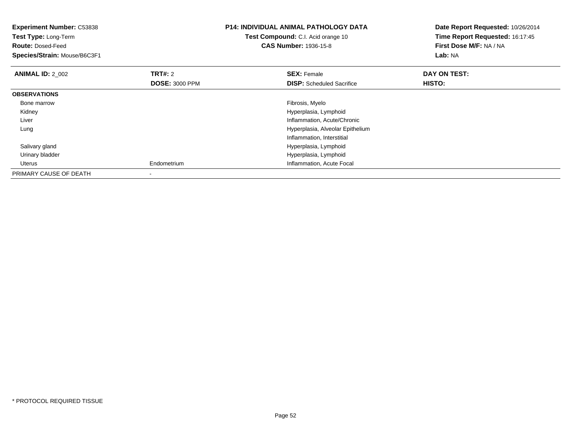| <b>Experiment Number: C53838</b><br>Test Type: Long-Term<br><b>CAS Number: 1936-15-8</b><br><b>Route: Dosed-Feed</b><br>Species/Strain: Mouse/B6C3F1 |                       | <b>P14: INDIVIDUAL ANIMAL PATHOLOGY DATA</b><br>Test Compound: C.I. Acid orange 10 | Date Report Requested: 10/26/2014<br>Time Report Requested: 16:17:45<br>First Dose M/F: NA / NA<br>Lab: NA |
|------------------------------------------------------------------------------------------------------------------------------------------------------|-----------------------|------------------------------------------------------------------------------------|------------------------------------------------------------------------------------------------------------|
| <b>ANIMAL ID: 2 002</b>                                                                                                                              | <b>TRT#:</b> 2        | <b>SEX: Female</b>                                                                 | DAY ON TEST:                                                                                               |
|                                                                                                                                                      | <b>DOSE: 3000 PPM</b> | <b>DISP:</b> Scheduled Sacrifice                                                   | HISTO:                                                                                                     |
| <b>OBSERVATIONS</b>                                                                                                                                  |                       |                                                                                    |                                                                                                            |
| Bone marrow                                                                                                                                          |                       | Fibrosis, Myelo                                                                    |                                                                                                            |
| Kidney                                                                                                                                               |                       | Hyperplasia, Lymphoid                                                              |                                                                                                            |
| Liver                                                                                                                                                |                       | Inflammation, Acute/Chronic                                                        |                                                                                                            |
| Lung                                                                                                                                                 |                       | Hyperplasia, Alveolar Epithelium                                                   |                                                                                                            |
|                                                                                                                                                      |                       | Inflammation, Interstitial                                                         |                                                                                                            |
| Salivary gland                                                                                                                                       |                       | Hyperplasia, Lymphoid                                                              |                                                                                                            |
| Urinary bladder                                                                                                                                      |                       | Hyperplasia, Lymphoid                                                              |                                                                                                            |
| Uterus                                                                                                                                               | Endometrium           | Inflammation, Acute Focal                                                          |                                                                                                            |
| PRIMARY CAUSE OF DEATH                                                                                                                               | $\,$                  |                                                                                    |                                                                                                            |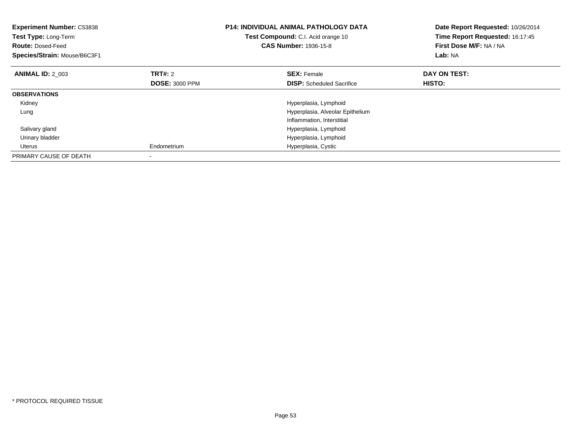| <b>Experiment Number: C53838</b><br>Test Type: Long-Term<br><b>Route: Dosed-Feed</b><br>Species/Strain: Mouse/B6C3F1 |                       | <b>P14: INDIVIDUAL ANIMAL PATHOLOGY DATA</b><br>Test Compound: C.I. Acid orange 10<br><b>CAS Number: 1936-15-8</b> | Date Report Requested: 10/26/2014<br>Time Report Requested: 16:17:45<br>First Dose M/F: NA / NA<br>Lab: NA |
|----------------------------------------------------------------------------------------------------------------------|-----------------------|--------------------------------------------------------------------------------------------------------------------|------------------------------------------------------------------------------------------------------------|
| <b>ANIMAL ID: 2 003</b>                                                                                              | TRT#: 2               | <b>SEX: Female</b>                                                                                                 | DAY ON TEST:                                                                                               |
|                                                                                                                      | <b>DOSE: 3000 PPM</b> | <b>DISP:</b> Scheduled Sacrifice                                                                                   | HISTO:                                                                                                     |
| <b>OBSERVATIONS</b>                                                                                                  |                       |                                                                                                                    |                                                                                                            |
| Kidney                                                                                                               |                       | Hyperplasia, Lymphoid                                                                                              |                                                                                                            |
| Lung                                                                                                                 |                       | Hyperplasia, Alveolar Epithelium                                                                                   |                                                                                                            |
|                                                                                                                      |                       | Inflammation, Interstitial                                                                                         |                                                                                                            |
| Salivary gland                                                                                                       |                       | Hyperplasia, Lymphoid                                                                                              |                                                                                                            |
| Urinary bladder                                                                                                      |                       | Hyperplasia, Lymphoid                                                                                              |                                                                                                            |
| Uterus                                                                                                               | Endometrium           | Hyperplasia, Cystic                                                                                                |                                                                                                            |
| PRIMARY CAUSE OF DEATH                                                                                               |                       |                                                                                                                    |                                                                                                            |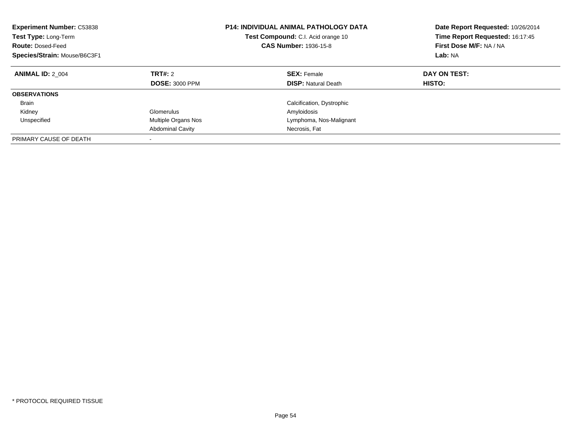| <b>Experiment Number: C53838</b><br>Test Type: Long-Term<br><b>Route: Dosed-Feed</b><br>Species/Strain: Mouse/B6C3F1 |                                  | <b>P14: INDIVIDUAL ANIMAL PATHOLOGY DATA</b><br>Test Compound: C.I. Acid orange 10<br><b>CAS Number: 1936-15-8</b> | Date Report Requested: 10/26/2014<br>Time Report Requested: 16:17:45<br>First Dose M/F: NA / NA<br>Lab: NA |  |
|----------------------------------------------------------------------------------------------------------------------|----------------------------------|--------------------------------------------------------------------------------------------------------------------|------------------------------------------------------------------------------------------------------------|--|
| <b>ANIMAL ID: 2 004</b>                                                                                              | TRT#: 2<br><b>DOSE: 3000 PPM</b> | <b>SEX: Female</b><br><b>DISP:</b> Natural Death                                                                   | DAY ON TEST:<br>HISTO:                                                                                     |  |
| <b>OBSERVATIONS</b>                                                                                                  |                                  |                                                                                                                    |                                                                                                            |  |
| <b>Brain</b>                                                                                                         |                                  | Calcification, Dystrophic                                                                                          |                                                                                                            |  |
| Kidney                                                                                                               | Glomerulus                       | Amyloidosis                                                                                                        |                                                                                                            |  |
| Unspecified                                                                                                          | Multiple Organs Nos              | Lymphoma, Nos-Malignant                                                                                            |                                                                                                            |  |
|                                                                                                                      | <b>Abdominal Cavity</b>          | Necrosis, Fat                                                                                                      |                                                                                                            |  |
| PRIMARY CAUSE OF DEATH                                                                                               |                                  |                                                                                                                    |                                                                                                            |  |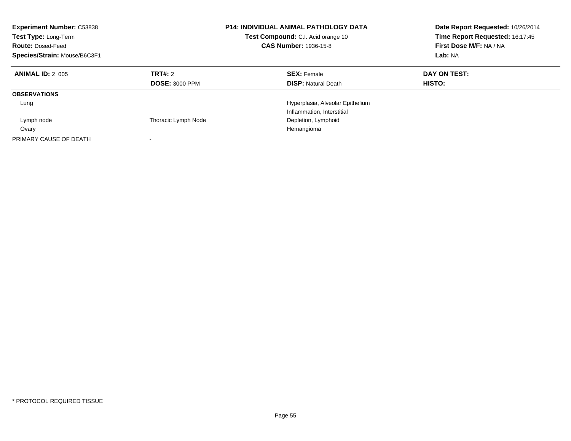| <b>Experiment Number: C53838</b><br>Test Type: Long-Term<br><b>Route: Dosed-Feed</b><br>Species/Strain: Mouse/B6C3F1 | <b>P14: INDIVIDUAL ANIMAL PATHOLOGY DATA</b><br>Test Compound: C.I. Acid orange 10<br><b>CAS Number: 1936-15-8</b> |                                                                | Date Report Requested: 10/26/2014<br>Time Report Requested: 16:17:45<br>First Dose M/F: NA / NA<br>Lab: NA |
|----------------------------------------------------------------------------------------------------------------------|--------------------------------------------------------------------------------------------------------------------|----------------------------------------------------------------|------------------------------------------------------------------------------------------------------------|
| <b>ANIMAL ID: 2 005</b>                                                                                              | <b>TRT#: 2</b><br><b>DOSE: 3000 PPM</b>                                                                            | <b>SEX: Female</b><br><b>DISP:</b> Natural Death               | DAY ON TEST:<br>HISTO:                                                                                     |
| <b>OBSERVATIONS</b>                                                                                                  |                                                                                                                    |                                                                |                                                                                                            |
| Lung                                                                                                                 |                                                                                                                    | Hyperplasia, Alveolar Epithelium<br>Inflammation, Interstitial |                                                                                                            |
| Lymph node                                                                                                           | Thoracic Lymph Node                                                                                                | Depletion, Lymphoid                                            |                                                                                                            |
| Ovary                                                                                                                |                                                                                                                    | Hemangioma                                                     |                                                                                                            |
| PRIMARY CAUSE OF DEATH                                                                                               |                                                                                                                    |                                                                |                                                                                                            |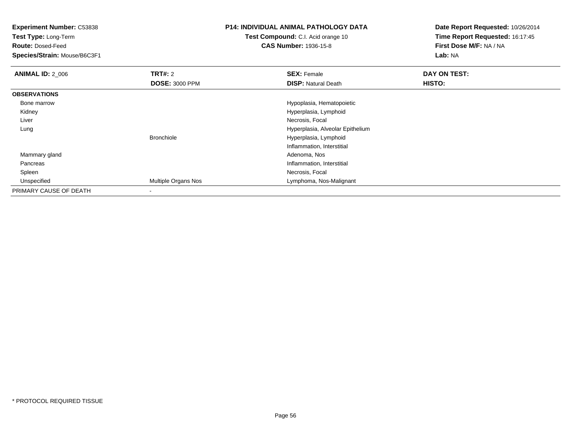**Test Type:** Long-Term

**Route:** Dosed-Feed

**Species/Strain:** Mouse/B6C3F1

#### **P14: INDIVIDUAL ANIMAL PATHOLOGY DATA**

**Test Compound:** C.I. Acid orange 10**CAS Number:** 1936-15-8

| <b>ANIMAL ID: 2_006</b> | TRT#: 2               | <b>SEX: Female</b>               | DAY ON TEST: |
|-------------------------|-----------------------|----------------------------------|--------------|
|                         | <b>DOSE: 3000 PPM</b> | <b>DISP: Natural Death</b>       | HISTO:       |
| <b>OBSERVATIONS</b>     |                       |                                  |              |
| Bone marrow             |                       | Hypoplasia, Hematopoietic        |              |
| Kidney                  |                       | Hyperplasia, Lymphoid            |              |
| Liver                   |                       | Necrosis, Focal                  |              |
| Lung                    |                       | Hyperplasia, Alveolar Epithelium |              |
|                         | <b>Bronchiole</b>     | Hyperplasia, Lymphoid            |              |
|                         |                       | Inflammation, Interstitial       |              |
| Mammary gland           |                       | Adenoma, Nos                     |              |
| Pancreas                |                       | Inflammation, Interstitial       |              |
| Spleen                  |                       | Necrosis, Focal                  |              |
| Unspecified             | Multiple Organs Nos   | Lymphoma, Nos-Malignant          |              |
| PRIMARY CAUSE OF DEATH  |                       |                                  |              |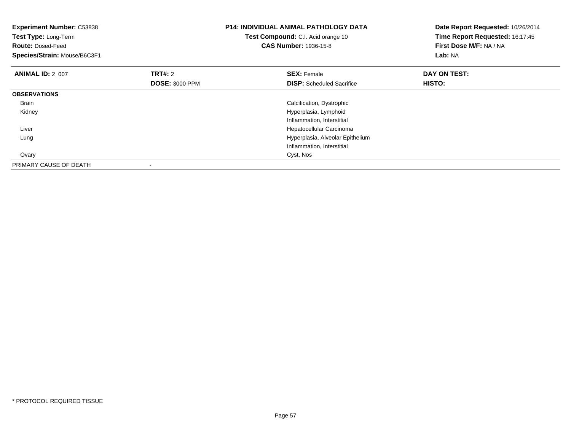| <b>Experiment Number: C53838</b><br>Test Type: Long-Term<br><b>Route: Dosed-Feed</b><br>Species/Strain: Mouse/B6C3F1 |                       | <b>P14: INDIVIDUAL ANIMAL PATHOLOGY DATA</b><br>Test Compound: C.I. Acid orange 10<br><b>CAS Number: 1936-15-8</b> | Date Report Requested: 10/26/2014<br>Time Report Requested: 16:17:45<br>First Dose M/F: NA / NA<br>Lab: NA |  |
|----------------------------------------------------------------------------------------------------------------------|-----------------------|--------------------------------------------------------------------------------------------------------------------|------------------------------------------------------------------------------------------------------------|--|
| <b>ANIMAL ID: 2 007</b>                                                                                              | TRT#: 2               | <b>SEX: Female</b>                                                                                                 | DAY ON TEST:                                                                                               |  |
|                                                                                                                      | <b>DOSE: 3000 PPM</b> | <b>DISP:</b> Scheduled Sacrifice                                                                                   | HISTO:                                                                                                     |  |
| <b>OBSERVATIONS</b>                                                                                                  |                       |                                                                                                                    |                                                                                                            |  |
| Brain                                                                                                                |                       | Calcification, Dystrophic                                                                                          |                                                                                                            |  |
| Kidney                                                                                                               |                       | Hyperplasia, Lymphoid                                                                                              |                                                                                                            |  |
|                                                                                                                      |                       | Inflammation, Interstitial                                                                                         |                                                                                                            |  |
| Liver                                                                                                                |                       | Hepatocellular Carcinoma                                                                                           |                                                                                                            |  |
| Lung                                                                                                                 |                       | Hyperplasia, Alveolar Epithelium                                                                                   |                                                                                                            |  |
|                                                                                                                      |                       | Inflammation, Interstitial                                                                                         |                                                                                                            |  |
| Ovary                                                                                                                |                       | Cyst, Nos                                                                                                          |                                                                                                            |  |
| PRIMARY CAUSE OF DEATH                                                                                               |                       |                                                                                                                    |                                                                                                            |  |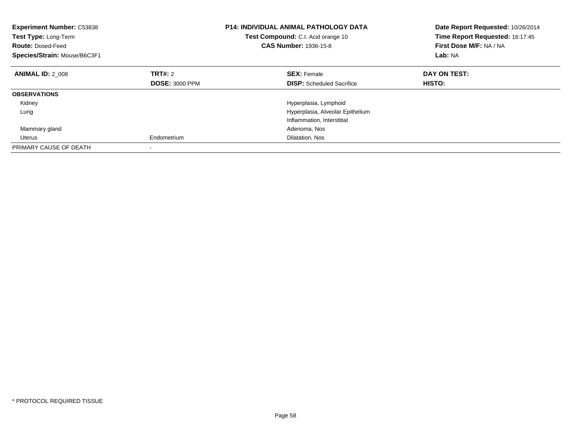| <b>Experiment Number: C53838</b><br>Test Type: Long-Term<br><b>Route: Dosed-Feed</b><br>Species/Strain: Mouse/B6C3F1 |                       | <b>P14: INDIVIDUAL ANIMAL PATHOLOGY DATA</b><br>Test Compound: C.I. Acid orange 10<br><b>CAS Number: 1936-15-8</b> | Date Report Requested: 10/26/2014<br>Time Report Requested: 16:17:45<br>First Dose M/F: NA / NA<br>Lab: NA |
|----------------------------------------------------------------------------------------------------------------------|-----------------------|--------------------------------------------------------------------------------------------------------------------|------------------------------------------------------------------------------------------------------------|
| <b>ANIMAL ID: 2 008</b>                                                                                              | TRT#: 2               | <b>SEX: Female</b>                                                                                                 | DAY ON TEST:                                                                                               |
|                                                                                                                      | <b>DOSE: 3000 PPM</b> | <b>DISP:</b> Scheduled Sacrifice                                                                                   | HISTO:                                                                                                     |
| <b>OBSERVATIONS</b>                                                                                                  |                       |                                                                                                                    |                                                                                                            |
| Kidney                                                                                                               |                       | Hyperplasia, Lymphoid                                                                                              |                                                                                                            |
| Lung                                                                                                                 |                       | Hyperplasia, Alveolar Epithelium                                                                                   |                                                                                                            |
|                                                                                                                      |                       | Inflammation, Interstitial                                                                                         |                                                                                                            |
| Mammary gland                                                                                                        |                       | Adenoma, Nos                                                                                                       |                                                                                                            |
| Uterus                                                                                                               | Endometrium           | Dilatation, Nos                                                                                                    |                                                                                                            |
| PRIMARY CAUSE OF DEATH                                                                                               |                       |                                                                                                                    |                                                                                                            |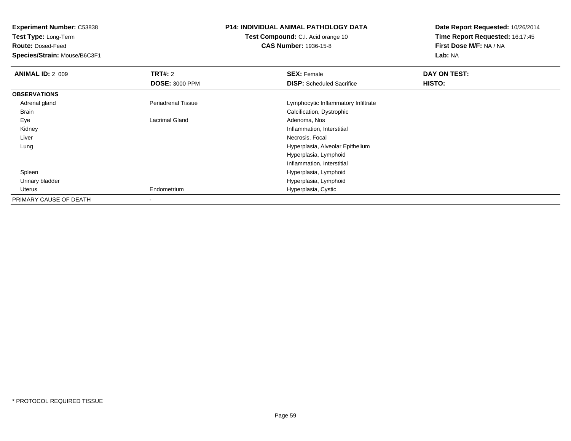**Test Type:** Long-Term

**Route:** Dosed-Feed

**Species/Strain:** Mouse/B6C3F1

# **P14: INDIVIDUAL ANIMAL PATHOLOGY DATA**

**Test Compound:** C.I. Acid orange 10**CAS Number:** 1936-15-8

| <b>ANIMAL ID: 2 009</b> | <b>TRT#: 2</b>            | <b>SEX: Female</b>                  | DAY ON TEST:  |  |
|-------------------------|---------------------------|-------------------------------------|---------------|--|
|                         | <b>DOSE: 3000 PPM</b>     | <b>DISP:</b> Scheduled Sacrifice    | <b>HISTO:</b> |  |
| <b>OBSERVATIONS</b>     |                           |                                     |               |  |
| Adrenal gland           | <b>Periadrenal Tissue</b> | Lymphocytic Inflammatory Infiltrate |               |  |
| Brain                   |                           | Calcification, Dystrophic           |               |  |
| Eye                     | <b>Lacrimal Gland</b>     | Adenoma, Nos                        |               |  |
| Kidney                  |                           | Inflammation, Interstitial          |               |  |
| Liver                   |                           | Necrosis, Focal                     |               |  |
| Lung                    |                           | Hyperplasia, Alveolar Epithelium    |               |  |
|                         |                           | Hyperplasia, Lymphoid               |               |  |
|                         |                           | Inflammation, Interstitial          |               |  |
| Spleen                  |                           | Hyperplasia, Lymphoid               |               |  |
| Urinary bladder         |                           | Hyperplasia, Lymphoid               |               |  |
| Uterus                  | Endometrium               | Hyperplasia, Cystic                 |               |  |
| PRIMARY CAUSE OF DEATH  |                           |                                     |               |  |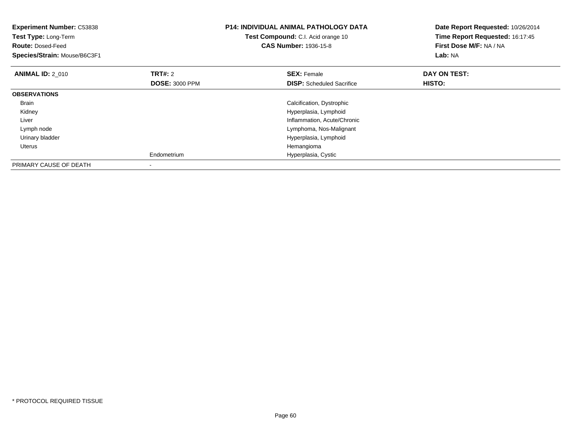| <b>Experiment Number: C53838</b><br>Test Type: Long-Term<br><b>Route: Dosed-Feed</b><br>Species/Strain: Mouse/B6C3F1 |                                         | <b>P14: INDIVIDUAL ANIMAL PATHOLOGY DATA</b><br>Test Compound: C.I. Acid orange 10<br><b>CAS Number: 1936-15-8</b> | Date Report Requested: 10/26/2014<br>Time Report Requested: 16:17:45<br>First Dose M/F: NA / NA<br>Lab: NA |
|----------------------------------------------------------------------------------------------------------------------|-----------------------------------------|--------------------------------------------------------------------------------------------------------------------|------------------------------------------------------------------------------------------------------------|
| <b>ANIMAL ID: 2 010</b>                                                                                              | <b>TRT#: 2</b><br><b>DOSE: 3000 PPM</b> | <b>SEX: Female</b><br><b>DISP:</b> Scheduled Sacrifice                                                             | DAY ON TEST:<br>HISTO:                                                                                     |
| <b>OBSERVATIONS</b>                                                                                                  |                                         |                                                                                                                    |                                                                                                            |
| Brain                                                                                                                |                                         | Calcification, Dystrophic                                                                                          |                                                                                                            |
| Kidney                                                                                                               |                                         | Hyperplasia, Lymphoid                                                                                              |                                                                                                            |
| Liver                                                                                                                |                                         | Inflammation, Acute/Chronic                                                                                        |                                                                                                            |
| Lymph node                                                                                                           |                                         | Lymphoma, Nos-Malignant                                                                                            |                                                                                                            |
| Urinary bladder                                                                                                      |                                         | Hyperplasia, Lymphoid                                                                                              |                                                                                                            |
| Uterus                                                                                                               |                                         | Hemangioma                                                                                                         |                                                                                                            |
|                                                                                                                      | Endometrium                             | Hyperplasia, Cystic                                                                                                |                                                                                                            |
| PRIMARY CAUSE OF DEATH                                                                                               |                                         |                                                                                                                    |                                                                                                            |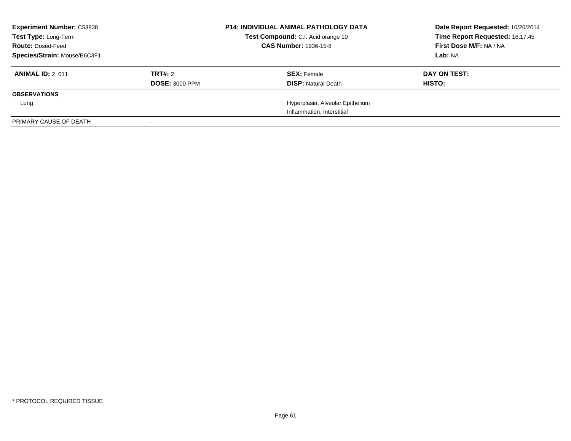| <b>Experiment Number: C53838</b><br>Test Type: Long-Term<br><b>Route: Dosed-Feed</b><br>Species/Strain: Mouse/B6C3F1 |                                  | <b>P14: INDIVIDUAL ANIMAL PATHOLOGY DATA</b><br>Test Compound: C.I. Acid orange 10<br><b>CAS Number: 1936-15-8</b> | Date Report Requested: 10/26/2014<br>Time Report Requested: 16:17:45<br>First Dose M/F: NA / NA<br>Lab: NA |
|----------------------------------------------------------------------------------------------------------------------|----------------------------------|--------------------------------------------------------------------------------------------------------------------|------------------------------------------------------------------------------------------------------------|
| <b>ANIMAL ID: 2 011</b>                                                                                              | TRT#: 2<br><b>DOSE: 3000 PPM</b> | <b>SEX: Female</b><br><b>DISP:</b> Natural Death                                                                   | DAY ON TEST:<br>HISTO:                                                                                     |
| <b>OBSERVATIONS</b>                                                                                                  |                                  |                                                                                                                    |                                                                                                            |
| Lung                                                                                                                 |                                  | Hyperplasia, Alveolar Epithelium                                                                                   |                                                                                                            |
|                                                                                                                      |                                  | Inflammation, Interstitial                                                                                         |                                                                                                            |
| PRIMARY CAUSE OF DEATH                                                                                               |                                  |                                                                                                                    |                                                                                                            |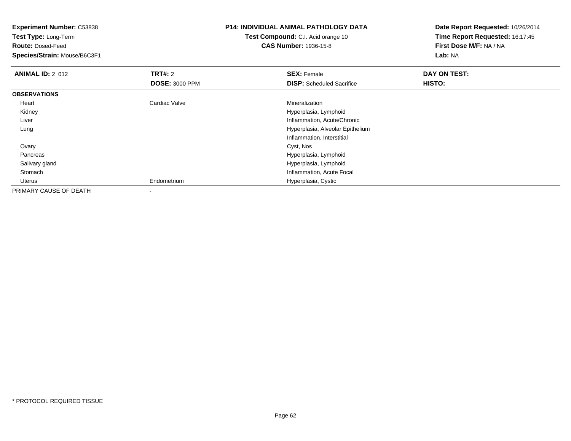**Test Type:** Long-Term

**Route:** Dosed-Feed

**Species/Strain:** Mouse/B6C3F1

## **P14: INDIVIDUAL ANIMAL PATHOLOGY DATA**

**Test Compound:** C.I. Acid orange 10**CAS Number:** 1936-15-8

| <b>ANIMAL ID: 2_012</b> | TRT#: 2               | <b>SEX: Female</b>               | DAY ON TEST: |  |
|-------------------------|-----------------------|----------------------------------|--------------|--|
|                         | <b>DOSE: 3000 PPM</b> | <b>DISP:</b> Scheduled Sacrifice | HISTO:       |  |
| <b>OBSERVATIONS</b>     |                       |                                  |              |  |
| Heart                   | Cardiac Valve         | Mineralization                   |              |  |
| Kidney                  |                       | Hyperplasia, Lymphoid            |              |  |
| Liver                   |                       | Inflammation, Acute/Chronic      |              |  |
| Lung                    |                       | Hyperplasia, Alveolar Epithelium |              |  |
|                         |                       | Inflammation, Interstitial       |              |  |
| Ovary                   |                       | Cyst, Nos                        |              |  |
| Pancreas                |                       | Hyperplasia, Lymphoid            |              |  |
| Salivary gland          |                       | Hyperplasia, Lymphoid            |              |  |
| Stomach                 |                       | Inflammation, Acute Focal        |              |  |
| Uterus                  | Endometrium           | Hyperplasia, Cystic              |              |  |
| PRIMARY CAUSE OF DEATH  | ۰                     |                                  |              |  |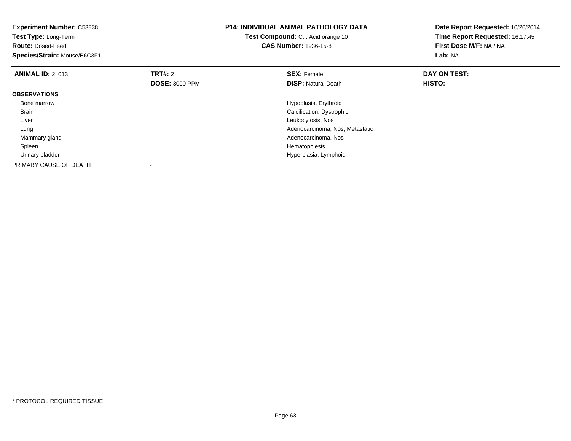| <b>Experiment Number: C53838</b><br>Test Type: Long-Term<br><b>Route: Dosed-Feed</b><br>Species/Strain: Mouse/B6C3F1 |                       | <b>P14: INDIVIDUAL ANIMAL PATHOLOGY DATA</b><br>Test Compound: C.I. Acid orange 10<br><b>CAS Number: 1936-15-8</b> | Date Report Requested: 10/26/2014<br>Time Report Requested: 16:17:45<br>First Dose M/F: NA / NA<br>Lab: NA |
|----------------------------------------------------------------------------------------------------------------------|-----------------------|--------------------------------------------------------------------------------------------------------------------|------------------------------------------------------------------------------------------------------------|
| <b>ANIMAL ID: 2 013</b>                                                                                              | <b>TRT#: 2</b>        | <b>SEX: Female</b>                                                                                                 | DAY ON TEST:                                                                                               |
|                                                                                                                      | <b>DOSE: 3000 PPM</b> | <b>DISP:</b> Natural Death                                                                                         | HISTO:                                                                                                     |
| <b>OBSERVATIONS</b>                                                                                                  |                       |                                                                                                                    |                                                                                                            |
| Bone marrow                                                                                                          |                       | Hypoplasia, Erythroid                                                                                              |                                                                                                            |
| Brain                                                                                                                |                       | Calcification, Dystrophic                                                                                          |                                                                                                            |
| Liver                                                                                                                |                       | Leukocytosis, Nos                                                                                                  |                                                                                                            |
| Lung                                                                                                                 |                       | Adenocarcinoma, Nos, Metastatic                                                                                    |                                                                                                            |
| Mammary gland                                                                                                        |                       | Adenocarcinoma, Nos                                                                                                |                                                                                                            |
| Spleen                                                                                                               |                       | Hematopoiesis                                                                                                      |                                                                                                            |
| Urinary bladder                                                                                                      |                       | Hyperplasia, Lymphoid                                                                                              |                                                                                                            |
| PRIMARY CAUSE OF DEATH                                                                                               |                       |                                                                                                                    |                                                                                                            |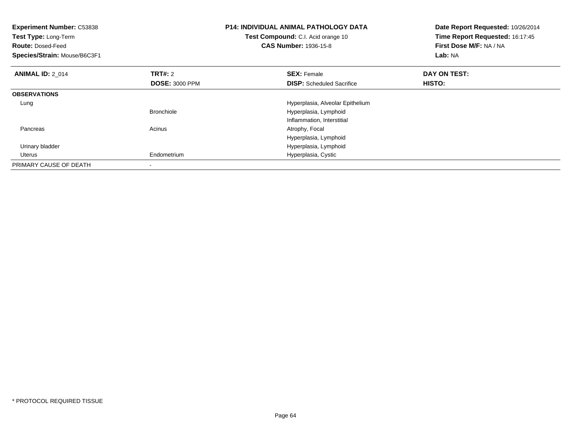| <b>Experiment Number: C53838</b><br>Test Type: Long-Term<br><b>Route: Dosed-Feed</b><br>Species/Strain: Mouse/B6C3F1 |                       | <b>P14: INDIVIDUAL ANIMAL PATHOLOGY DATA</b><br>Test Compound: C.I. Acid orange 10<br><b>CAS Number: 1936-15-8</b> | Date Report Requested: 10/26/2014<br>Time Report Requested: 16:17:45<br>First Dose M/F: NA / NA<br>Lab: NA |
|----------------------------------------------------------------------------------------------------------------------|-----------------------|--------------------------------------------------------------------------------------------------------------------|------------------------------------------------------------------------------------------------------------|
| <b>ANIMAL ID: 2 014</b>                                                                                              | <b>TRT#: 2</b>        | <b>SEX: Female</b>                                                                                                 | DAY ON TEST:                                                                                               |
|                                                                                                                      | <b>DOSE: 3000 PPM</b> | <b>DISP:</b> Scheduled Sacrifice                                                                                   | HISTO:                                                                                                     |
| <b>OBSERVATIONS</b>                                                                                                  |                       |                                                                                                                    |                                                                                                            |
| Lung                                                                                                                 |                       | Hyperplasia, Alveolar Epithelium                                                                                   |                                                                                                            |
|                                                                                                                      | <b>Bronchiole</b>     | Hyperplasia, Lymphoid                                                                                              |                                                                                                            |
|                                                                                                                      |                       | Inflammation, Interstitial                                                                                         |                                                                                                            |
| Pancreas                                                                                                             | Acinus                | Atrophy, Focal                                                                                                     |                                                                                                            |
|                                                                                                                      |                       | Hyperplasia, Lymphoid                                                                                              |                                                                                                            |
| Urinary bladder                                                                                                      |                       | Hyperplasia, Lymphoid                                                                                              |                                                                                                            |
| Uterus                                                                                                               | Endometrium           | Hyperplasia, Cystic                                                                                                |                                                                                                            |
| PRIMARY CAUSE OF DEATH                                                                                               |                       |                                                                                                                    |                                                                                                            |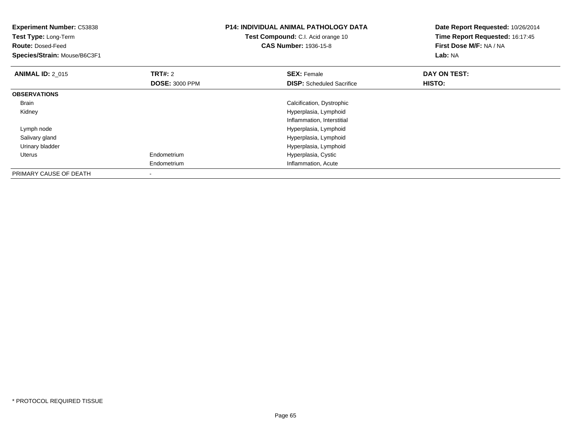| <b>Experiment Number: C53838</b><br>Test Type: Long-Term<br><b>Route: Dosed-Feed</b><br>Species/Strain: Mouse/B6C3F1 |                                         | <b>P14: INDIVIDUAL ANIMAL PATHOLOGY DATA</b><br>Test Compound: C.I. Acid orange 10<br><b>CAS Number: 1936-15-8</b> | Date Report Requested: 10/26/2014<br>Time Report Requested: 16:17:45<br>First Dose M/F: NA / NA<br>Lab: NA |
|----------------------------------------------------------------------------------------------------------------------|-----------------------------------------|--------------------------------------------------------------------------------------------------------------------|------------------------------------------------------------------------------------------------------------|
| <b>ANIMAL ID: 2_015</b>                                                                                              | <b>TRT#: 2</b><br><b>DOSE: 3000 PPM</b> | <b>SEX: Female</b><br><b>DISP:</b> Scheduled Sacrifice                                                             | DAY ON TEST:<br>HISTO:                                                                                     |
| <b>OBSERVATIONS</b>                                                                                                  |                                         |                                                                                                                    |                                                                                                            |
| Brain                                                                                                                |                                         | Calcification, Dystrophic                                                                                          |                                                                                                            |
| Kidney                                                                                                               |                                         | Hyperplasia, Lymphoid                                                                                              |                                                                                                            |
|                                                                                                                      |                                         | Inflammation, Interstitial                                                                                         |                                                                                                            |
| Lymph node                                                                                                           |                                         | Hyperplasia, Lymphoid                                                                                              |                                                                                                            |
| Salivary gland                                                                                                       |                                         | Hyperplasia, Lymphoid                                                                                              |                                                                                                            |
| Urinary bladder                                                                                                      |                                         | Hyperplasia, Lymphoid                                                                                              |                                                                                                            |
| <b>Uterus</b>                                                                                                        | Endometrium                             | Hyperplasia, Cystic                                                                                                |                                                                                                            |
|                                                                                                                      | Endometrium                             | Inflammation, Acute                                                                                                |                                                                                                            |
| PRIMARY CAUSE OF DEATH                                                                                               |                                         |                                                                                                                    |                                                                                                            |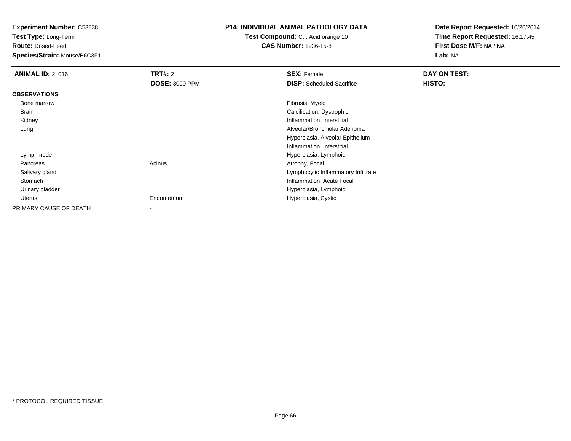**Test Type:** Long-Term

**Route:** Dosed-Feed

**Species/Strain:** Mouse/B6C3F1

### **P14: INDIVIDUAL ANIMAL PATHOLOGY DATA**

# **Test Compound:** C.I. Acid orange 10**CAS Number:** 1936-15-8

| <b>ANIMAL ID: 2 016</b> | <b>TRT#:</b> 2        | <b>SEX: Female</b>                  | DAY ON TEST: |  |
|-------------------------|-----------------------|-------------------------------------|--------------|--|
|                         | <b>DOSE: 3000 PPM</b> | <b>DISP:</b> Scheduled Sacrifice    | HISTO:       |  |
| <b>OBSERVATIONS</b>     |                       |                                     |              |  |
| Bone marrow             |                       | Fibrosis, Myelo                     |              |  |
| Brain                   |                       | Calcification, Dystrophic           |              |  |
| Kidney                  |                       | Inflammation, Interstitial          |              |  |
| Lung                    |                       | Alveolar/Bronchiolar Adenoma        |              |  |
|                         |                       | Hyperplasia, Alveolar Epithelium    |              |  |
|                         |                       | Inflammation, Interstitial          |              |  |
| Lymph node              |                       | Hyperplasia, Lymphoid               |              |  |
| Pancreas                | Acinus                | Atrophy, Focal                      |              |  |
| Salivary gland          |                       | Lymphocytic Inflammatory Infiltrate |              |  |
| Stomach                 |                       | Inflammation, Acute Focal           |              |  |
| Urinary bladder         |                       | Hyperplasia, Lymphoid               |              |  |
| Uterus                  | Endometrium           | Hyperplasia, Cystic                 |              |  |
| PRIMARY CAUSE OF DEATH  |                       |                                     |              |  |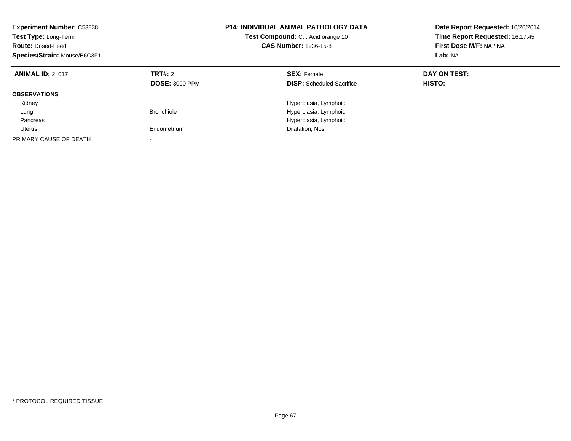| <b>Experiment Number: C53838</b><br>Test Type: Long-Term<br><b>Route: Dosed-Feed</b><br>Species/Strain: Mouse/B6C3F1 |                                         | <b>P14: INDIVIDUAL ANIMAL PATHOLOGY DATA</b><br>Test Compound: C.I. Acid orange 10<br><b>CAS Number: 1936-15-8</b> | Date Report Requested: 10/26/2014<br>Time Report Requested: 16:17:45<br>First Dose M/F: NA / NA<br>Lab: NA |  |
|----------------------------------------------------------------------------------------------------------------------|-----------------------------------------|--------------------------------------------------------------------------------------------------------------------|------------------------------------------------------------------------------------------------------------|--|
| <b>ANIMAL ID: 2 017</b>                                                                                              | <b>TRT#: 2</b><br><b>DOSE: 3000 PPM</b> | <b>SEX: Female</b><br><b>DISP:</b> Scheduled Sacrifice                                                             | DAY ON TEST:<br>HISTO:                                                                                     |  |
| <b>OBSERVATIONS</b>                                                                                                  |                                         |                                                                                                                    |                                                                                                            |  |
| Kidney                                                                                                               |                                         | Hyperplasia, Lymphoid                                                                                              |                                                                                                            |  |
| Lung                                                                                                                 | <b>Bronchiole</b>                       | Hyperplasia, Lymphoid                                                                                              |                                                                                                            |  |
| Pancreas                                                                                                             |                                         | Hyperplasia, Lymphoid                                                                                              |                                                                                                            |  |
| Uterus                                                                                                               | Endometrium                             | Dilatation, Nos                                                                                                    |                                                                                                            |  |
| PRIMARY CAUSE OF DEATH                                                                                               |                                         |                                                                                                                    |                                                                                                            |  |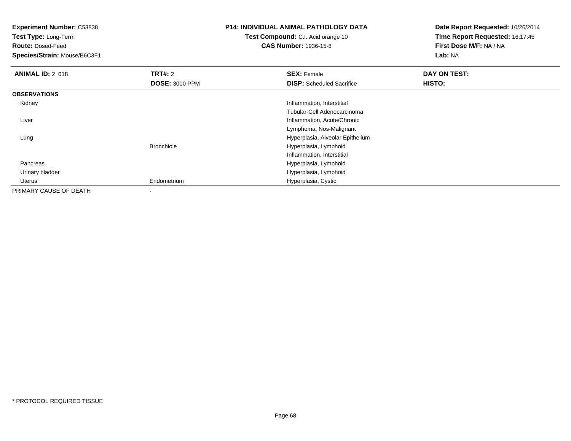**Test Type:** Long-Term

**Route:** Dosed-Feed

**Species/Strain:** Mouse/B6C3F1

## **P14: INDIVIDUAL ANIMAL PATHOLOGY DATA**

**Test Compound:** C.I. Acid orange 10**CAS Number:** 1936-15-8

| <b>ANIMAL ID: 2_018</b> | <b>TRT#: 2</b>        | <b>SEX: Female</b>               | DAY ON TEST: |  |
|-------------------------|-----------------------|----------------------------------|--------------|--|
|                         | <b>DOSE: 3000 PPM</b> | <b>DISP:</b> Scheduled Sacrifice | HISTO:       |  |
| <b>OBSERVATIONS</b>     |                       |                                  |              |  |
| Kidney                  |                       | Inflammation, Interstitial       |              |  |
|                         |                       | Tubular-Cell Adenocarcinoma      |              |  |
| Liver                   |                       | Inflammation, Acute/Chronic      |              |  |
|                         |                       | Lymphoma, Nos-Malignant          |              |  |
| Lung                    |                       | Hyperplasia, Alveolar Epithelium |              |  |
|                         | <b>Bronchiole</b>     | Hyperplasia, Lymphoid            |              |  |
|                         |                       | Inflammation, Interstitial       |              |  |
| Pancreas                |                       | Hyperplasia, Lymphoid            |              |  |
| Urinary bladder         |                       | Hyperplasia, Lymphoid            |              |  |
| Uterus                  | Endometrium           | Hyperplasia, Cystic              |              |  |
| PRIMARY CAUSE OF DEATH  | ۰                     |                                  |              |  |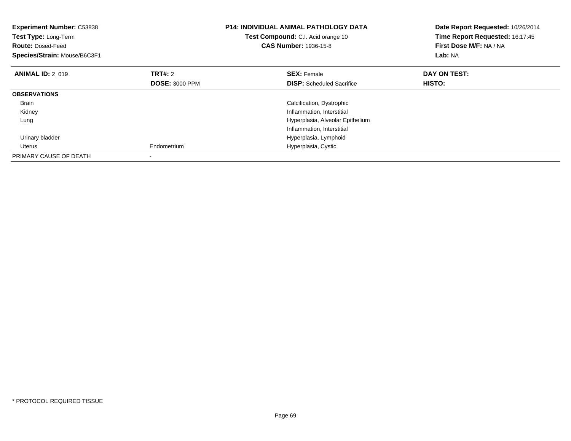| <b>Experiment Number: C53838</b><br>Test Type: Long-Term<br><b>Route: Dosed-Feed</b><br>Species/Strain: Mouse/B6C3F1 |                       | <b>P14: INDIVIDUAL ANIMAL PATHOLOGY DATA</b><br>Test Compound: C.I. Acid orange 10<br><b>CAS Number: 1936-15-8</b> | Date Report Requested: 10/26/2014<br>Time Report Requested: 16:17:45<br>First Dose M/F: NA / NA<br>Lab: NA |  |
|----------------------------------------------------------------------------------------------------------------------|-----------------------|--------------------------------------------------------------------------------------------------------------------|------------------------------------------------------------------------------------------------------------|--|
| <b>ANIMAL ID: 2 019</b>                                                                                              | TRT#: 2               | <b>SEX: Female</b>                                                                                                 | DAY ON TEST:                                                                                               |  |
|                                                                                                                      | <b>DOSE: 3000 PPM</b> | <b>DISP:</b> Scheduled Sacrifice                                                                                   | HISTO:                                                                                                     |  |
| <b>OBSERVATIONS</b>                                                                                                  |                       |                                                                                                                    |                                                                                                            |  |
| <b>Brain</b>                                                                                                         |                       | Calcification, Dystrophic                                                                                          |                                                                                                            |  |
| Kidney                                                                                                               |                       | Inflammation, Interstitial                                                                                         |                                                                                                            |  |
| Lung                                                                                                                 |                       | Hyperplasia, Alveolar Epithelium                                                                                   |                                                                                                            |  |
|                                                                                                                      |                       | Inflammation, Interstitial                                                                                         |                                                                                                            |  |
| Urinary bladder                                                                                                      |                       | Hyperplasia, Lymphoid                                                                                              |                                                                                                            |  |
| Uterus                                                                                                               | Endometrium           | Hyperplasia, Cystic                                                                                                |                                                                                                            |  |
| PRIMARY CAUSE OF DEATH                                                                                               |                       |                                                                                                                    |                                                                                                            |  |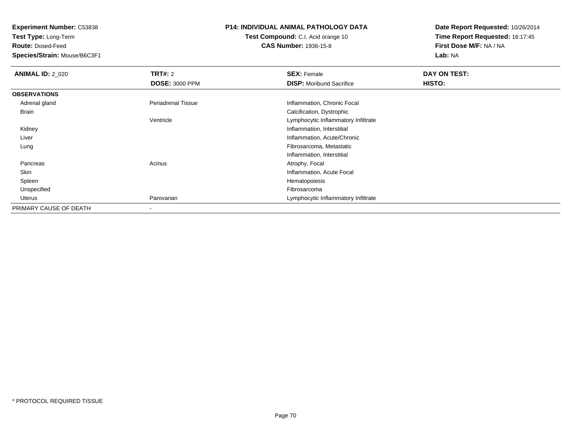**Test Type:** Long-Term

**Route:** Dosed-Feed

**Species/Strain:** Mouse/B6C3F1

# **P14: INDIVIDUAL ANIMAL PATHOLOGY DATA**

**Test Compound:** C.I. Acid orange 10**CAS Number:** 1936-15-8

| <b>ANIMAL ID: 2 020</b> | TRT#: 2                   | <b>SEX: Female</b>                  | DAY ON TEST: |  |
|-------------------------|---------------------------|-------------------------------------|--------------|--|
|                         | <b>DOSE: 3000 PPM</b>     | <b>DISP:</b> Moribund Sacrifice     | HISTO:       |  |
| <b>OBSERVATIONS</b>     |                           |                                     |              |  |
| Adrenal gland           | <b>Periadrenal Tissue</b> | Inflammation, Chronic Focal         |              |  |
| Brain                   |                           | Calcification, Dystrophic           |              |  |
|                         | Ventricle                 | Lymphocytic Inflammatory Infiltrate |              |  |
| Kidney                  |                           | Inflammation, Interstitial          |              |  |
| Liver                   |                           | Inflammation, Acute/Chronic         |              |  |
| Lung                    |                           | Fibrosarcoma, Metastatic            |              |  |
|                         |                           | Inflammation, Interstitial          |              |  |
| Pancreas                | Acinus                    | Atrophy, Focal                      |              |  |
| Skin                    |                           | Inflammation, Acute Focal           |              |  |
| Spleen                  |                           | Hematopoiesis                       |              |  |
| Unspecified             |                           | Fibrosarcoma                        |              |  |
| Uterus                  | Parovarian                | Lymphocytic Inflammatory Infiltrate |              |  |
| PRIMARY CAUSE OF DEATH  | $\,$                      |                                     |              |  |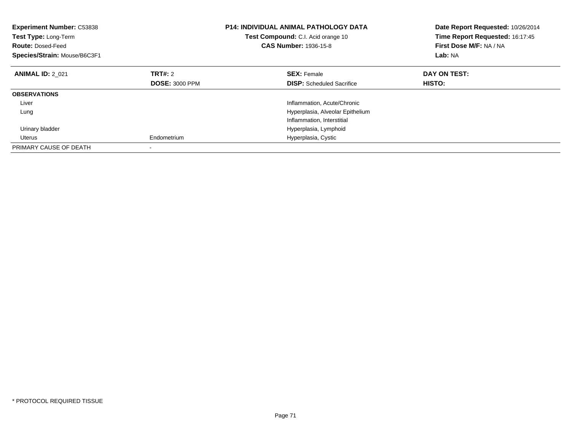| <b>Experiment Number: C53838</b><br>Test Type: Long-Term<br><b>Route: Dosed-Feed</b><br>Species/Strain: Mouse/B6C3F1 | <b>P14: INDIVIDUAL ANIMAL PATHOLOGY DATA</b><br>Test Compound: C.I. Acid orange 10<br><b>CAS Number: 1936-15-8</b> |                                  | Date Report Requested: 10/26/2014<br>Time Report Requested: 16:17:45<br>First Dose M/F: NA / NA<br>Lab: NA |
|----------------------------------------------------------------------------------------------------------------------|--------------------------------------------------------------------------------------------------------------------|----------------------------------|------------------------------------------------------------------------------------------------------------|
| <b>ANIMAL ID: 2 021</b>                                                                                              | TRT#: 2                                                                                                            | <b>SEX: Female</b>               | DAY ON TEST:                                                                                               |
|                                                                                                                      | <b>DOSE: 3000 PPM</b>                                                                                              | <b>DISP:</b> Scheduled Sacrifice | HISTO:                                                                                                     |
| <b>OBSERVATIONS</b>                                                                                                  |                                                                                                                    |                                  |                                                                                                            |
| Liver                                                                                                                |                                                                                                                    | Inflammation, Acute/Chronic      |                                                                                                            |
| Lung                                                                                                                 |                                                                                                                    | Hyperplasia, Alveolar Epithelium |                                                                                                            |
|                                                                                                                      |                                                                                                                    | Inflammation, Interstitial       |                                                                                                            |
| Urinary bladder                                                                                                      |                                                                                                                    | Hyperplasia, Lymphoid            |                                                                                                            |
| Uterus                                                                                                               | Endometrium                                                                                                        | Hyperplasia, Cystic              |                                                                                                            |
| PRIMARY CAUSE OF DEATH                                                                                               |                                                                                                                    |                                  |                                                                                                            |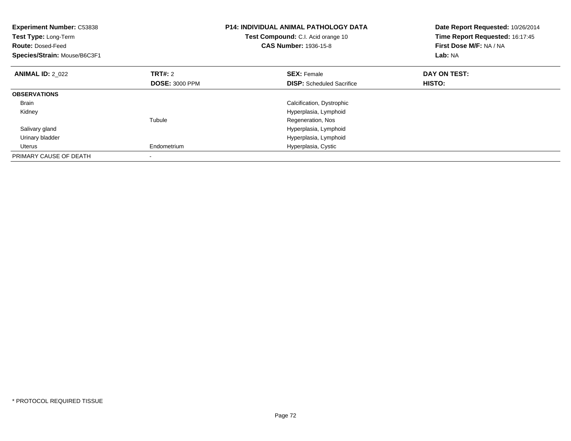| <b>Experiment Number: C53838</b><br>Test Type: Long-Term<br><b>Route: Dosed-Feed</b><br>Species/Strain: Mouse/B6C3F1 |                       | <b>P14: INDIVIDUAL ANIMAL PATHOLOGY DATA</b><br>Test Compound: C.I. Acid orange 10<br><b>CAS Number: 1936-15-8</b> | Date Report Requested: 10/26/2014<br>Time Report Requested: 16:17:45<br>First Dose M/F: NA / NA<br>Lab: NA |
|----------------------------------------------------------------------------------------------------------------------|-----------------------|--------------------------------------------------------------------------------------------------------------------|------------------------------------------------------------------------------------------------------------|
| <b>ANIMAL ID: 2 022</b>                                                                                              | <b>TRT#: 2</b>        | <b>SEX: Female</b>                                                                                                 | DAY ON TEST:                                                                                               |
|                                                                                                                      | <b>DOSE: 3000 PPM</b> | <b>DISP:</b> Scheduled Sacrifice                                                                                   | <b>HISTO:</b>                                                                                              |
| <b>OBSERVATIONS</b>                                                                                                  |                       |                                                                                                                    |                                                                                                            |
| <b>Brain</b>                                                                                                         |                       | Calcification, Dystrophic                                                                                          |                                                                                                            |
| Kidney                                                                                                               |                       | Hyperplasia, Lymphoid                                                                                              |                                                                                                            |
|                                                                                                                      | Tubule                | Regeneration, Nos                                                                                                  |                                                                                                            |
| Salivary gland                                                                                                       |                       | Hyperplasia, Lymphoid                                                                                              |                                                                                                            |
| Urinary bladder                                                                                                      |                       | Hyperplasia, Lymphoid                                                                                              |                                                                                                            |
| Uterus                                                                                                               | Endometrium           | Hyperplasia, Cystic                                                                                                |                                                                                                            |
| PRIMARY CAUSE OF DEATH                                                                                               |                       |                                                                                                                    |                                                                                                            |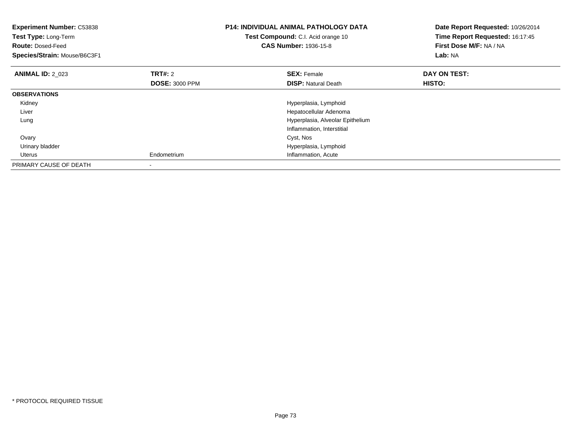| <b>Experiment Number: C53838</b><br><b>Test Type: Long-Term</b><br><b>Route: Dosed-Feed</b><br>Species/Strain: Mouse/B6C3F1 |                                         | <b>P14: INDIVIDUAL ANIMAL PATHOLOGY DATA</b><br>Test Compound: C.I. Acid orange 10<br><b>CAS Number: 1936-15-8</b> | Date Report Requested: 10/26/2014<br>Time Report Requested: 16:17:45<br>First Dose M/F: NA / NA<br><b>Lab: NA</b> |  |
|-----------------------------------------------------------------------------------------------------------------------------|-----------------------------------------|--------------------------------------------------------------------------------------------------------------------|-------------------------------------------------------------------------------------------------------------------|--|
| <b>ANIMAL ID: 2 023</b>                                                                                                     | <b>TRT#: 2</b><br><b>DOSE: 3000 PPM</b> | <b>SEX: Female</b><br><b>DISP:</b> Natural Death                                                                   | DAY ON TEST:<br>HISTO:                                                                                            |  |
| <b>OBSERVATIONS</b>                                                                                                         |                                         |                                                                                                                    |                                                                                                                   |  |
| Kidney                                                                                                                      |                                         | Hyperplasia, Lymphoid                                                                                              |                                                                                                                   |  |
| Liver                                                                                                                       |                                         | Hepatocellular Adenoma                                                                                             |                                                                                                                   |  |
| Lung                                                                                                                        |                                         | Hyperplasia, Alveolar Epithelium                                                                                   |                                                                                                                   |  |
|                                                                                                                             |                                         | Inflammation, Interstitial                                                                                         |                                                                                                                   |  |
| Ovary                                                                                                                       |                                         | Cyst, Nos                                                                                                          |                                                                                                                   |  |
| Urinary bladder                                                                                                             |                                         | Hyperplasia, Lymphoid                                                                                              |                                                                                                                   |  |
| Uterus                                                                                                                      | Endometrium                             | Inflammation, Acute                                                                                                |                                                                                                                   |  |
| PRIMARY CAUSE OF DEATH                                                                                                      |                                         |                                                                                                                    |                                                                                                                   |  |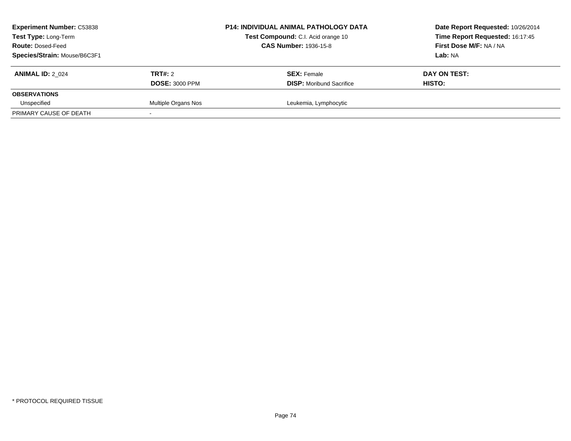| <b>Experiment Number: C53838</b><br>Test Type: Long-Term<br><b>Route: Dosed-Feed</b><br>Species/Strain: Mouse/B6C3F1 |                                         | <b>P14: INDIVIDUAL ANIMAL PATHOLOGY DATA</b><br>Test Compound: C.I. Acid orange 10<br><b>CAS Number: 1936-15-8</b> | Date Report Requested: 10/26/2014<br>Time Report Requested: 16:17:45<br><b>First Dose M/F: NA / NA</b><br>Lab: NA |
|----------------------------------------------------------------------------------------------------------------------|-----------------------------------------|--------------------------------------------------------------------------------------------------------------------|-------------------------------------------------------------------------------------------------------------------|
| <b>ANIMAL ID: 2 024</b>                                                                                              | <b>TRT#:</b> 2<br><b>DOSE: 3000 PPM</b> | <b>SEX: Female</b><br><b>DISP:</b> Moribund Sacrifice                                                              | DAY ON TEST:<br>HISTO:                                                                                            |
| <b>OBSERVATIONS</b>                                                                                                  |                                         |                                                                                                                    |                                                                                                                   |
| Unspecified                                                                                                          | Multiple Organs Nos                     | Leukemia, Lymphocytic                                                                                              |                                                                                                                   |
| PRIMARY CAUSE OF DEATH                                                                                               |                                         |                                                                                                                    |                                                                                                                   |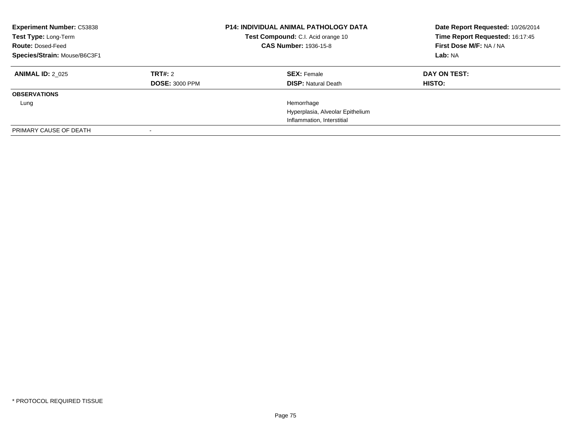| <b>Experiment Number: C53838</b><br>Test Type: Long-Term<br><b>Route: Dosed-Feed</b><br>Species/Strain: Mouse/B6C3F1 |                                  | <b>P14: INDIVIDUAL ANIMAL PATHOLOGY DATA</b><br>Test Compound: C.I. Acid orange 10<br><b>CAS Number: 1936-15-8</b> | Date Report Requested: 10/26/2014<br>Time Report Requested: 16:17:45<br>First Dose M/F: NA / NA<br>Lab: NA |
|----------------------------------------------------------------------------------------------------------------------|----------------------------------|--------------------------------------------------------------------------------------------------------------------|------------------------------------------------------------------------------------------------------------|
| <b>ANIMAL ID: 2 025</b>                                                                                              | TRT#: 2<br><b>DOSE: 3000 PPM</b> | <b>SEX:</b> Female<br><b>DISP: Natural Death</b>                                                                   | DAY ON TEST:<br><b>HISTO:</b>                                                                              |
| <b>OBSERVATIONS</b>                                                                                                  |                                  |                                                                                                                    |                                                                                                            |
| Lung                                                                                                                 |                                  | Hemorrhage                                                                                                         |                                                                                                            |
|                                                                                                                      |                                  | Hyperplasia, Alveolar Epithelium                                                                                   |                                                                                                            |
|                                                                                                                      |                                  | Inflammation, Interstitial                                                                                         |                                                                                                            |
| PRIMARY CAUSE OF DEATH                                                                                               |                                  |                                                                                                                    |                                                                                                            |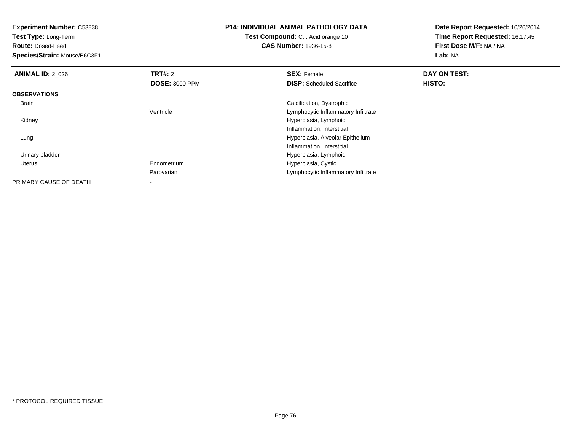| <b>Experiment Number: C53838</b><br>Test Type: Long-Term<br><b>Route: Dosed-Feed</b><br>Species/Strain: Mouse/B6C3F1 |                                         | <b>P14: INDIVIDUAL ANIMAL PATHOLOGY DATA</b><br>Test Compound: C.I. Acid orange 10<br><b>CAS Number: 1936-15-8</b> | Date Report Requested: 10/26/2014<br>Time Report Requested: 16:17:45<br>First Dose M/F: NA / NA<br>Lab: NA |
|----------------------------------------------------------------------------------------------------------------------|-----------------------------------------|--------------------------------------------------------------------------------------------------------------------|------------------------------------------------------------------------------------------------------------|
| <b>ANIMAL ID: 2_026</b>                                                                                              | <b>TRT#: 2</b><br><b>DOSE: 3000 PPM</b> | <b>SEX: Female</b><br><b>DISP:</b> Scheduled Sacrifice                                                             | DAY ON TEST:<br><b>HISTO:</b>                                                                              |
| <b>OBSERVATIONS</b>                                                                                                  |                                         |                                                                                                                    |                                                                                                            |
| Brain                                                                                                                |                                         | Calcification, Dystrophic                                                                                          |                                                                                                            |
|                                                                                                                      | Ventricle                               | Lymphocytic Inflammatory Infiltrate                                                                                |                                                                                                            |
| Kidney                                                                                                               |                                         | Hyperplasia, Lymphoid                                                                                              |                                                                                                            |
|                                                                                                                      |                                         | Inflammation, Interstitial                                                                                         |                                                                                                            |
| Lung                                                                                                                 |                                         | Hyperplasia, Alveolar Epithelium                                                                                   |                                                                                                            |
|                                                                                                                      |                                         | Inflammation, Interstitial                                                                                         |                                                                                                            |
| Urinary bladder                                                                                                      |                                         | Hyperplasia, Lymphoid                                                                                              |                                                                                                            |
| Uterus                                                                                                               | Endometrium                             | Hyperplasia, Cystic                                                                                                |                                                                                                            |
|                                                                                                                      | Parovarian                              | Lymphocytic Inflammatory Infiltrate                                                                                |                                                                                                            |
| PRIMARY CAUSE OF DEATH                                                                                               | $\,$                                    |                                                                                                                    |                                                                                                            |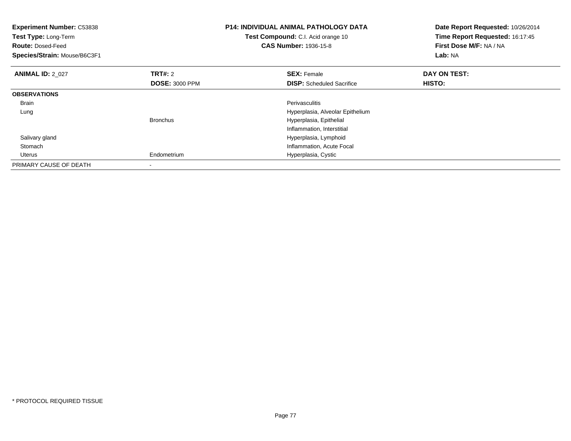| <b>Experiment Number: C53838</b><br>Test Type: Long-Term<br><b>Route: Dosed-Feed</b><br>Species/Strain: Mouse/B6C3F1 |                       | <b>P14: INDIVIDUAL ANIMAL PATHOLOGY DATA</b><br>Test Compound: C.I. Acid orange 10<br><b>CAS Number: 1936-15-8</b> | Date Report Requested: 10/26/2014<br>Time Report Requested: 16:17:45<br>First Dose M/F: NA / NA<br>Lab: NA |
|----------------------------------------------------------------------------------------------------------------------|-----------------------|--------------------------------------------------------------------------------------------------------------------|------------------------------------------------------------------------------------------------------------|
| <b>ANIMAL ID: 2 027</b>                                                                                              | <b>TRT#: 2</b>        | <b>SEX: Female</b>                                                                                                 | DAY ON TEST:                                                                                               |
|                                                                                                                      | <b>DOSE: 3000 PPM</b> | <b>DISP:</b> Scheduled Sacrifice                                                                                   | <b>HISTO:</b>                                                                                              |
| <b>OBSERVATIONS</b>                                                                                                  |                       |                                                                                                                    |                                                                                                            |
| Brain                                                                                                                |                       | Perivasculitis                                                                                                     |                                                                                                            |
| Lung                                                                                                                 |                       | Hyperplasia, Alveolar Epithelium                                                                                   |                                                                                                            |
|                                                                                                                      | <b>Bronchus</b>       | Hyperplasia, Epithelial                                                                                            |                                                                                                            |
|                                                                                                                      |                       | Inflammation, Interstitial                                                                                         |                                                                                                            |
| Salivary gland                                                                                                       |                       | Hyperplasia, Lymphoid                                                                                              |                                                                                                            |
| Stomach                                                                                                              |                       | Inflammation, Acute Focal                                                                                          |                                                                                                            |
| Uterus                                                                                                               | Endometrium           | Hyperplasia, Cystic                                                                                                |                                                                                                            |
| PRIMARY CAUSE OF DEATH                                                                                               |                       |                                                                                                                    |                                                                                                            |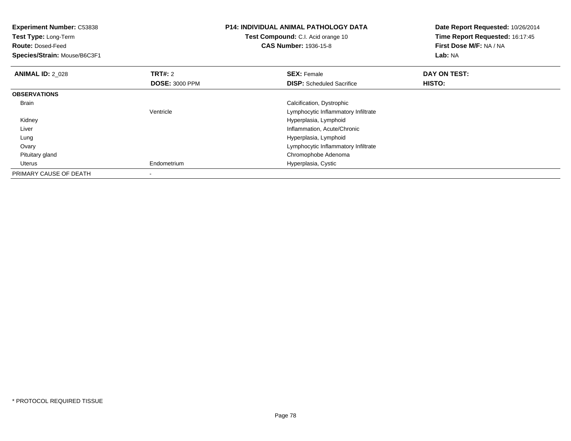| <b>Experiment Number: C53838</b><br>Test Type: Long-Term<br><b>Route: Dosed-Feed</b><br>Species/Strain: Mouse/B6C3F1 |                       | P14: INDIVIDUAL ANIMAL PATHOLOGY DATA<br>Test Compound: C.I. Acid orange 10<br><b>CAS Number: 1936-15-8</b> | Date Report Requested: 10/26/2014<br>Time Report Requested: 16:17:45<br>First Dose M/F: NA / NA<br><b>Lab: NA</b> |
|----------------------------------------------------------------------------------------------------------------------|-----------------------|-------------------------------------------------------------------------------------------------------------|-------------------------------------------------------------------------------------------------------------------|
| <b>ANIMAL ID: 2 028</b>                                                                                              | <b>TRT#:</b> 2        | <b>SEX: Female</b>                                                                                          | DAY ON TEST:                                                                                                      |
|                                                                                                                      | <b>DOSE: 3000 PPM</b> | <b>DISP:</b> Scheduled Sacrifice                                                                            | HISTO:                                                                                                            |
| <b>OBSERVATIONS</b>                                                                                                  |                       |                                                                                                             |                                                                                                                   |
| Brain                                                                                                                |                       | Calcification, Dystrophic                                                                                   |                                                                                                                   |
|                                                                                                                      | Ventricle             | Lymphocytic Inflammatory Infiltrate                                                                         |                                                                                                                   |
| Kidney                                                                                                               |                       | Hyperplasia, Lymphoid                                                                                       |                                                                                                                   |
| Liver                                                                                                                |                       | Inflammation, Acute/Chronic                                                                                 |                                                                                                                   |
| Lung                                                                                                                 |                       | Hyperplasia, Lymphoid                                                                                       |                                                                                                                   |
| Ovary                                                                                                                |                       | Lymphocytic Inflammatory Infiltrate                                                                         |                                                                                                                   |
| Pituitary gland                                                                                                      |                       | Chromophobe Adenoma                                                                                         |                                                                                                                   |
| Uterus                                                                                                               | Endometrium           | Hyperplasia, Cystic                                                                                         |                                                                                                                   |
| PRIMARY CAUSE OF DEATH                                                                                               |                       |                                                                                                             |                                                                                                                   |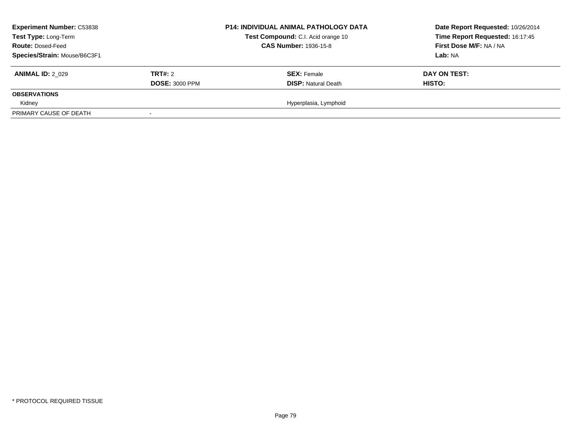| <b>Experiment Number: C53838</b><br>Test Type: Long-Term<br><b>Route: Dosed-Feed</b><br>Species/Strain: Mouse/B6C3F1 |                                         | <b>P14: INDIVIDUAL ANIMAL PATHOLOGY DATA</b><br>Test Compound: C.I. Acid orange 10<br><b>CAS Number: 1936-15-8</b> | Date Report Requested: 10/26/2014<br>Time Report Requested: 16:17:45<br>First Dose M/F: NA / NA<br>Lab: NA |
|----------------------------------------------------------------------------------------------------------------------|-----------------------------------------|--------------------------------------------------------------------------------------------------------------------|------------------------------------------------------------------------------------------------------------|
| <b>ANIMAL ID: 2 029</b>                                                                                              | <b>TRT#:</b> 2<br><b>DOSE: 3000 PPM</b> | <b>SEX: Female</b><br><b>DISP: Natural Death</b>                                                                   | DAY ON TEST:<br><b>HISTO:</b>                                                                              |
| <b>OBSERVATIONS</b>                                                                                                  |                                         |                                                                                                                    |                                                                                                            |
| Kidney                                                                                                               |                                         | Hyperplasia, Lymphoid                                                                                              |                                                                                                            |
| PRIMARY CAUSE OF DEATH                                                                                               |                                         |                                                                                                                    |                                                                                                            |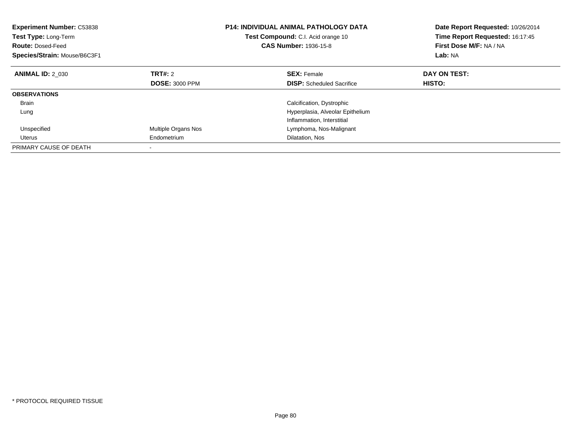| <b>Experiment Number: C53838</b><br>Test Type: Long-Term<br><b>Route: Dosed-Feed</b><br>Species/Strain: Mouse/B6C3F1 |                       | <b>P14: INDIVIDUAL ANIMAL PATHOLOGY DATA</b><br>Test Compound: C.I. Acid orange 10<br>CAS Number: 1936-15-8 | Date Report Requested: 10/26/2014<br>Time Report Requested: 16:17:45<br>First Dose M/F: NA / NA<br>Lab: NA |
|----------------------------------------------------------------------------------------------------------------------|-----------------------|-------------------------------------------------------------------------------------------------------------|------------------------------------------------------------------------------------------------------------|
| <b>ANIMAL ID: 2 030</b>                                                                                              | TRT#: 2               | <b>SEX:</b> Female                                                                                          | DAY ON TEST:                                                                                               |
|                                                                                                                      | <b>DOSE: 3000 PPM</b> | <b>DISP:</b> Scheduled Sacrifice                                                                            | <b>HISTO:</b>                                                                                              |
| <b>OBSERVATIONS</b>                                                                                                  |                       |                                                                                                             |                                                                                                            |
| <b>Brain</b>                                                                                                         |                       | Calcification, Dystrophic                                                                                   |                                                                                                            |
| Lung                                                                                                                 |                       | Hyperplasia, Alveolar Epithelium                                                                            |                                                                                                            |
|                                                                                                                      |                       | Inflammation, Interstitial                                                                                  |                                                                                                            |
| Unspecified                                                                                                          | Multiple Organs Nos   | Lymphoma, Nos-Malignant                                                                                     |                                                                                                            |
| Uterus                                                                                                               | Endometrium           | Dilatation, Nos                                                                                             |                                                                                                            |
| PRIMARY CAUSE OF DEATH                                                                                               |                       |                                                                                                             |                                                                                                            |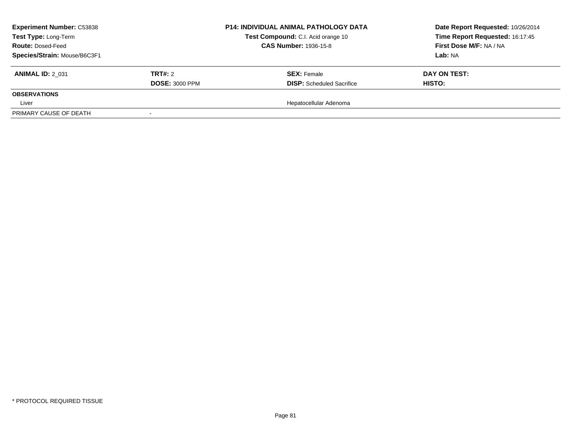| <b>Experiment Number: C53838</b><br>Test Type: Long-Term<br><b>Route: Dosed-Feed</b><br>Species/Strain: Mouse/B6C3F1 |                                  | <b>P14: INDIVIDUAL ANIMAL PATHOLOGY DATA</b><br>Test Compound: C.I. Acid orange 10<br><b>CAS Number: 1936-15-8</b> | Date Report Requested: 10/26/2014<br>Time Report Requested: 16:17:45<br><b>First Dose M/F: NA / NA</b><br>Lab: NA |  |
|----------------------------------------------------------------------------------------------------------------------|----------------------------------|--------------------------------------------------------------------------------------------------------------------|-------------------------------------------------------------------------------------------------------------------|--|
| <b>ANIMAL ID: 2 031</b>                                                                                              | TRT#: 2<br><b>DOSE: 3000 PPM</b> | <b>SEX: Female</b><br><b>DISP:</b> Scheduled Sacrifice                                                             | DAY ON TEST:<br><b>HISTO:</b>                                                                                     |  |
| <b>OBSERVATIONS</b>                                                                                                  |                                  |                                                                                                                    |                                                                                                                   |  |
| Liver                                                                                                                |                                  | Hepatocellular Adenoma                                                                                             |                                                                                                                   |  |
| PRIMARY CAUSE OF DEATH                                                                                               |                                  |                                                                                                                    |                                                                                                                   |  |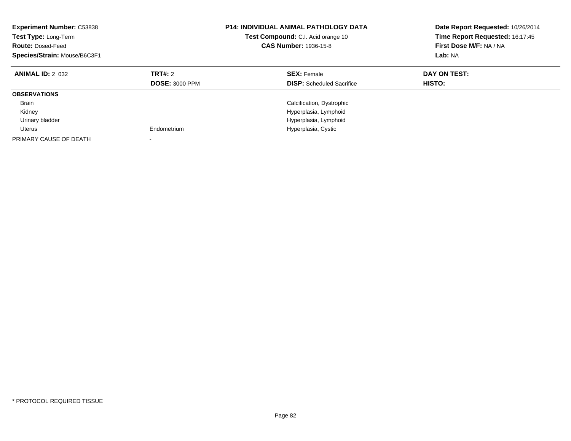| <b>Experiment Number: C53838</b><br>Test Type: Long-Term<br><b>Route: Dosed-Feed</b><br>Species/Strain: Mouse/B6C3F1 | <b>P14: INDIVIDUAL ANIMAL PATHOLOGY DATA</b><br>Test Compound: C.I. Acid orange 10<br><b>CAS Number: 1936-15-8</b> |                                                        | Date Report Requested: 10/26/2014<br>Time Report Requested: 16:17:45<br>First Dose M/F: NA / NA<br>Lab: NA |
|----------------------------------------------------------------------------------------------------------------------|--------------------------------------------------------------------------------------------------------------------|--------------------------------------------------------|------------------------------------------------------------------------------------------------------------|
| <b>ANIMAL ID: 2 032</b>                                                                                              | <b>TRT#: 2</b><br><b>DOSE: 3000 PPM</b>                                                                            | <b>SEX: Female</b><br><b>DISP:</b> Scheduled Sacrifice | DAY ON TEST:<br>HISTO:                                                                                     |
| <b>OBSERVATIONS</b>                                                                                                  |                                                                                                                    |                                                        |                                                                                                            |
| <b>Brain</b>                                                                                                         |                                                                                                                    | Calcification, Dystrophic                              |                                                                                                            |
| Kidney                                                                                                               |                                                                                                                    | Hyperplasia, Lymphoid                                  |                                                                                                            |
| Urinary bladder                                                                                                      |                                                                                                                    | Hyperplasia, Lymphoid                                  |                                                                                                            |
| Uterus                                                                                                               | Endometrium                                                                                                        | Hyperplasia, Cystic                                    |                                                                                                            |
| PRIMARY CAUSE OF DEATH                                                                                               |                                                                                                                    |                                                        |                                                                                                            |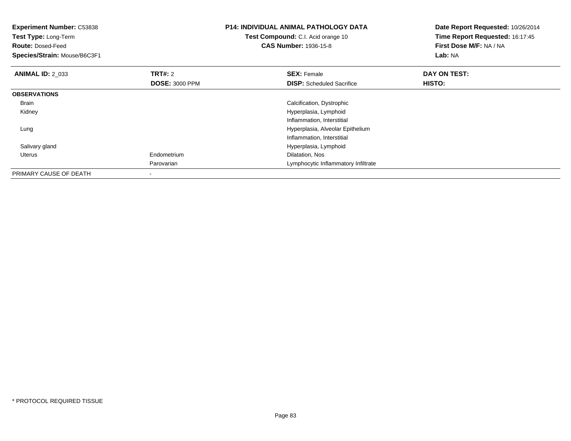| <b>Experiment Number: C53838</b><br>Test Type: Long-Term<br><b>Route: Dosed-Feed</b><br>Species/Strain: Mouse/B6C3F1 |                       | <b>P14: INDIVIDUAL ANIMAL PATHOLOGY DATA</b><br>Test Compound: C.I. Acid orange 10<br><b>CAS Number: 1936-15-8</b> | Date Report Requested: 10/26/2014<br>Time Report Requested: 16:17:45<br>First Dose M/F: NA / NA<br>Lab: NA |
|----------------------------------------------------------------------------------------------------------------------|-----------------------|--------------------------------------------------------------------------------------------------------------------|------------------------------------------------------------------------------------------------------------|
| <b>ANIMAL ID: 2 033</b>                                                                                              | <b>TRT#:</b> 2        | <b>SEX: Female</b>                                                                                                 | DAY ON TEST:                                                                                               |
|                                                                                                                      | <b>DOSE: 3000 PPM</b> | <b>DISP:</b> Scheduled Sacrifice                                                                                   | <b>HISTO:</b>                                                                                              |
| <b>OBSERVATIONS</b>                                                                                                  |                       |                                                                                                                    |                                                                                                            |
| Brain                                                                                                                |                       | Calcification, Dystrophic                                                                                          |                                                                                                            |
| Kidney                                                                                                               |                       | Hyperplasia, Lymphoid                                                                                              |                                                                                                            |
|                                                                                                                      |                       | Inflammation, Interstitial                                                                                         |                                                                                                            |
| Lung                                                                                                                 |                       | Hyperplasia, Alveolar Epithelium                                                                                   |                                                                                                            |
|                                                                                                                      |                       | Inflammation, Interstitial                                                                                         |                                                                                                            |
| Salivary gland                                                                                                       |                       | Hyperplasia, Lymphoid                                                                                              |                                                                                                            |
| Uterus                                                                                                               | Endometrium           | Dilatation, Nos                                                                                                    |                                                                                                            |
|                                                                                                                      | Parovarian            | Lymphocytic Inflammatory Infiltrate                                                                                |                                                                                                            |
| PRIMARY CAUSE OF DEATH                                                                                               |                       |                                                                                                                    |                                                                                                            |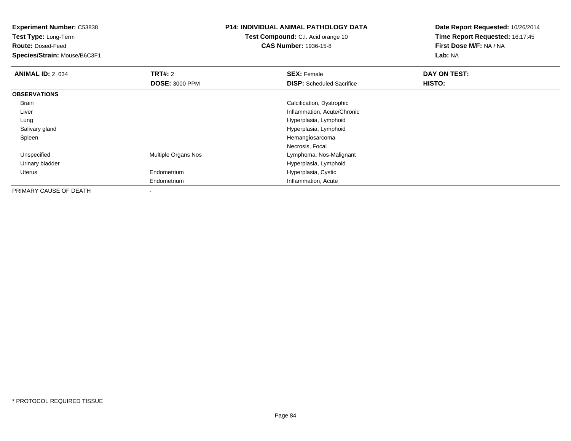**Test Type:** Long-Term

**Route:** Dosed-Feed

**Species/Strain:** Mouse/B6C3F1

# **P14: INDIVIDUAL ANIMAL PATHOLOGY DATA**

**Test Compound:** C.I. Acid orange 10**CAS Number:** 1936-15-8

| <b>ANIMAL ID: 2_034</b> | TRT#: 2               | <b>SEX: Female</b>               | DAY ON TEST: |  |
|-------------------------|-----------------------|----------------------------------|--------------|--|
|                         | <b>DOSE: 3000 PPM</b> | <b>DISP:</b> Scheduled Sacrifice | HISTO:       |  |
| <b>OBSERVATIONS</b>     |                       |                                  |              |  |
| Brain                   |                       | Calcification, Dystrophic        |              |  |
| Liver                   |                       | Inflammation, Acute/Chronic      |              |  |
| Lung                    |                       | Hyperplasia, Lymphoid            |              |  |
| Salivary gland          |                       | Hyperplasia, Lymphoid            |              |  |
| Spleen                  |                       | Hemangiosarcoma                  |              |  |
|                         |                       | Necrosis, Focal                  |              |  |
| Unspecified             | Multiple Organs Nos   | Lymphoma, Nos-Malignant          |              |  |
| Urinary bladder         |                       | Hyperplasia, Lymphoid            |              |  |
| <b>Uterus</b>           | Endometrium           | Hyperplasia, Cystic              |              |  |
|                         | Endometrium           | Inflammation, Acute              |              |  |
| PRIMARY CAUSE OF DEATH  | -                     |                                  |              |  |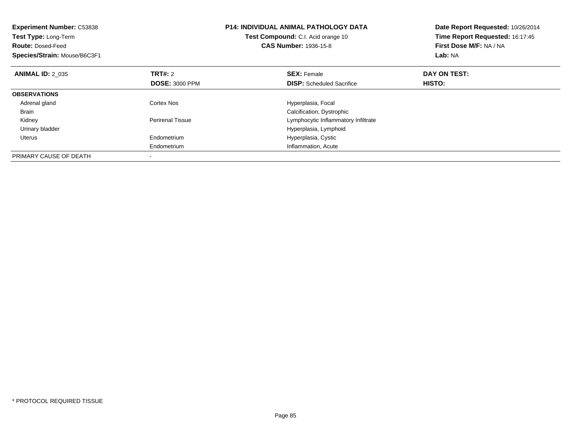| <b>Experiment Number: C53838</b><br>Test Type: Long-Term<br><b>Route: Dosed-Feed</b><br>Species/Strain: Mouse/B6C3F1 |                         | <b>P14: INDIVIDUAL ANIMAL PATHOLOGY DATA</b><br>Test Compound: C.I. Acid orange 10<br><b>CAS Number: 1936-15-8</b> | Date Report Requested: 10/26/2014<br>Time Report Requested: 16:17:45<br>First Dose M/F: NA / NA<br>Lab: NA |
|----------------------------------------------------------------------------------------------------------------------|-------------------------|--------------------------------------------------------------------------------------------------------------------|------------------------------------------------------------------------------------------------------------|
| <b>ANIMAL ID: 2 035</b>                                                                                              | <b>TRT#: 2</b>          | <b>SEX: Female</b>                                                                                                 | DAY ON TEST:                                                                                               |
|                                                                                                                      | <b>DOSE: 3000 PPM</b>   | <b>DISP:</b> Scheduled Sacrifice                                                                                   | <b>HISTO:</b>                                                                                              |
| <b>OBSERVATIONS</b>                                                                                                  |                         |                                                                                                                    |                                                                                                            |
| Adrenal gland                                                                                                        | Cortex Nos              | Hyperplasia, Focal                                                                                                 |                                                                                                            |
| <b>Brain</b>                                                                                                         |                         | Calcification, Dystrophic                                                                                          |                                                                                                            |
| Kidney                                                                                                               | <b>Perirenal Tissue</b> | Lymphocytic Inflammatory Infiltrate                                                                                |                                                                                                            |
| Urinary bladder                                                                                                      |                         | Hyperplasia, Lymphoid                                                                                              |                                                                                                            |
| Uterus                                                                                                               | Endometrium             | Hyperplasia, Cystic                                                                                                |                                                                                                            |
|                                                                                                                      | Endometrium             | Inflammation, Acute                                                                                                |                                                                                                            |
| PRIMARY CAUSE OF DEATH                                                                                               |                         |                                                                                                                    |                                                                                                            |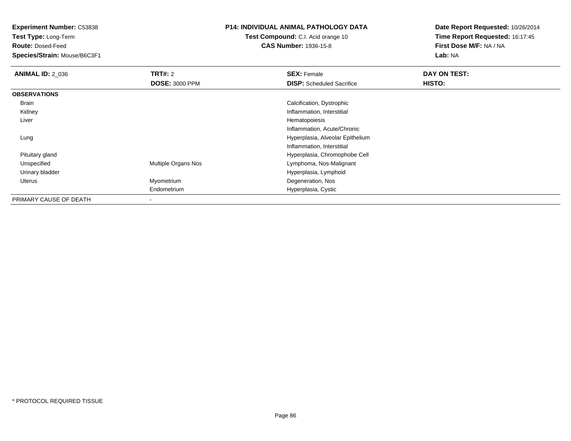**Test Type:** Long-Term

**Route:** Dosed-Feed

**Species/Strain:** Mouse/B6C3F1

## **P14: INDIVIDUAL ANIMAL PATHOLOGY DATA**

**Test Compound:** C.I. Acid orange 10**CAS Number:** 1936-15-8

| <b>ANIMAL ID: 2_036</b> | <b>TRT#: 2</b>        | <b>SEX: Female</b>               | DAY ON TEST: |  |
|-------------------------|-----------------------|----------------------------------|--------------|--|
|                         | <b>DOSE: 3000 PPM</b> | <b>DISP:</b> Scheduled Sacrifice | HISTO:       |  |
| <b>OBSERVATIONS</b>     |                       |                                  |              |  |
| Brain                   |                       | Calcification, Dystrophic        |              |  |
| Kidney                  |                       | Inflammation, Interstitial       |              |  |
| Liver                   |                       | Hematopoiesis                    |              |  |
|                         |                       | Inflammation, Acute/Chronic      |              |  |
| Lung                    |                       | Hyperplasia, Alveolar Epithelium |              |  |
|                         |                       | Inflammation, Interstitial       |              |  |
| Pituitary gland         |                       | Hyperplasia, Chromophobe Cell    |              |  |
| Unspecified             | Multiple Organs Nos   | Lymphoma, Nos-Malignant          |              |  |
| Urinary bladder         |                       | Hyperplasia, Lymphoid            |              |  |
| Uterus                  | Myometrium            | Degeneration, Nos                |              |  |
|                         | Endometrium           | Hyperplasia, Cystic              |              |  |
| PRIMARY CAUSE OF DEATH  | -                     |                                  |              |  |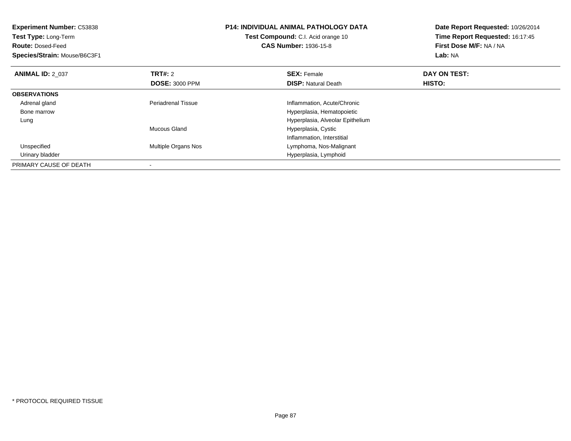| <b>Experiment Number: C53838</b><br>Test Type: Long-Term<br><b>Route: Dosed-Feed</b><br>Species/Strain: Mouse/B6C3F1 |                            | <b>P14: INDIVIDUAL ANIMAL PATHOLOGY DATA</b><br>Test Compound: C.I. Acid orange 10<br><b>CAS Number: 1936-15-8</b> | Date Report Requested: 10/26/2014<br>Time Report Requested: 16:17:45<br>First Dose M/F: NA / NA<br><b>Lab: NA</b> |
|----------------------------------------------------------------------------------------------------------------------|----------------------------|--------------------------------------------------------------------------------------------------------------------|-------------------------------------------------------------------------------------------------------------------|
| <b>ANIMAL ID: 2 037</b>                                                                                              | TRT#: 2                    | <b>SEX: Female</b>                                                                                                 | DAY ON TEST:                                                                                                      |
|                                                                                                                      | <b>DOSE: 3000 PPM</b>      | <b>DISP:</b> Natural Death                                                                                         | <b>HISTO:</b>                                                                                                     |
| <b>OBSERVATIONS</b>                                                                                                  |                            |                                                                                                                    |                                                                                                                   |
| Adrenal gland                                                                                                        | <b>Periadrenal Tissue</b>  | Inflammation, Acute/Chronic                                                                                        |                                                                                                                   |
| Bone marrow                                                                                                          |                            | Hyperplasia, Hematopoietic                                                                                         |                                                                                                                   |
| Lung                                                                                                                 |                            | Hyperplasia, Alveolar Epithelium                                                                                   |                                                                                                                   |
|                                                                                                                      | Mucous Gland               | Hyperplasia, Cystic                                                                                                |                                                                                                                   |
|                                                                                                                      |                            | Inflammation, Interstitial                                                                                         |                                                                                                                   |
| Unspecified                                                                                                          | <b>Multiple Organs Nos</b> | Lymphoma, Nos-Malignant                                                                                            |                                                                                                                   |
| Urinary bladder                                                                                                      |                            | Hyperplasia, Lymphoid                                                                                              |                                                                                                                   |
| PRIMARY CAUSE OF DEATH                                                                                               |                            |                                                                                                                    |                                                                                                                   |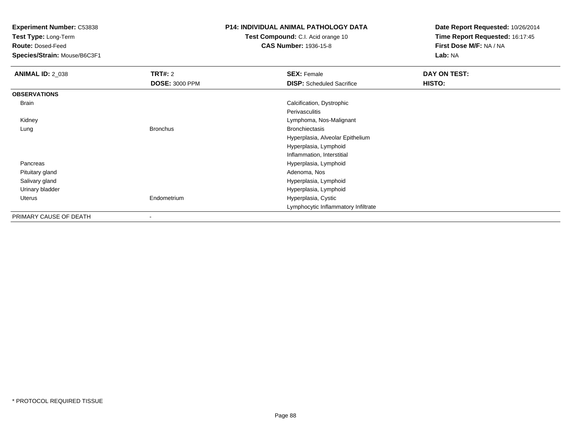**Test Type:** Long-Term

**Route:** Dosed-Feed

**Species/Strain:** Mouse/B6C3F1

## **P14: INDIVIDUAL ANIMAL PATHOLOGY DATA**

**Test Compound:** C.I. Acid orange 10**CAS Number:** 1936-15-8

| <b>ANIMAL ID: 2_038</b> | <b>TRT#: 2</b>        | <b>SEX: Female</b>                  | DAY ON TEST: |  |
|-------------------------|-----------------------|-------------------------------------|--------------|--|
|                         | <b>DOSE: 3000 PPM</b> | <b>DISP:</b> Scheduled Sacrifice    | HISTO:       |  |
| <b>OBSERVATIONS</b>     |                       |                                     |              |  |
| Brain                   |                       | Calcification, Dystrophic           |              |  |
|                         |                       | Perivasculitis                      |              |  |
| Kidney                  |                       | Lymphoma, Nos-Malignant             |              |  |
| Lung                    | <b>Bronchus</b>       | <b>Bronchiectasis</b>               |              |  |
|                         |                       | Hyperplasia, Alveolar Epithelium    |              |  |
|                         |                       | Hyperplasia, Lymphoid               |              |  |
|                         |                       | Inflammation, Interstitial          |              |  |
| Pancreas                |                       | Hyperplasia, Lymphoid               |              |  |
| Pituitary gland         |                       | Adenoma, Nos                        |              |  |
| Salivary gland          |                       | Hyperplasia, Lymphoid               |              |  |
| Urinary bladder         |                       | Hyperplasia, Lymphoid               |              |  |
| Uterus                  | Endometrium           | Hyperplasia, Cystic                 |              |  |
|                         |                       | Lymphocytic Inflammatory Infiltrate |              |  |
| PRIMARY CAUSE OF DEATH  | $\,$                  |                                     |              |  |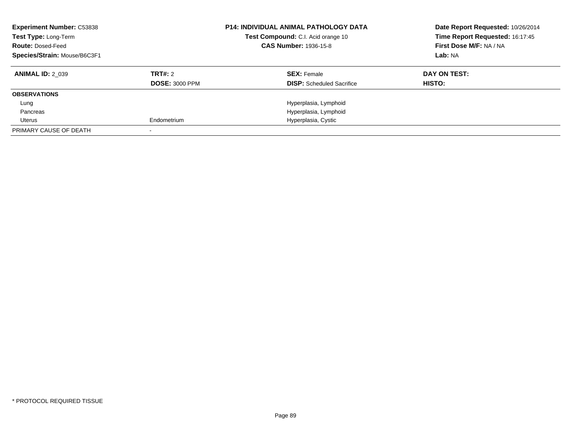| <b>Experiment Number: C53838</b><br>Test Type: Long-Term<br><b>Route: Dosed-Feed</b><br>Species/Strain: Mouse/B6C3F1 |                       | <b>P14: INDIVIDUAL ANIMAL PATHOLOGY DATA</b><br>Test Compound: C.I. Acid orange 10<br><b>CAS Number: 1936-15-8</b> | Date Report Requested: 10/26/2014<br>Time Report Requested: 16:17:45<br>First Dose M/F: NA / NA<br>Lab: NA |
|----------------------------------------------------------------------------------------------------------------------|-----------------------|--------------------------------------------------------------------------------------------------------------------|------------------------------------------------------------------------------------------------------------|
| <b>ANIMAL ID: 2 039</b>                                                                                              | TRT#: 2               | <b>SEX: Female</b>                                                                                                 | DAY ON TEST:                                                                                               |
|                                                                                                                      | <b>DOSE: 3000 PPM</b> | <b>DISP:</b> Scheduled Sacrifice                                                                                   | <b>HISTO:</b>                                                                                              |
| <b>OBSERVATIONS</b>                                                                                                  |                       |                                                                                                                    |                                                                                                            |
| Lung                                                                                                                 |                       | Hyperplasia, Lymphoid                                                                                              |                                                                                                            |
| Pancreas                                                                                                             |                       | Hyperplasia, Lymphoid                                                                                              |                                                                                                            |
| Uterus                                                                                                               | Endometrium           | Hyperplasia, Cystic                                                                                                |                                                                                                            |
| PRIMARY CAUSE OF DEATH                                                                                               |                       |                                                                                                                    |                                                                                                            |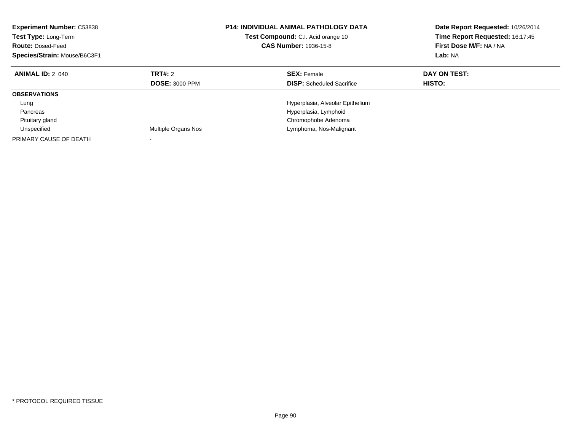| <b>Experiment Number: C53838</b><br><b>Test Type: Long-Term</b><br><b>Route: Dosed-Feed</b><br>Species/Strain: Mouse/B6C3F1 |                                         | <b>P14: INDIVIDUAL ANIMAL PATHOLOGY DATA</b><br>Test Compound: C.I. Acid orange 10<br>CAS Number: 1936-15-8 | Date Report Requested: 10/26/2014<br>Time Report Requested: 16:17:45<br>First Dose M/F: NA / NA<br>Lab: NA |
|-----------------------------------------------------------------------------------------------------------------------------|-----------------------------------------|-------------------------------------------------------------------------------------------------------------|------------------------------------------------------------------------------------------------------------|
| <b>ANIMAL ID: 2 040</b>                                                                                                     | <b>TRT#: 2</b><br><b>DOSE: 3000 PPM</b> | <b>SEX: Female</b><br><b>DISP:</b> Scheduled Sacrifice                                                      | DAY ON TEST:<br>HISTO:                                                                                     |
| <b>OBSERVATIONS</b>                                                                                                         |                                         |                                                                                                             |                                                                                                            |
| Lung                                                                                                                        |                                         | Hyperplasia, Alveolar Epithelium                                                                            |                                                                                                            |
| Pancreas                                                                                                                    |                                         | Hyperplasia, Lymphoid                                                                                       |                                                                                                            |
| Pituitary gland                                                                                                             |                                         | Chromophobe Adenoma                                                                                         |                                                                                                            |
| Unspecified                                                                                                                 | Multiple Organs Nos                     | Lymphoma, Nos-Malignant                                                                                     |                                                                                                            |
| PRIMARY CAUSE OF DEATH                                                                                                      |                                         |                                                                                                             |                                                                                                            |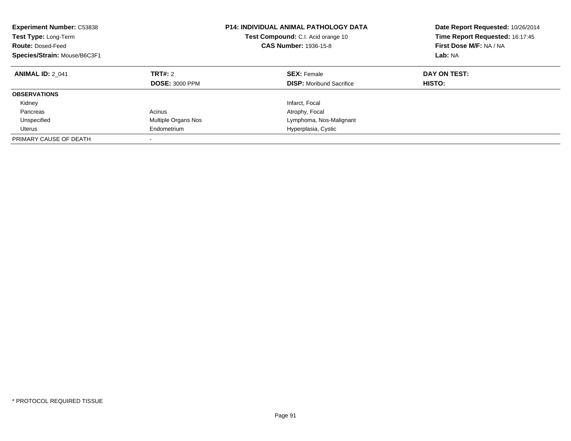| <b>Experiment Number: C53838</b><br>Test Type: Long-Term<br><b>Route: Dosed-Feed</b><br>Species/Strain: Mouse/B6C3F1 |                                  | <b>P14: INDIVIDUAL ANIMAL PATHOLOGY DATA</b><br>Test Compound: C.I. Acid orange 10<br><b>CAS Number: 1936-15-8</b> | Date Report Requested: 10/26/2014<br>Time Report Requested: 16:17:45<br>First Dose M/F: NA / NA<br>Lab: NA |
|----------------------------------------------------------------------------------------------------------------------|----------------------------------|--------------------------------------------------------------------------------------------------------------------|------------------------------------------------------------------------------------------------------------|
| <b>ANIMAL ID: 2 041</b>                                                                                              | TRT#: 2<br><b>DOSE: 3000 PPM</b> | <b>SEX: Female</b><br><b>DISP:</b> Moribund Sacrifice                                                              | DAY ON TEST:<br>HISTO:                                                                                     |
| <b>OBSERVATIONS</b>                                                                                                  |                                  |                                                                                                                    |                                                                                                            |
| Kidney                                                                                                               |                                  | Infarct, Focal                                                                                                     |                                                                                                            |
| Pancreas                                                                                                             | Acinus                           | Atrophy, Focal                                                                                                     |                                                                                                            |
| Unspecified                                                                                                          | Multiple Organs Nos              | Lymphoma, Nos-Malignant                                                                                            |                                                                                                            |
| Uterus                                                                                                               | Endometrium                      | Hyperplasia, Cystic                                                                                                |                                                                                                            |
| PRIMARY CAUSE OF DEATH                                                                                               | -                                |                                                                                                                    |                                                                                                            |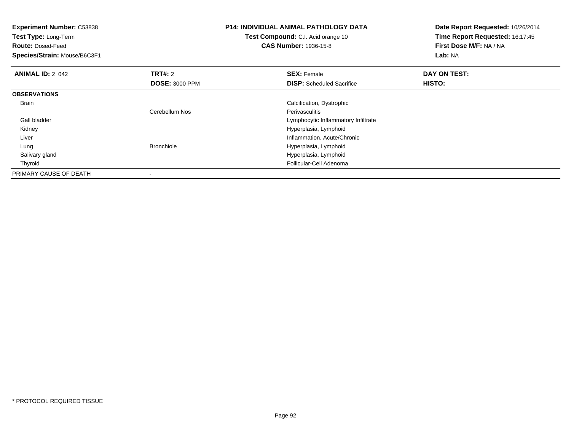| <b>Experiment Number: C53838</b><br>Test Type: Long-Term<br><b>Route: Dosed-Feed</b><br>Species/Strain: Mouse/B6C3F1 |                       | <b>P14: INDIVIDUAL ANIMAL PATHOLOGY DATA</b><br>Test Compound: C.I. Acid orange 10<br><b>CAS Number: 1936-15-8</b> | Date Report Requested: 10/26/2014<br>Time Report Requested: 16:17:45<br>First Dose M/F: NA / NA<br><b>Lab: NA</b> |
|----------------------------------------------------------------------------------------------------------------------|-----------------------|--------------------------------------------------------------------------------------------------------------------|-------------------------------------------------------------------------------------------------------------------|
| <b>ANIMAL ID: 2 042</b>                                                                                              | <b>TRT#:</b> 2        | <b>SEX: Female</b>                                                                                                 | DAY ON TEST:                                                                                                      |
|                                                                                                                      | <b>DOSE: 3000 PPM</b> | <b>DISP:</b> Scheduled Sacrifice                                                                                   | HISTO:                                                                                                            |
| <b>OBSERVATIONS</b>                                                                                                  |                       |                                                                                                                    |                                                                                                                   |
| Brain                                                                                                                |                       | Calcification, Dystrophic                                                                                          |                                                                                                                   |
|                                                                                                                      | Cerebellum Nos        | <b>Perivasculitis</b>                                                                                              |                                                                                                                   |
| Gall bladder                                                                                                         |                       | Lymphocytic Inflammatory Infiltrate                                                                                |                                                                                                                   |
| Kidney                                                                                                               |                       | Hyperplasia, Lymphoid                                                                                              |                                                                                                                   |
| Liver                                                                                                                |                       | Inflammation, Acute/Chronic                                                                                        |                                                                                                                   |
| Lung                                                                                                                 | <b>Bronchiole</b>     | Hyperplasia, Lymphoid                                                                                              |                                                                                                                   |
| Salivary gland                                                                                                       |                       | Hyperplasia, Lymphoid                                                                                              |                                                                                                                   |
| Thyroid                                                                                                              |                       | Follicular-Cell Adenoma                                                                                            |                                                                                                                   |
| PRIMARY CAUSE OF DEATH                                                                                               |                       |                                                                                                                    |                                                                                                                   |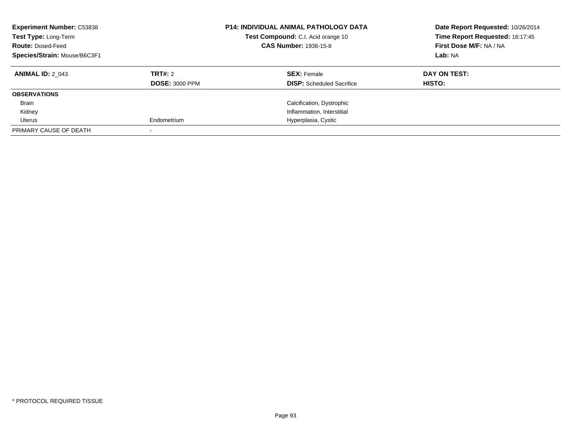| <b>Experiment Number: C53838</b><br>Test Type: Long-Term<br><b>Route: Dosed-Feed</b><br>Species/Strain: Mouse/B6C3F1 |                       | <b>P14: INDIVIDUAL ANIMAL PATHOLOGY DATA</b><br>Test Compound: C.I. Acid orange 10<br><b>CAS Number: 1936-15-8</b> | Date Report Requested: 10/26/2014<br>Time Report Requested: 16:17:45<br>First Dose M/F: NA / NA<br>Lab: NA |
|----------------------------------------------------------------------------------------------------------------------|-----------------------|--------------------------------------------------------------------------------------------------------------------|------------------------------------------------------------------------------------------------------------|
| <b>ANIMAL ID: 2 043</b>                                                                                              | TRT#: 2               | <b>SEX: Female</b>                                                                                                 | DAY ON TEST:                                                                                               |
|                                                                                                                      | <b>DOSE: 3000 PPM</b> | <b>DISP:</b> Scheduled Sacrifice                                                                                   | <b>HISTO:</b>                                                                                              |
| <b>OBSERVATIONS</b>                                                                                                  |                       |                                                                                                                    |                                                                                                            |
| <b>Brain</b>                                                                                                         |                       | Calcification, Dystrophic                                                                                          |                                                                                                            |
| Kidney                                                                                                               |                       | Inflammation, Interstitial                                                                                         |                                                                                                            |
| Uterus                                                                                                               | Endometrium           | Hyperplasia, Cystic                                                                                                |                                                                                                            |
| PRIMARY CAUSE OF DEATH                                                                                               |                       |                                                                                                                    |                                                                                                            |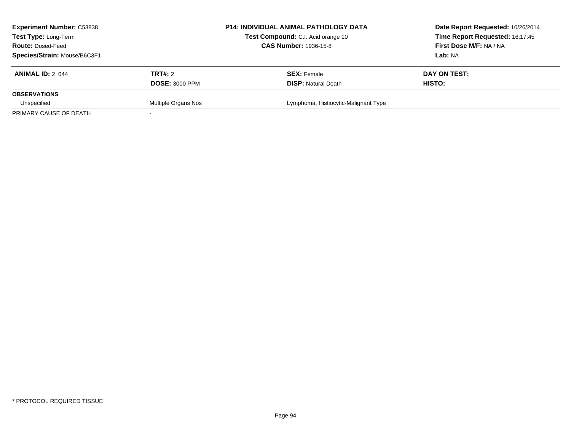| <b>Experiment Number: C53838</b><br><b>Test Type: Long-Term</b><br><b>Route: Dosed-Feed</b> |                       | <b>P14: INDIVIDUAL ANIMAL PATHOLOGY DATA</b><br>Test Compound: C.I. Acid orange 10<br><b>CAS Number: 1936-15-8</b> | Date Report Requested: 10/26/2014<br>Time Report Requested: 16:17:45<br>First Dose M/F: NA / NA |
|---------------------------------------------------------------------------------------------|-----------------------|--------------------------------------------------------------------------------------------------------------------|-------------------------------------------------------------------------------------------------|
| Species/Strain: Mouse/B6C3F1                                                                |                       |                                                                                                                    | Lab: NA                                                                                         |
| <b>ANIMAL ID: 2 044</b>                                                                     | TRT#: 2               | <b>SEX: Female</b>                                                                                                 | DAY ON TEST:                                                                                    |
|                                                                                             | <b>DOSE: 3000 PPM</b> | <b>DISP:</b> Natural Death                                                                                         | HISTO:                                                                                          |
| <b>OBSERVATIONS</b>                                                                         |                       |                                                                                                                    |                                                                                                 |
| Unspecified                                                                                 | Multiple Organs Nos   | Lymphoma, Histiocytic-Malignant Type                                                                               |                                                                                                 |
| PRIMARY CAUSE OF DEATH                                                                      |                       |                                                                                                                    |                                                                                                 |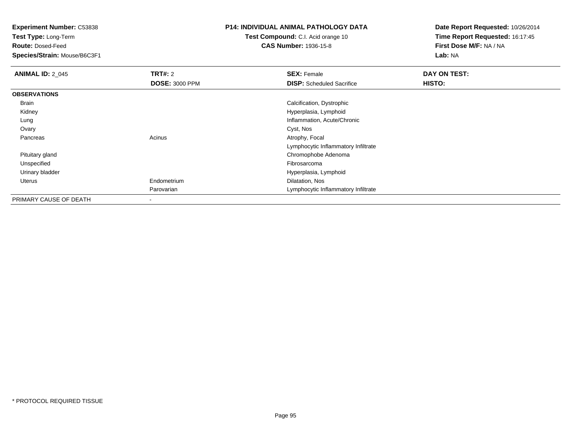**Test Type:** Long-Term

**Route:** Dosed-Feed

**Species/Strain:** Mouse/B6C3F1

## **P14: INDIVIDUAL ANIMAL PATHOLOGY DATA**

**Test Compound:** C.I. Acid orange 10**CAS Number:** 1936-15-8

| <b>ANIMAL ID: 2_045</b> | <b>TRT#: 2</b>        | <b>SEX: Female</b>                  | DAY ON TEST: |  |
|-------------------------|-----------------------|-------------------------------------|--------------|--|
|                         | <b>DOSE: 3000 PPM</b> | <b>DISP:</b> Scheduled Sacrifice    | HISTO:       |  |
| <b>OBSERVATIONS</b>     |                       |                                     |              |  |
| Brain                   |                       | Calcification, Dystrophic           |              |  |
| Kidney                  |                       | Hyperplasia, Lymphoid               |              |  |
| Lung                    |                       | Inflammation, Acute/Chronic         |              |  |
| Ovary                   |                       | Cyst, Nos                           |              |  |
| Pancreas                | Acinus                | Atrophy, Focal                      |              |  |
|                         |                       | Lymphocytic Inflammatory Infiltrate |              |  |
| Pituitary gland         |                       | Chromophobe Adenoma                 |              |  |
| Unspecified             |                       | Fibrosarcoma                        |              |  |
| Urinary bladder         |                       | Hyperplasia, Lymphoid               |              |  |
| Uterus                  | Endometrium           | Dilatation, Nos                     |              |  |
|                         | Parovarian            | Lymphocytic Inflammatory Infiltrate |              |  |
| PRIMARY CAUSE OF DEATH  | ۰                     |                                     |              |  |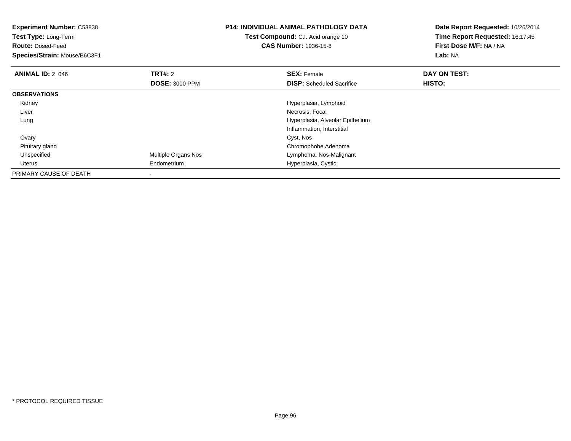| Experiment Number: C53838<br>Test Type: Long-Term<br><b>Route: Dosed-Feed</b><br>Species/Strain: Mouse/B6C3F1 |                       | <b>P14: INDIVIDUAL ANIMAL PATHOLOGY DATA</b><br><b>Test Compound:</b> C.I. Acid orange 10<br><b>CAS Number: 1936-15-8</b> | Date Report Requested: 10/26/2014<br>Time Report Requested: 16:17:45<br>First Dose M/F: NA / NA<br>Lab: NA |
|---------------------------------------------------------------------------------------------------------------|-----------------------|---------------------------------------------------------------------------------------------------------------------------|------------------------------------------------------------------------------------------------------------|
| <b>ANIMAL ID: 2 046</b>                                                                                       | <b>TRT#: 2</b>        | <b>SEX: Female</b>                                                                                                        | DAY ON TEST:                                                                                               |
|                                                                                                               | <b>DOSE: 3000 PPM</b> | <b>DISP:</b> Scheduled Sacrifice                                                                                          | <b>HISTO:</b>                                                                                              |
| <b>OBSERVATIONS</b>                                                                                           |                       |                                                                                                                           |                                                                                                            |
| Kidney                                                                                                        |                       | Hyperplasia, Lymphoid                                                                                                     |                                                                                                            |
| Liver                                                                                                         |                       | Necrosis, Focal                                                                                                           |                                                                                                            |
| Lung                                                                                                          |                       | Hyperplasia, Alveolar Epithelium                                                                                          |                                                                                                            |
|                                                                                                               |                       | Inflammation, Interstitial                                                                                                |                                                                                                            |
| Ovary                                                                                                         |                       | Cyst, Nos                                                                                                                 |                                                                                                            |
| Pituitary gland                                                                                               |                       | Chromophobe Adenoma                                                                                                       |                                                                                                            |
| Unspecified                                                                                                   | Multiple Organs Nos   | Lymphoma, Nos-Malignant                                                                                                   |                                                                                                            |
| Uterus                                                                                                        | Endometrium           | Hyperplasia, Cystic                                                                                                       |                                                                                                            |
| PRIMARY CAUSE OF DEATH                                                                                        |                       |                                                                                                                           |                                                                                                            |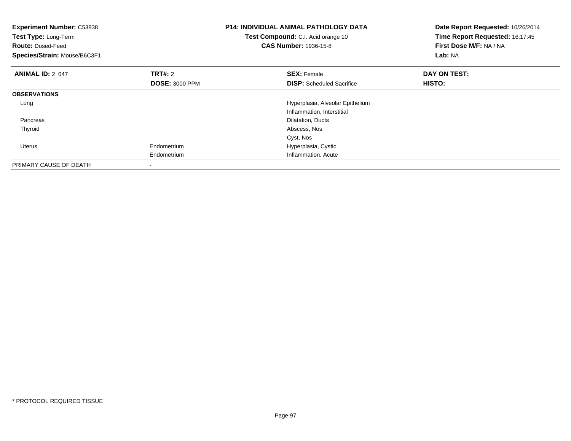| <b>Experiment Number: C53838</b><br>Test Type: Long-Term<br><b>Route: Dosed-Feed</b><br>Species/Strain: Mouse/B6C3F1 |                                         | <b>P14: INDIVIDUAL ANIMAL PATHOLOGY DATA</b><br>Test Compound: C.I. Acid orange 10<br><b>CAS Number: 1936-15-8</b> | Date Report Requested: 10/26/2014<br>Time Report Requested: 16:17:45<br>First Dose M/F: NA / NA<br>Lab: NA |
|----------------------------------------------------------------------------------------------------------------------|-----------------------------------------|--------------------------------------------------------------------------------------------------------------------|------------------------------------------------------------------------------------------------------------|
| <b>ANIMAL ID: 2 047</b>                                                                                              | <b>TRT#: 2</b><br><b>DOSE: 3000 PPM</b> | <b>SEX: Female</b><br><b>DISP:</b> Scheduled Sacrifice                                                             | DAY ON TEST:<br>HISTO:                                                                                     |
| <b>OBSERVATIONS</b>                                                                                                  |                                         |                                                                                                                    |                                                                                                            |
| Lung                                                                                                                 |                                         | Hyperplasia, Alveolar Epithelium<br>Inflammation, Interstitial                                                     |                                                                                                            |
| Pancreas                                                                                                             |                                         | Dilatation, Ducts                                                                                                  |                                                                                                            |
| Thyroid                                                                                                              |                                         | Abscess, Nos                                                                                                       |                                                                                                            |
|                                                                                                                      |                                         | Cyst, Nos                                                                                                          |                                                                                                            |
| <b>Uterus</b>                                                                                                        | Endometrium                             | Hyperplasia, Cystic                                                                                                |                                                                                                            |
|                                                                                                                      | Endometrium                             | Inflammation, Acute                                                                                                |                                                                                                            |
| PRIMARY CAUSE OF DEATH                                                                                               |                                         |                                                                                                                    |                                                                                                            |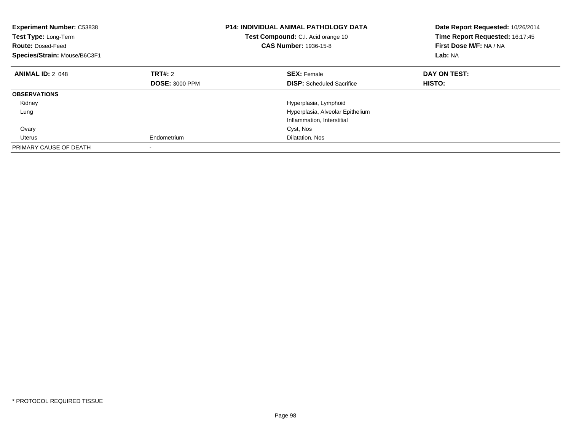| <b>Experiment Number: C53838</b><br>Test Type: Long-Term<br><b>Route: Dosed-Feed</b><br>Species/Strain: Mouse/B6C3F1 |                       | <b>P14: INDIVIDUAL ANIMAL PATHOLOGY DATA</b><br>Test Compound: C.I. Acid orange 10<br><b>CAS Number: 1936-15-8</b> | Date Report Requested: 10/26/2014<br>Time Report Requested: 16:17:45<br>First Dose M/F: NA / NA<br>Lab: NA |
|----------------------------------------------------------------------------------------------------------------------|-----------------------|--------------------------------------------------------------------------------------------------------------------|------------------------------------------------------------------------------------------------------------|
| <b>ANIMAL ID: 2 048</b>                                                                                              | TRT#: 2               | <b>SEX:</b> Female                                                                                                 | DAY ON TEST:                                                                                               |
|                                                                                                                      | <b>DOSE: 3000 PPM</b> | <b>DISP:</b> Scheduled Sacrifice                                                                                   | HISTO:                                                                                                     |
| <b>OBSERVATIONS</b>                                                                                                  |                       |                                                                                                                    |                                                                                                            |
| Kidney                                                                                                               |                       | Hyperplasia, Lymphoid                                                                                              |                                                                                                            |
| Lung                                                                                                                 |                       | Hyperplasia, Alveolar Epithelium                                                                                   |                                                                                                            |
|                                                                                                                      |                       | Inflammation, Interstitial                                                                                         |                                                                                                            |
| Ovary                                                                                                                |                       | Cyst, Nos                                                                                                          |                                                                                                            |
| Uterus                                                                                                               | Endometrium           | Dilatation, Nos                                                                                                    |                                                                                                            |
| PRIMARY CAUSE OF DEATH                                                                                               |                       |                                                                                                                    |                                                                                                            |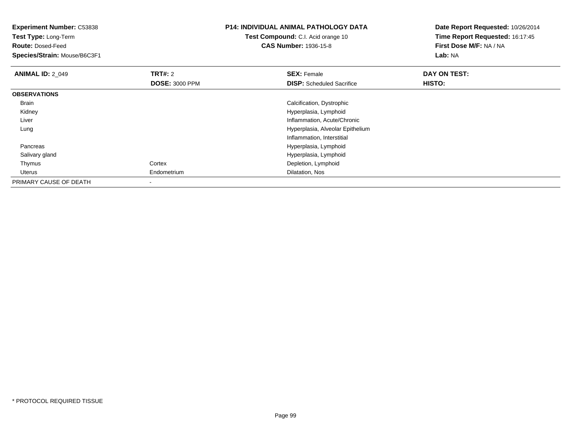| <b>Experiment Number: C53838</b><br>Test Type: Long-Term<br><b>Route: Dosed-Feed</b><br>Species/Strain: Mouse/B6C3F1 |                       | P14: INDIVIDUAL ANIMAL PATHOLOGY DATA<br><b>Test Compound:</b> C.I. Acid orange 10<br><b>CAS Number: 1936-15-8</b> | Date Report Requested: 10/26/2014<br>Time Report Requested: 16:17:45<br>First Dose M/F: NA / NA<br>Lab: NA |
|----------------------------------------------------------------------------------------------------------------------|-----------------------|--------------------------------------------------------------------------------------------------------------------|------------------------------------------------------------------------------------------------------------|
| <b>ANIMAL ID: 2_049</b>                                                                                              | <b>TRT#: 2</b>        | <b>SEX: Female</b>                                                                                                 | DAY ON TEST:                                                                                               |
|                                                                                                                      | <b>DOSE: 3000 PPM</b> | <b>DISP:</b> Scheduled Sacrifice                                                                                   | <b>HISTO:</b>                                                                                              |
| <b>OBSERVATIONS</b>                                                                                                  |                       |                                                                                                                    |                                                                                                            |
| Brain                                                                                                                |                       | Calcification, Dystrophic                                                                                          |                                                                                                            |
| Kidney                                                                                                               |                       | Hyperplasia, Lymphoid                                                                                              |                                                                                                            |
| Liver                                                                                                                |                       | Inflammation, Acute/Chronic                                                                                        |                                                                                                            |
| Lung                                                                                                                 |                       | Hyperplasia, Alveolar Epithelium                                                                                   |                                                                                                            |
|                                                                                                                      |                       | Inflammation, Interstitial                                                                                         |                                                                                                            |
| Pancreas                                                                                                             |                       | Hyperplasia, Lymphoid                                                                                              |                                                                                                            |
| Salivary gland                                                                                                       |                       | Hyperplasia, Lymphoid                                                                                              |                                                                                                            |
| Thymus                                                                                                               | Cortex                | Depletion, Lymphoid                                                                                                |                                                                                                            |
| Uterus                                                                                                               | Endometrium           | Dilatation, Nos                                                                                                    |                                                                                                            |
| PRIMARY CAUSE OF DEATH                                                                                               | $\,$                  |                                                                                                                    |                                                                                                            |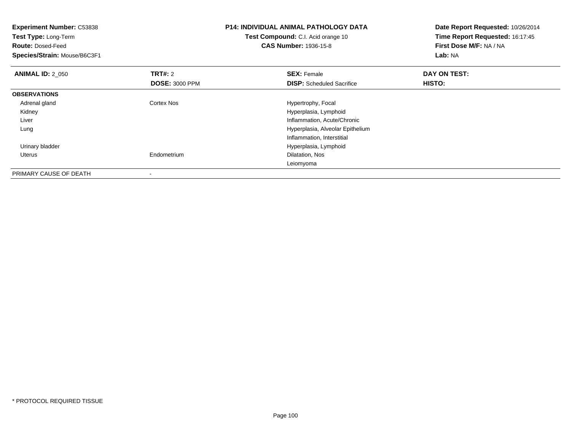| <b>Experiment Number: C53838</b><br>Test Type: Long-Term<br><b>Route: Dosed-Feed</b><br>Species/Strain: Mouse/B6C3F1 |                                         | <b>P14: INDIVIDUAL ANIMAL PATHOLOGY DATA</b><br>Test Compound: C.I. Acid orange 10<br><b>CAS Number: 1936-15-8</b> | Date Report Requested: 10/26/2014<br>Time Report Requested: 16:17:45<br>First Dose M/F: NA / NA<br>Lab: NA |
|----------------------------------------------------------------------------------------------------------------------|-----------------------------------------|--------------------------------------------------------------------------------------------------------------------|------------------------------------------------------------------------------------------------------------|
| <b>ANIMAL ID: 2 050</b>                                                                                              | <b>TRT#: 2</b><br><b>DOSE: 3000 PPM</b> | <b>SEX: Female</b><br><b>DISP:</b> Scheduled Sacrifice                                                             | DAY ON TEST:<br><b>HISTO:</b>                                                                              |
| <b>OBSERVATIONS</b>                                                                                                  |                                         |                                                                                                                    |                                                                                                            |
| Adrenal gland                                                                                                        | Cortex Nos                              | Hypertrophy, Focal                                                                                                 |                                                                                                            |
| Kidney                                                                                                               |                                         | Hyperplasia, Lymphoid                                                                                              |                                                                                                            |
| Liver                                                                                                                |                                         | Inflammation, Acute/Chronic                                                                                        |                                                                                                            |
| Lung                                                                                                                 |                                         | Hyperplasia, Alveolar Epithelium                                                                                   |                                                                                                            |
|                                                                                                                      |                                         | Inflammation, Interstitial                                                                                         |                                                                                                            |
| Urinary bladder                                                                                                      |                                         | Hyperplasia, Lymphoid                                                                                              |                                                                                                            |
| Uterus                                                                                                               | Endometrium                             | Dilatation, Nos                                                                                                    |                                                                                                            |
|                                                                                                                      |                                         | Leiomyoma                                                                                                          |                                                                                                            |
| PRIMARY CAUSE OF DEATH                                                                                               |                                         |                                                                                                                    |                                                                                                            |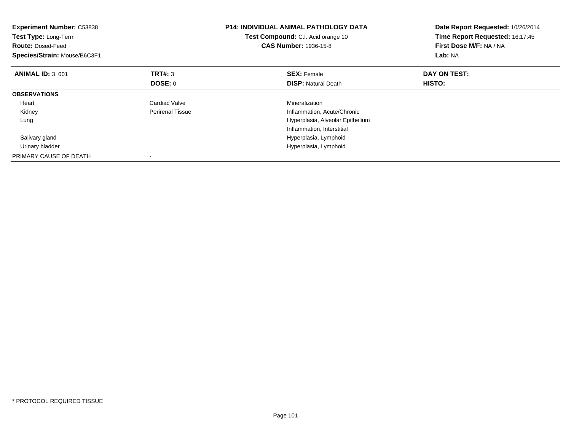| <b>Experiment Number: C53838</b><br>Test Type: Long-Term<br><b>Route: Dosed-Feed</b><br>Species/Strain: Mouse/B6C3F1 |                         | <b>P14: INDIVIDUAL ANIMAL PATHOLOGY DATA</b><br>Test Compound: C.I. Acid orange 10<br><b>CAS Number: 1936-15-8</b> | Date Report Requested: 10/26/2014<br>Time Report Requested: 16:17:45<br>First Dose M/F: NA / NA<br>Lab: NA |
|----------------------------------------------------------------------------------------------------------------------|-------------------------|--------------------------------------------------------------------------------------------------------------------|------------------------------------------------------------------------------------------------------------|
| <b>ANIMAL ID: 3 001</b>                                                                                              | <b>TRT#:</b> 3          | <b>SEX: Female</b>                                                                                                 | DAY ON TEST:                                                                                               |
|                                                                                                                      | DOSE: 0                 | <b>DISP: Natural Death</b>                                                                                         | HISTO:                                                                                                     |
| <b>OBSERVATIONS</b>                                                                                                  |                         |                                                                                                                    |                                                                                                            |
| Heart                                                                                                                | Cardiac Valve           | Mineralization                                                                                                     |                                                                                                            |
| Kidney                                                                                                               | <b>Perirenal Tissue</b> | Inflammation, Acute/Chronic                                                                                        |                                                                                                            |
| Lung                                                                                                                 |                         | Hyperplasia, Alveolar Epithelium                                                                                   |                                                                                                            |
|                                                                                                                      |                         | Inflammation, Interstitial                                                                                         |                                                                                                            |
| Salivary gland                                                                                                       |                         | Hyperplasia, Lymphoid                                                                                              |                                                                                                            |
| Urinary bladder                                                                                                      |                         | Hyperplasia, Lymphoid                                                                                              |                                                                                                            |
| PRIMARY CAUSE OF DEATH                                                                                               |                         |                                                                                                                    |                                                                                                            |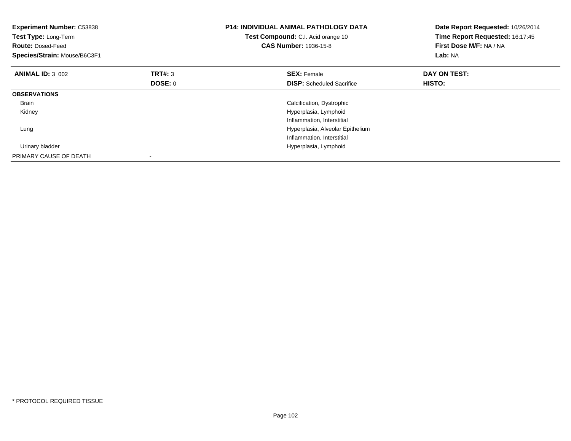| <b>Experiment Number: C53838</b><br>Test Type: Long-Term<br><b>Route: Dosed-Feed</b><br>Species/Strain: Mouse/B6C3F1 |                | <b>P14: INDIVIDUAL ANIMAL PATHOLOGY DATA</b><br>Test Compound: C.I. Acid orange 10<br><b>CAS Number: 1936-15-8</b> | Date Report Requested: 10/26/2014<br>Time Report Requested: 16:17:45<br>First Dose M/F: NA / NA<br>Lab: NA |
|----------------------------------------------------------------------------------------------------------------------|----------------|--------------------------------------------------------------------------------------------------------------------|------------------------------------------------------------------------------------------------------------|
| <b>ANIMAL ID: 3_002</b>                                                                                              | <b>TRT#: 3</b> | <b>SEX: Female</b>                                                                                                 | DAY ON TEST:                                                                                               |
|                                                                                                                      | DOSE: 0        | <b>DISP:</b> Scheduled Sacrifice                                                                                   | HISTO:                                                                                                     |
| <b>OBSERVATIONS</b>                                                                                                  |                |                                                                                                                    |                                                                                                            |
| <b>Brain</b>                                                                                                         |                | Calcification, Dystrophic                                                                                          |                                                                                                            |
| Kidney                                                                                                               |                | Hyperplasia, Lymphoid                                                                                              |                                                                                                            |
|                                                                                                                      |                | Inflammation, Interstitial                                                                                         |                                                                                                            |
| Lung                                                                                                                 |                | Hyperplasia, Alveolar Epithelium                                                                                   |                                                                                                            |
|                                                                                                                      |                | Inflammation, Interstitial                                                                                         |                                                                                                            |
| Urinary bladder                                                                                                      |                | Hyperplasia, Lymphoid                                                                                              |                                                                                                            |
| PRIMARY CAUSE OF DEATH                                                                                               |                |                                                                                                                    |                                                                                                            |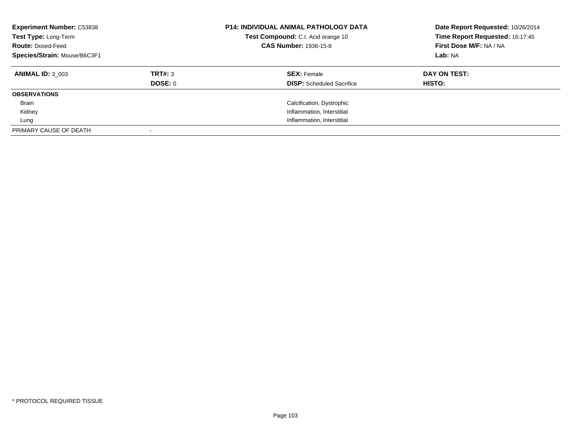| <b>Experiment Number: C53838</b><br>Test Type: Long-Term<br><b>Route: Dosed-Feed</b><br>Species/Strain: Mouse/B6C3F1 |         | <b>P14: INDIVIDUAL ANIMAL PATHOLOGY DATA</b><br>Test Compound: C.I. Acid orange 10<br><b>CAS Number: 1936-15-8</b> | Date Report Requested: 10/26/2014<br>Time Report Requested: 16:17:45<br>First Dose M/F: NA / NA<br>Lab: NA |  |
|----------------------------------------------------------------------------------------------------------------------|---------|--------------------------------------------------------------------------------------------------------------------|------------------------------------------------------------------------------------------------------------|--|
| <b>ANIMAL ID: 3 003</b>                                                                                              | TRT#: 3 | <b>SEX: Female</b>                                                                                                 | DAY ON TEST:                                                                                               |  |
|                                                                                                                      | DOSE: 0 | <b>DISP:</b> Scheduled Sacrifice                                                                                   | <b>HISTO:</b>                                                                                              |  |
| <b>OBSERVATIONS</b>                                                                                                  |         |                                                                                                                    |                                                                                                            |  |
| <b>Brain</b>                                                                                                         |         | Calcification, Dystrophic                                                                                          |                                                                                                            |  |
| Kidney                                                                                                               |         | Inflammation, Interstitial                                                                                         |                                                                                                            |  |
| Lung                                                                                                                 |         | Inflammation, Interstitial                                                                                         |                                                                                                            |  |
| PRIMARY CAUSE OF DEATH                                                                                               |         |                                                                                                                    |                                                                                                            |  |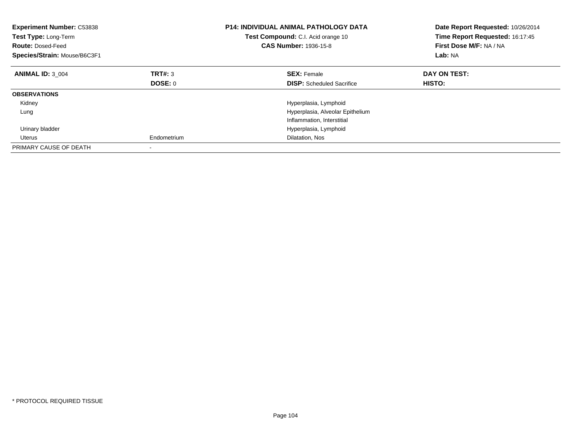| <b>Experiment Number: C53838</b><br>Test Type: Long-Term<br><b>Route: Dosed-Feed</b><br>Species/Strain: Mouse/B6C3F1 |             | <b>P14: INDIVIDUAL ANIMAL PATHOLOGY DATA</b><br>Test Compound: C.I. Acid orange 10<br><b>CAS Number: 1936-15-8</b> | Date Report Requested: 10/26/2014<br>Time Report Requested: 16:17:45<br>First Dose M/F: NA / NA<br>Lab: NA |
|----------------------------------------------------------------------------------------------------------------------|-------------|--------------------------------------------------------------------------------------------------------------------|------------------------------------------------------------------------------------------------------------|
| <b>ANIMAL ID: 3 004</b>                                                                                              | TRT#: 3     | <b>SEX: Female</b>                                                                                                 | DAY ON TEST:                                                                                               |
|                                                                                                                      | DOSE: 0     | <b>DISP:</b> Scheduled Sacrifice                                                                                   | <b>HISTO:</b>                                                                                              |
| <b>OBSERVATIONS</b>                                                                                                  |             |                                                                                                                    |                                                                                                            |
| Kidney                                                                                                               |             | Hyperplasia, Lymphoid                                                                                              |                                                                                                            |
| Lung                                                                                                                 |             | Hyperplasia, Alveolar Epithelium                                                                                   |                                                                                                            |
|                                                                                                                      |             | Inflammation, Interstitial                                                                                         |                                                                                                            |
| Urinary bladder                                                                                                      |             | Hyperplasia, Lymphoid                                                                                              |                                                                                                            |
| Uterus                                                                                                               | Endometrium | Dilatation, Nos                                                                                                    |                                                                                                            |
| PRIMARY CAUSE OF DEATH                                                                                               |             |                                                                                                                    |                                                                                                            |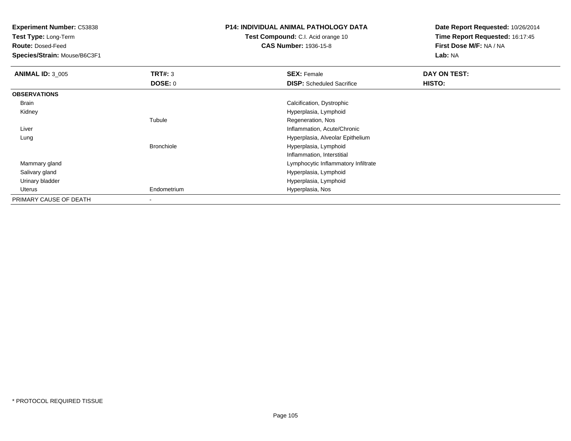**Test Type:** Long-Term

**Route:** Dosed-Feed

**Species/Strain:** Mouse/B6C3F1

## **P14: INDIVIDUAL ANIMAL PATHOLOGY DATA**

**Test Compound:** C.I. Acid orange 10**CAS Number:** 1936-15-8

| <b>ANIMAL ID: 3 005</b> | TRT#: 3           | <b>SEX: Female</b>                  | DAY ON TEST: |  |
|-------------------------|-------------------|-------------------------------------|--------------|--|
|                         | DOSE: 0           | <b>DISP:</b> Scheduled Sacrifice    | HISTO:       |  |
| <b>OBSERVATIONS</b>     |                   |                                     |              |  |
| Brain                   |                   | Calcification, Dystrophic           |              |  |
| Kidney                  |                   | Hyperplasia, Lymphoid               |              |  |
|                         | Tubule            | Regeneration, Nos                   |              |  |
| Liver                   |                   | Inflammation, Acute/Chronic         |              |  |
| Lung                    |                   | Hyperplasia, Alveolar Epithelium    |              |  |
|                         | <b>Bronchiole</b> | Hyperplasia, Lymphoid               |              |  |
|                         |                   | Inflammation, Interstitial          |              |  |
| Mammary gland           |                   | Lymphocytic Inflammatory Infiltrate |              |  |
| Salivary gland          |                   | Hyperplasia, Lymphoid               |              |  |
| Urinary bladder         |                   | Hyperplasia, Lymphoid               |              |  |
| Uterus                  | Endometrium       | Hyperplasia, Nos                    |              |  |
| PRIMARY CAUSE OF DEATH  |                   |                                     |              |  |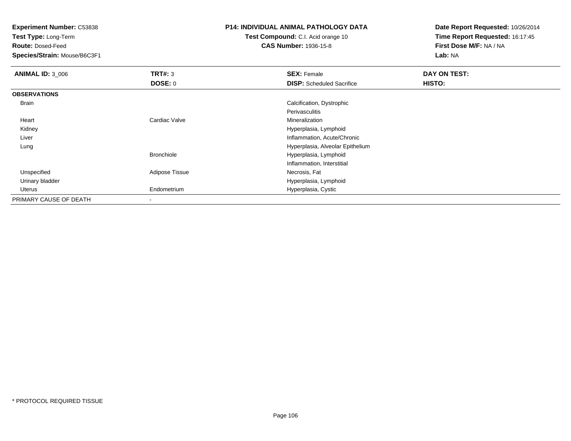**Test Type:** Long-Term

**Route:** Dosed-Feed

**Species/Strain:** Mouse/B6C3F1

# **P14: INDIVIDUAL ANIMAL PATHOLOGY DATA**

**Test Compound:** C.I. Acid orange 10**CAS Number:** 1936-15-8

| <b>ANIMAL ID: 3_006</b> | TRT#: 3                  | <b>SEX: Female</b>               | DAY ON TEST:  |  |
|-------------------------|--------------------------|----------------------------------|---------------|--|
|                         | DOSE: 0                  | <b>DISP:</b> Scheduled Sacrifice | <b>HISTO:</b> |  |
| <b>OBSERVATIONS</b>     |                          |                                  |               |  |
| Brain                   |                          | Calcification, Dystrophic        |               |  |
|                         |                          | Perivasculitis                   |               |  |
| Heart                   | Cardiac Valve            | Mineralization                   |               |  |
| Kidney                  |                          | Hyperplasia, Lymphoid            |               |  |
| Liver                   |                          | Inflammation, Acute/Chronic      |               |  |
| Lung                    |                          | Hyperplasia, Alveolar Epithelium |               |  |
|                         | <b>Bronchiole</b>        | Hyperplasia, Lymphoid            |               |  |
|                         |                          | Inflammation, Interstitial       |               |  |
| Unspecified             | Adipose Tissue           | Necrosis, Fat                    |               |  |
| Urinary bladder         |                          | Hyperplasia, Lymphoid            |               |  |
| Uterus                  | Endometrium              | Hyperplasia, Cystic              |               |  |
| PRIMARY CAUSE OF DEATH  | $\overline{\phantom{a}}$ |                                  |               |  |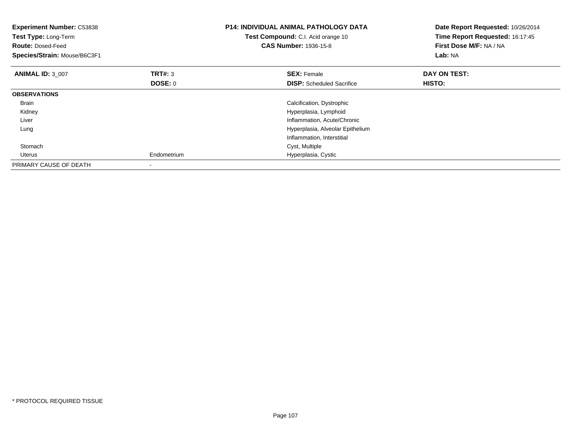| <b>Experiment Number: C53838</b><br>Test Type: Long-Term<br><b>Route: Dosed-Feed</b><br>Species/Strain: Mouse/B6C3F1 |                           | <b>P14: INDIVIDUAL ANIMAL PATHOLOGY DATA</b><br>Test Compound: C.I. Acid orange 10<br><b>CAS Number: 1936-15-8</b> | Date Report Requested: 10/26/2014<br>Time Report Requested: 16:17:45<br>First Dose M/F: NA / NA<br>Lab: NA |
|----------------------------------------------------------------------------------------------------------------------|---------------------------|--------------------------------------------------------------------------------------------------------------------|------------------------------------------------------------------------------------------------------------|
| <b>ANIMAL ID: 3 007</b>                                                                                              | <b>TRT#: 3</b><br>DOSE: 0 | <b>SEX: Female</b><br><b>DISP:</b> Scheduled Sacrifice                                                             | DAY ON TEST:<br>HISTO:                                                                                     |
| <b>OBSERVATIONS</b>                                                                                                  |                           |                                                                                                                    |                                                                                                            |
| <b>Brain</b>                                                                                                         |                           | Calcification, Dystrophic                                                                                          |                                                                                                            |
| Kidney                                                                                                               |                           | Hyperplasia, Lymphoid                                                                                              |                                                                                                            |
| Liver                                                                                                                |                           | Inflammation, Acute/Chronic                                                                                        |                                                                                                            |
| Lung                                                                                                                 |                           | Hyperplasia, Alveolar Epithelium                                                                                   |                                                                                                            |
|                                                                                                                      |                           | Inflammation, Interstitial                                                                                         |                                                                                                            |
| Stomach                                                                                                              |                           | Cyst, Multiple                                                                                                     |                                                                                                            |
| Uterus                                                                                                               | Endometrium               | Hyperplasia, Cystic                                                                                                |                                                                                                            |
| PRIMARY CAUSE OF DEATH                                                                                               |                           |                                                                                                                    |                                                                                                            |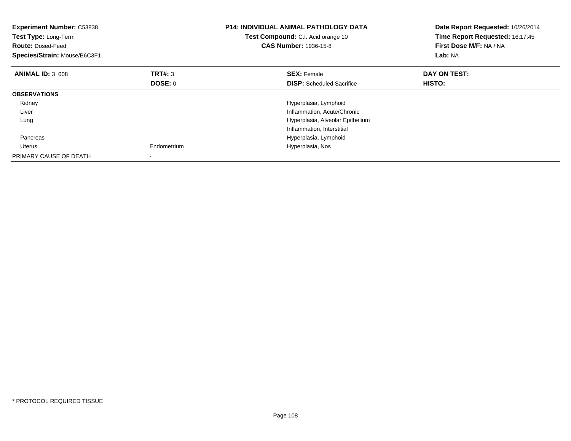| <b>Experiment Number: C53838</b><br>Test Type: Long-Term<br><b>Route: Dosed-Feed</b><br>Species/Strain: Mouse/B6C3F1 |                | <b>P14: INDIVIDUAL ANIMAL PATHOLOGY DATA</b><br>Test Compound: C.I. Acid orange 10<br><b>CAS Number: 1936-15-8</b> | Date Report Requested: 10/26/2014<br>Time Report Requested: 16:17:45<br>First Dose M/F: NA / NA<br>Lab: NA |
|----------------------------------------------------------------------------------------------------------------------|----------------|--------------------------------------------------------------------------------------------------------------------|------------------------------------------------------------------------------------------------------------|
| <b>ANIMAL ID: 3 008</b>                                                                                              | TRT#: 3        | <b>SEX: Female</b>                                                                                                 | DAY ON TEST:                                                                                               |
|                                                                                                                      | <b>DOSE: 0</b> | <b>DISP:</b> Scheduled Sacrifice                                                                                   | <b>HISTO:</b>                                                                                              |
| <b>OBSERVATIONS</b>                                                                                                  |                |                                                                                                                    |                                                                                                            |
| Kidney                                                                                                               |                | Hyperplasia, Lymphoid                                                                                              |                                                                                                            |
| Liver                                                                                                                |                | Inflammation, Acute/Chronic                                                                                        |                                                                                                            |
| Lung                                                                                                                 |                | Hyperplasia, Alveolar Epithelium                                                                                   |                                                                                                            |
|                                                                                                                      |                | Inflammation, Interstitial                                                                                         |                                                                                                            |
| Pancreas                                                                                                             |                | Hyperplasia, Lymphoid                                                                                              |                                                                                                            |
| Uterus                                                                                                               | Endometrium    | Hyperplasia, Nos                                                                                                   |                                                                                                            |
| PRIMARY CAUSE OF DEATH                                                                                               |                |                                                                                                                    |                                                                                                            |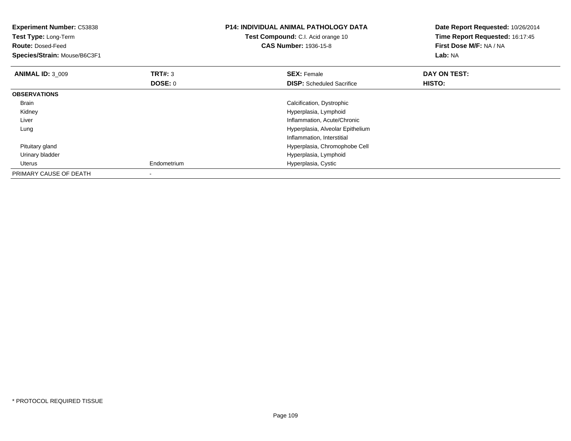| Experiment Number: C53838<br>Test Type: Long-Term<br><b>Route: Dosed-Feed</b><br>Species/Strain: Mouse/B6C3F1 |                | <b>P14: INDIVIDUAL ANIMAL PATHOLOGY DATA</b><br>Test Compound: C.I. Acid orange 10<br><b>CAS Number: 1936-15-8</b> | Date Report Requested: 10/26/2014<br>Time Report Requested: 16:17:45<br>First Dose M/F: NA / NA<br>Lab: NA |
|---------------------------------------------------------------------------------------------------------------|----------------|--------------------------------------------------------------------------------------------------------------------|------------------------------------------------------------------------------------------------------------|
| <b>ANIMAL ID: 3 009</b>                                                                                       | TRT#: 3        | <b>SEX: Female</b>                                                                                                 | DAY ON TEST:                                                                                               |
|                                                                                                               | <b>DOSE: 0</b> | <b>DISP:</b> Scheduled Sacrifice                                                                                   | HISTO:                                                                                                     |
| <b>OBSERVATIONS</b>                                                                                           |                |                                                                                                                    |                                                                                                            |
| Brain                                                                                                         |                | Calcification, Dystrophic                                                                                          |                                                                                                            |
| Kidney                                                                                                        |                | Hyperplasia, Lymphoid                                                                                              |                                                                                                            |
| Liver                                                                                                         |                | Inflammation, Acute/Chronic                                                                                        |                                                                                                            |
| Lung                                                                                                          |                | Hyperplasia, Alveolar Epithelium                                                                                   |                                                                                                            |
|                                                                                                               |                | Inflammation, Interstitial                                                                                         |                                                                                                            |
| Pituitary gland                                                                                               |                | Hyperplasia, Chromophobe Cell                                                                                      |                                                                                                            |
| Urinary bladder                                                                                               |                | Hyperplasia, Lymphoid                                                                                              |                                                                                                            |
| Uterus                                                                                                        | Endometrium    | Hyperplasia, Cystic                                                                                                |                                                                                                            |
| PRIMARY CAUSE OF DEATH                                                                                        |                |                                                                                                                    |                                                                                                            |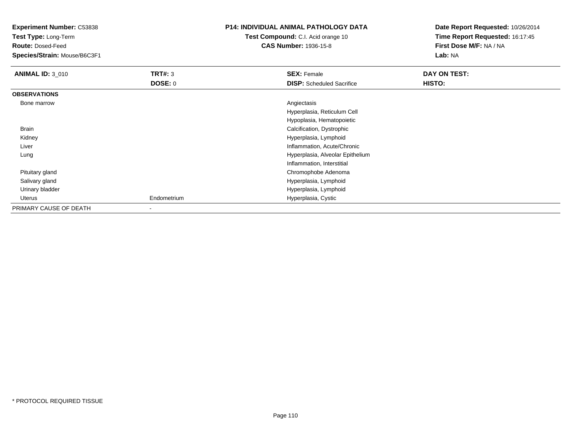**Experiment Number:** C53838**Test Type:** Long-Term**Route:** Dosed-Feed **Species/Strain:** Mouse/B6C3F1**P14: INDIVIDUAL ANIMAL PATHOLOGY DATATest Compound:** C.I. Acid orange 10**CAS Number:** 1936-15-8**Date Report Requested:** 10/26/2014**Time Report Requested:** 16:17:45**First Dose M/F:** NA / NA**Lab:** NA**ANIMAL ID: 3 010 C SEX:** Female **DAY ON TEST: DAY ON TEST: DOSE:** 0**DISP:** Scheduled Sacrifice **HISTO: OBSERVATIONS** Bone marroww Angiectasis and the contract of the contract of the contract of the contract of the contract of the contract of the contract of the contract of the contract of the contract of the contract of the contract of the contract Hyperplasia, Reticulum CellHypoplasia, Hematopoietic Brain Calcification, Dystrophic Kidney Hyperplasia, Lymphoid Inflammation, Acute/Chronic Liver Hyperplasia, Alveolar Epithelium LungInflammation, Interstitial Pituitary gland Chromophobe Adenoma Salivary gland Hyperplasia, Lymphoid Urinary bladder Hyperplasia, Lymphoid Uterus Endometrium Hyperplasia, Cystic PRIMARY CAUSE OF DEATH-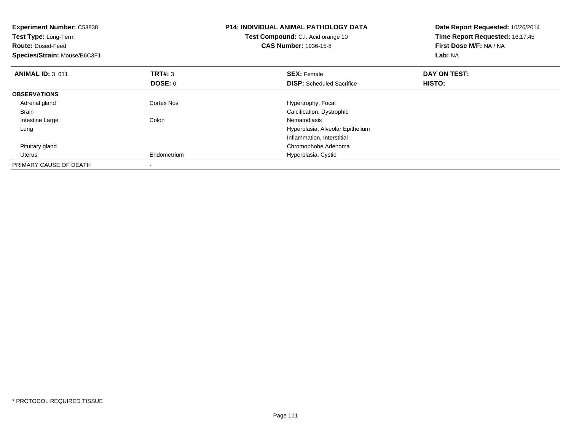| <b>Experiment Number: C53838</b><br>Test Type: Long-Term<br><b>Route: Dosed-Feed</b><br>Species/Strain: Mouse/B6C3F1 |                           | <b>P14: INDIVIDUAL ANIMAL PATHOLOGY DATA</b><br>Test Compound: C.I. Acid orange 10<br><b>CAS Number: 1936-15-8</b> | Date Report Requested: 10/26/2014<br>Time Report Requested: 16:17:45<br>First Dose M/F: NA / NA<br>Lab: NA |
|----------------------------------------------------------------------------------------------------------------------|---------------------------|--------------------------------------------------------------------------------------------------------------------|------------------------------------------------------------------------------------------------------------|
| <b>ANIMAL ID: 3 011</b>                                                                                              | <b>TRT#: 3</b><br>DOSE: 0 | <b>SEX: Female</b><br><b>DISP:</b> Scheduled Sacrifice                                                             | DAY ON TEST:<br>HISTO:                                                                                     |
|                                                                                                                      |                           |                                                                                                                    |                                                                                                            |
| <b>OBSERVATIONS</b>                                                                                                  |                           |                                                                                                                    |                                                                                                            |
| Adrenal gland                                                                                                        | Cortex Nos                | Hypertrophy, Focal                                                                                                 |                                                                                                            |
| Brain                                                                                                                |                           | Calcification, Dystrophic                                                                                          |                                                                                                            |
| Intestine Large                                                                                                      | Colon                     | Nematodiasis                                                                                                       |                                                                                                            |
| Lung                                                                                                                 |                           | Hyperplasia, Alveolar Epithelium                                                                                   |                                                                                                            |
|                                                                                                                      |                           | Inflammation, Interstitial                                                                                         |                                                                                                            |
| Pituitary gland                                                                                                      |                           | Chromophobe Adenoma                                                                                                |                                                                                                            |
| Uterus                                                                                                               | Endometrium               | Hyperplasia, Cystic                                                                                                |                                                                                                            |
| PRIMARY CAUSE OF DEATH                                                                                               |                           |                                                                                                                    |                                                                                                            |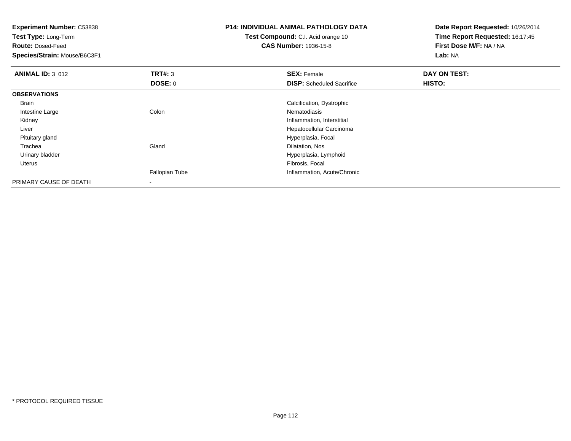| <b>Experiment Number: C53838</b><br>Test Type: Long-Term<br><b>Route: Dosed-Feed</b><br>Species/Strain: Mouse/B6C3F1 |                                  | <b>P14: INDIVIDUAL ANIMAL PATHOLOGY DATA</b><br>Test Compound: C.I. Acid orange 10<br><b>CAS Number: 1936-15-8</b> | Date Report Requested: 10/26/2014<br>Time Report Requested: 16:17:45<br>First Dose M/F: NA / NA<br>Lab: NA |
|----------------------------------------------------------------------------------------------------------------------|----------------------------------|--------------------------------------------------------------------------------------------------------------------|------------------------------------------------------------------------------------------------------------|
| <b>ANIMAL ID: 3 012</b>                                                                                              | <b>TRT#: 3</b><br><b>DOSE: 0</b> | <b>SEX: Female</b><br><b>DISP:</b> Scheduled Sacrifice                                                             | DAY ON TEST:<br>HISTO:                                                                                     |
| <b>OBSERVATIONS</b>                                                                                                  |                                  |                                                                                                                    |                                                                                                            |
| Brain                                                                                                                |                                  | Calcification, Dystrophic                                                                                          |                                                                                                            |
| Intestine Large                                                                                                      | Colon                            | Nematodiasis                                                                                                       |                                                                                                            |
| Kidney                                                                                                               |                                  | Inflammation, Interstitial                                                                                         |                                                                                                            |
| Liver                                                                                                                |                                  | Hepatocellular Carcinoma                                                                                           |                                                                                                            |
| Pituitary gland                                                                                                      |                                  | Hyperplasia, Focal                                                                                                 |                                                                                                            |
| Trachea                                                                                                              | Gland                            | Dilatation, Nos                                                                                                    |                                                                                                            |
| Urinary bladder                                                                                                      |                                  | Hyperplasia, Lymphoid                                                                                              |                                                                                                            |
| <b>Uterus</b>                                                                                                        |                                  | Fibrosis, Focal                                                                                                    |                                                                                                            |
|                                                                                                                      | Fallopian Tube                   | Inflammation, Acute/Chronic                                                                                        |                                                                                                            |
| PRIMARY CAUSE OF DEATH                                                                                               | ۰                                |                                                                                                                    |                                                                                                            |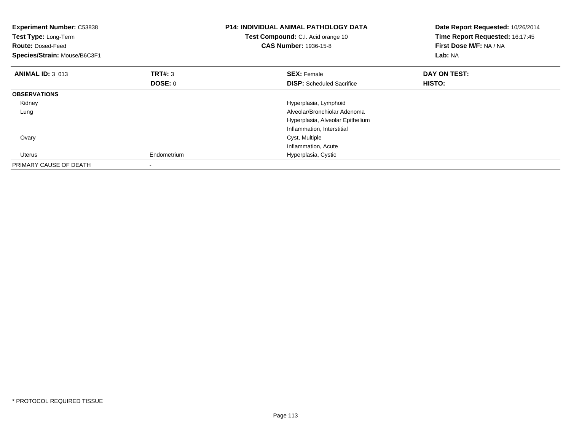| <b>Experiment Number: C53838</b><br>Test Type: Long-Term<br><b>Route: Dosed-Feed</b><br>Species/Strain: Mouse/B6C3F1 |                           | <b>P14: INDIVIDUAL ANIMAL PATHOLOGY DATA</b><br>Test Compound: C.I. Acid orange 10<br><b>CAS Number: 1936-15-8</b> | Date Report Requested: 10/26/2014<br>Time Report Requested: 16:17:45<br>First Dose M/F: NA / NA<br>Lab: NA |
|----------------------------------------------------------------------------------------------------------------------|---------------------------|--------------------------------------------------------------------------------------------------------------------|------------------------------------------------------------------------------------------------------------|
| <b>ANIMAL ID: 3 013</b>                                                                                              | <b>TRT#: 3</b><br>DOSE: 0 | <b>SEX: Female</b><br><b>DISP:</b> Scheduled Sacrifice                                                             | DAY ON TEST:<br>HISTO:                                                                                     |
|                                                                                                                      |                           |                                                                                                                    |                                                                                                            |
| <b>OBSERVATIONS</b>                                                                                                  |                           |                                                                                                                    |                                                                                                            |
| Kidney                                                                                                               |                           | Hyperplasia, Lymphoid                                                                                              |                                                                                                            |
| Lung                                                                                                                 |                           | Alveolar/Bronchiolar Adenoma                                                                                       |                                                                                                            |
|                                                                                                                      |                           | Hyperplasia, Alveolar Epithelium                                                                                   |                                                                                                            |
|                                                                                                                      |                           | Inflammation, Interstitial                                                                                         |                                                                                                            |
| Ovary                                                                                                                |                           | Cyst, Multiple                                                                                                     |                                                                                                            |
|                                                                                                                      |                           | Inflammation, Acute                                                                                                |                                                                                                            |
| Uterus                                                                                                               | Endometrium               | Hyperplasia, Cystic                                                                                                |                                                                                                            |
| PRIMARY CAUSE OF DEATH                                                                                               |                           |                                                                                                                    |                                                                                                            |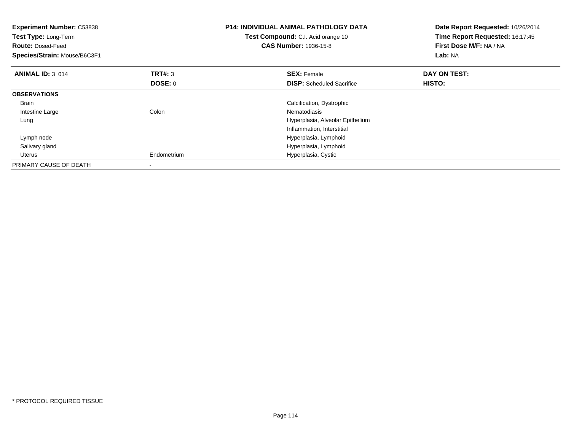| <b>Experiment Number: C53838</b><br>Test Type: Long-Term<br><b>Route: Dosed-Feed</b><br>Species/Strain: Mouse/B6C3F1 |                | <b>P14: INDIVIDUAL ANIMAL PATHOLOGY DATA</b><br>Test Compound: C.I. Acid orange 10<br><b>CAS Number: 1936-15-8</b> | Date Report Requested: 10/26/2014<br>Time Report Requested: 16:17:45<br>First Dose M/F: NA / NA<br>Lab: NA |
|----------------------------------------------------------------------------------------------------------------------|----------------|--------------------------------------------------------------------------------------------------------------------|------------------------------------------------------------------------------------------------------------|
| <b>ANIMAL ID: 3 014</b>                                                                                              | <b>TRT#: 3</b> | <b>SEX: Female</b>                                                                                                 | DAY ON TEST:                                                                                               |
|                                                                                                                      | <b>DOSE: 0</b> | <b>DISP:</b> Scheduled Sacrifice                                                                                   | HISTO:                                                                                                     |
| <b>OBSERVATIONS</b>                                                                                                  |                |                                                                                                                    |                                                                                                            |
| <b>Brain</b>                                                                                                         |                | Calcification, Dystrophic                                                                                          |                                                                                                            |
| Intestine Large                                                                                                      | Colon          | Nematodiasis                                                                                                       |                                                                                                            |
| Lung                                                                                                                 |                | Hyperplasia, Alveolar Epithelium                                                                                   |                                                                                                            |
|                                                                                                                      |                | Inflammation, Interstitial                                                                                         |                                                                                                            |
| Lymph node                                                                                                           |                | Hyperplasia, Lymphoid                                                                                              |                                                                                                            |
| Salivary gland                                                                                                       |                | Hyperplasia, Lymphoid                                                                                              |                                                                                                            |
| Uterus                                                                                                               | Endometrium    | Hyperplasia, Cystic                                                                                                |                                                                                                            |
| PRIMARY CAUSE OF DEATH                                                                                               |                |                                                                                                                    |                                                                                                            |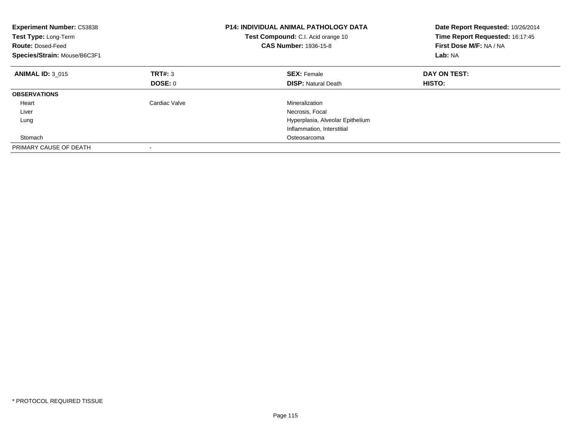| <b>Experiment Number: C53838</b><br>Test Type: Long-Term<br><b>Route: Dosed-Feed</b><br>Species/Strain: Mouse/B6C3F1 |               | <b>P14: INDIVIDUAL ANIMAL PATHOLOGY DATA</b><br>Test Compound: C.I. Acid orange 10<br><b>CAS Number: 1936-15-8</b> | Date Report Requested: 10/26/2014<br>Time Report Requested: 16:17:45<br>First Dose M/F: NA / NA<br>Lab: NA |
|----------------------------------------------------------------------------------------------------------------------|---------------|--------------------------------------------------------------------------------------------------------------------|------------------------------------------------------------------------------------------------------------|
| <b>ANIMAL ID: 3 015</b>                                                                                              | TRT#: 3       | <b>SEX: Female</b>                                                                                                 | DAY ON TEST:                                                                                               |
|                                                                                                                      | DOSE: 0       | <b>DISP:</b> Natural Death                                                                                         | HISTO:                                                                                                     |
| <b>OBSERVATIONS</b>                                                                                                  |               |                                                                                                                    |                                                                                                            |
| Heart                                                                                                                | Cardiac Valve | Mineralization                                                                                                     |                                                                                                            |
| Liver                                                                                                                |               | Necrosis, Focal                                                                                                    |                                                                                                            |
| Lung                                                                                                                 |               | Hyperplasia, Alveolar Epithelium                                                                                   |                                                                                                            |
|                                                                                                                      |               | Inflammation, Interstitial                                                                                         |                                                                                                            |
| Stomach                                                                                                              |               | Osteosarcoma                                                                                                       |                                                                                                            |
| PRIMARY CAUSE OF DEATH                                                                                               |               |                                                                                                                    |                                                                                                            |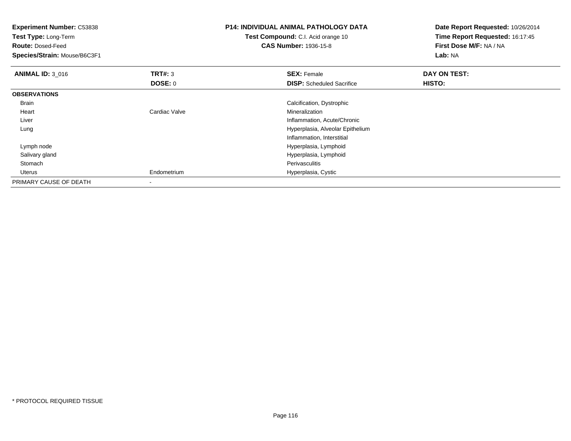| <b>Experiment Number: C53838</b><br>Test Type: Long-Term<br><b>Route: Dosed-Feed</b><br>Species/Strain: Mouse/B6C3F1 |                           | P14: INDIVIDUAL ANIMAL PATHOLOGY DATA<br>Test Compound: C.I. Acid orange 10<br><b>CAS Number: 1936-15-8</b> | Date Report Requested: 10/26/2014<br>Time Report Requested: 16:17:45<br>First Dose M/F: NA / NA<br>Lab: NA |
|----------------------------------------------------------------------------------------------------------------------|---------------------------|-------------------------------------------------------------------------------------------------------------|------------------------------------------------------------------------------------------------------------|
| <b>ANIMAL ID: 3 016</b>                                                                                              | <b>TRT#: 3</b><br>DOSE: 0 | <b>SEX: Female</b><br><b>DISP:</b> Scheduled Sacrifice                                                      | DAY ON TEST:<br>HISTO:                                                                                     |
| <b>OBSERVATIONS</b>                                                                                                  |                           |                                                                                                             |                                                                                                            |
| Brain                                                                                                                |                           | Calcification, Dystrophic                                                                                   |                                                                                                            |
| Heart                                                                                                                | Cardiac Valve             | Mineralization                                                                                              |                                                                                                            |
| Liver                                                                                                                |                           | Inflammation, Acute/Chronic                                                                                 |                                                                                                            |
| Lung                                                                                                                 |                           | Hyperplasia, Alveolar Epithelium                                                                            |                                                                                                            |
|                                                                                                                      |                           | Inflammation, Interstitial                                                                                  |                                                                                                            |
| Lymph node                                                                                                           |                           | Hyperplasia, Lymphoid                                                                                       |                                                                                                            |
| Salivary gland                                                                                                       |                           | Hyperplasia, Lymphoid                                                                                       |                                                                                                            |
| Stomach                                                                                                              |                           | Perivasculitis                                                                                              |                                                                                                            |
| Uterus                                                                                                               | Endometrium               | Hyperplasia, Cystic                                                                                         |                                                                                                            |
| PRIMARY CAUSE OF DEATH                                                                                               |                           |                                                                                                             |                                                                                                            |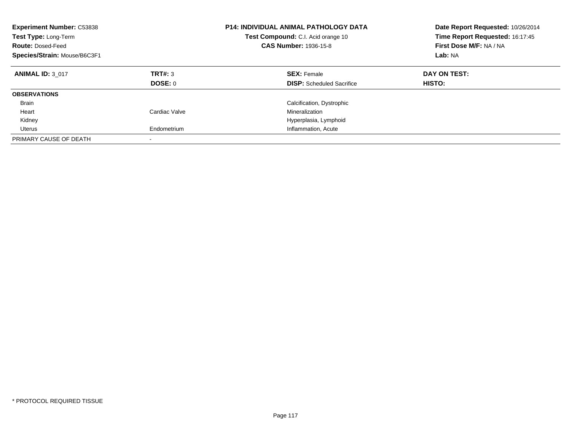| <b>Experiment Number: C53838</b><br>Test Type: Long-Term<br><b>Route: Dosed-Feed</b><br>Species/Strain: Mouse/B6C3F1 |                    | <b>P14: INDIVIDUAL ANIMAL PATHOLOGY DATA</b><br>Test Compound: C.I. Acid orange 10<br><b>CAS Number: 1936-15-8</b> | Date Report Requested: 10/26/2014<br>Time Report Requested: 16:17:45<br>First Dose M/F: NA / NA<br>Lab: NA |
|----------------------------------------------------------------------------------------------------------------------|--------------------|--------------------------------------------------------------------------------------------------------------------|------------------------------------------------------------------------------------------------------------|
| <b>ANIMAL ID: 3 017</b>                                                                                              | TRT#: 3<br>DOSE: 0 | <b>SEX: Female</b><br><b>DISP:</b> Scheduled Sacrifice                                                             | DAY ON TEST:<br>HISTO:                                                                                     |
| <b>OBSERVATIONS</b>                                                                                                  |                    |                                                                                                                    |                                                                                                            |
| <b>Brain</b>                                                                                                         |                    | Calcification, Dystrophic                                                                                          |                                                                                                            |
| Heart                                                                                                                | Cardiac Valve      | Mineralization                                                                                                     |                                                                                                            |
| Kidney                                                                                                               |                    | Hyperplasia, Lymphoid                                                                                              |                                                                                                            |
| Uterus                                                                                                               | Endometrium        | Inflammation, Acute                                                                                                |                                                                                                            |
| PRIMARY CAUSE OF DEATH                                                                                               |                    |                                                                                                                    |                                                                                                            |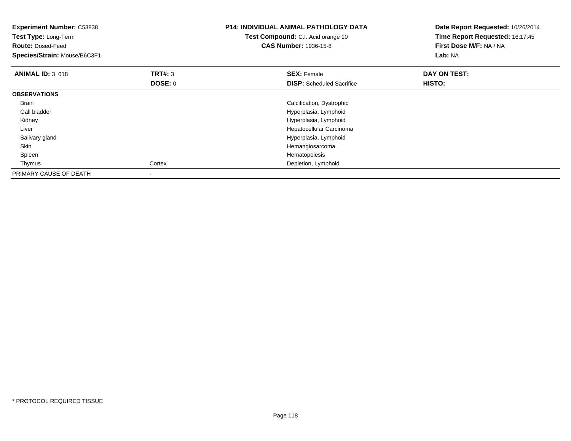| <b>Experiment Number: C53838</b><br><b>Test Type: Long-Term</b><br><b>Route: Dosed-Feed</b><br>Species/Strain: Mouse/B6C3F1 |                           | <b>P14: INDIVIDUAL ANIMAL PATHOLOGY DATA</b><br>Test Compound: C.I. Acid orange 10<br><b>CAS Number: 1936-15-8</b> | Date Report Requested: 10/26/2014<br>Time Report Requested: 16:17:45<br>First Dose M/F: NA / NA<br>Lab: NA |
|-----------------------------------------------------------------------------------------------------------------------------|---------------------------|--------------------------------------------------------------------------------------------------------------------|------------------------------------------------------------------------------------------------------------|
| <b>ANIMAL ID: 3_018</b>                                                                                                     | <b>TRT#: 3</b><br>DOSE: 0 | <b>SEX: Female</b><br><b>DISP:</b> Scheduled Sacrifice                                                             | DAY ON TEST:<br>HISTO:                                                                                     |
| <b>OBSERVATIONS</b>                                                                                                         |                           |                                                                                                                    |                                                                                                            |
| <b>Brain</b>                                                                                                                |                           | Calcification, Dystrophic                                                                                          |                                                                                                            |
| Gall bladder                                                                                                                |                           | Hyperplasia, Lymphoid                                                                                              |                                                                                                            |
| Kidney                                                                                                                      |                           | Hyperplasia, Lymphoid                                                                                              |                                                                                                            |
| Liver                                                                                                                       |                           | Hepatocellular Carcinoma                                                                                           |                                                                                                            |
| Salivary gland                                                                                                              |                           | Hyperplasia, Lymphoid                                                                                              |                                                                                                            |
| Skin                                                                                                                        |                           | Hemangiosarcoma                                                                                                    |                                                                                                            |
| Spleen                                                                                                                      |                           | Hematopoiesis                                                                                                      |                                                                                                            |
| Thymus                                                                                                                      | Cortex                    | Depletion, Lymphoid                                                                                                |                                                                                                            |
| PRIMARY CAUSE OF DEATH                                                                                                      |                           |                                                                                                                    |                                                                                                            |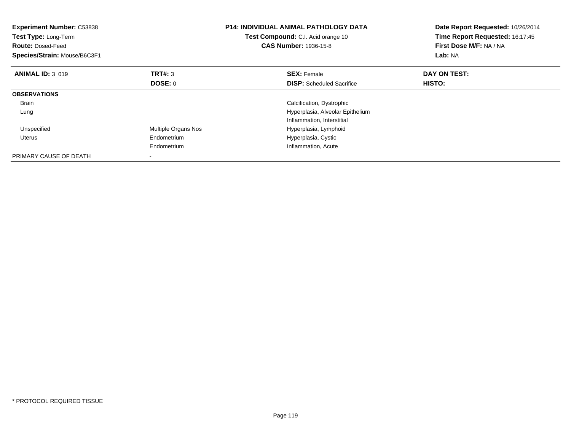| <b>Experiment Number: C53838</b><br>Test Type: Long-Term<br><b>Route: Dosed-Feed</b><br>Species/Strain: Mouse/B6C3F1 |                     | <b>P14: INDIVIDUAL ANIMAL PATHOLOGY DATA</b><br>Test Compound: C.I. Acid orange 10<br><b>CAS Number: 1936-15-8</b> | Date Report Requested: 10/26/2014<br>Time Report Requested: 16:17:45<br>First Dose M/F: NA / NA<br>Lab: NA |
|----------------------------------------------------------------------------------------------------------------------|---------------------|--------------------------------------------------------------------------------------------------------------------|------------------------------------------------------------------------------------------------------------|
| <b>ANIMAL ID: 3 019</b>                                                                                              | TRT#: 3             | <b>SEX: Female</b>                                                                                                 | DAY ON TEST:                                                                                               |
|                                                                                                                      | <b>DOSE: 0</b>      | <b>DISP:</b> Scheduled Sacrifice                                                                                   | HISTO:                                                                                                     |
| <b>OBSERVATIONS</b>                                                                                                  |                     |                                                                                                                    |                                                                                                            |
| <b>Brain</b>                                                                                                         |                     | Calcification, Dystrophic                                                                                          |                                                                                                            |
| Lung                                                                                                                 |                     | Hyperplasia, Alveolar Epithelium                                                                                   |                                                                                                            |
|                                                                                                                      |                     | Inflammation, Interstitial                                                                                         |                                                                                                            |
| Unspecified                                                                                                          | Multiple Organs Nos | Hyperplasia, Lymphoid                                                                                              |                                                                                                            |
| Uterus                                                                                                               | Endometrium         | Hyperplasia, Cystic                                                                                                |                                                                                                            |
|                                                                                                                      | Endometrium         | Inflammation, Acute                                                                                                |                                                                                                            |
| PRIMARY CAUSE OF DEATH                                                                                               |                     |                                                                                                                    |                                                                                                            |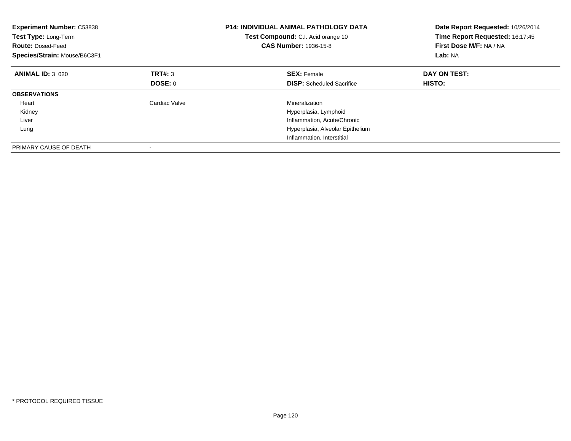| <b>Experiment Number: C53838</b><br>Test Type: Long-Term<br><b>Route: Dosed-Feed</b><br>Species/Strain: Mouse/B6C3F1 |               | <b>P14: INDIVIDUAL ANIMAL PATHOLOGY DATA</b><br>Test Compound: C.I. Acid orange 10<br><b>CAS Number: 1936-15-8</b> | Date Report Requested: 10/26/2014<br>Time Report Requested: 16:17:45<br>First Dose M/F: NA / NA<br>Lab: NA |
|----------------------------------------------------------------------------------------------------------------------|---------------|--------------------------------------------------------------------------------------------------------------------|------------------------------------------------------------------------------------------------------------|
| <b>ANIMAL ID: 3 020</b>                                                                                              | TRT#: 3       | <b>SEX: Female</b>                                                                                                 | DAY ON TEST:                                                                                               |
|                                                                                                                      | DOSE: 0       | <b>DISP:</b> Scheduled Sacrifice                                                                                   | HISTO:                                                                                                     |
| <b>OBSERVATIONS</b>                                                                                                  |               |                                                                                                                    |                                                                                                            |
| Heart                                                                                                                | Cardiac Valve | Mineralization                                                                                                     |                                                                                                            |
| Kidney                                                                                                               |               | Hyperplasia, Lymphoid                                                                                              |                                                                                                            |
| Liver                                                                                                                |               | Inflammation, Acute/Chronic                                                                                        |                                                                                                            |
| Lung                                                                                                                 |               | Hyperplasia, Alveolar Epithelium                                                                                   |                                                                                                            |
|                                                                                                                      |               | Inflammation, Interstitial                                                                                         |                                                                                                            |
| PRIMARY CAUSE OF DEATH                                                                                               |               |                                                                                                                    |                                                                                                            |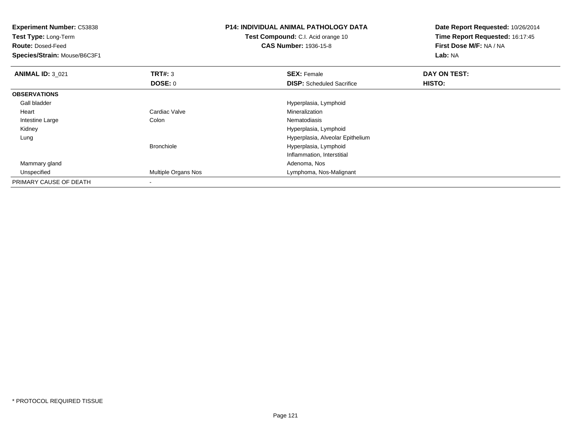| Experiment Number: C53838<br>Test Type: Long-Term<br><b>Route: Dosed-Feed</b><br>Species/Strain: Mouse/B6C3F1 |                     | <b>P14: INDIVIDUAL ANIMAL PATHOLOGY DATA</b><br>Test Compound: C.I. Acid orange 10<br><b>CAS Number: 1936-15-8</b> | Date Report Requested: 10/26/2014<br>Time Report Requested: 16:17:45<br>First Dose M/F: NA / NA<br><b>Lab: NA</b> |
|---------------------------------------------------------------------------------------------------------------|---------------------|--------------------------------------------------------------------------------------------------------------------|-------------------------------------------------------------------------------------------------------------------|
| <b>ANIMAL ID: 3 021</b>                                                                                       | <b>TRT#:</b> 3      | <b>SEX: Female</b>                                                                                                 | DAY ON TEST:                                                                                                      |
|                                                                                                               | DOSE: 0             | <b>DISP:</b> Scheduled Sacrifice                                                                                   | HISTO:                                                                                                            |
| <b>OBSERVATIONS</b>                                                                                           |                     |                                                                                                                    |                                                                                                                   |
| Gall bladder                                                                                                  |                     | Hyperplasia, Lymphoid                                                                                              |                                                                                                                   |
| Heart                                                                                                         | Cardiac Valve       | Mineralization                                                                                                     |                                                                                                                   |
| Intestine Large                                                                                               | Colon               | Nematodiasis                                                                                                       |                                                                                                                   |
| Kidney                                                                                                        |                     | Hyperplasia, Lymphoid                                                                                              |                                                                                                                   |
| Lung                                                                                                          |                     | Hyperplasia, Alveolar Epithelium                                                                                   |                                                                                                                   |
|                                                                                                               | <b>Bronchiole</b>   | Hyperplasia, Lymphoid                                                                                              |                                                                                                                   |
|                                                                                                               |                     | Inflammation, Interstitial                                                                                         |                                                                                                                   |
| Mammary gland                                                                                                 |                     | Adenoma, Nos                                                                                                       |                                                                                                                   |
| Unspecified                                                                                                   | Multiple Organs Nos | Lymphoma, Nos-Malignant                                                                                            |                                                                                                                   |
| PRIMARY CAUSE OF DEATH                                                                                        |                     |                                                                                                                    |                                                                                                                   |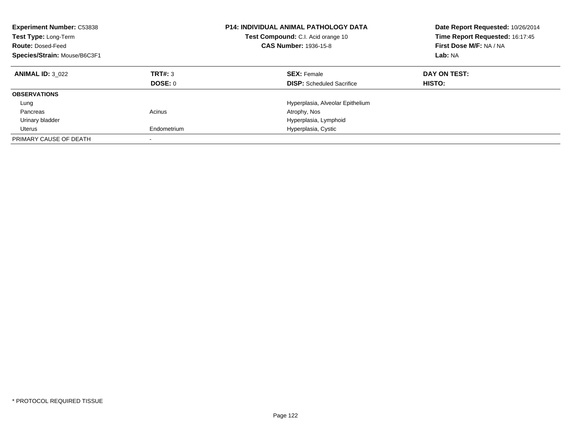| <b>Experiment Number: C53838</b><br>Test Type: Long-Term<br><b>Route: Dosed-Feed</b><br>Species/Strain: Mouse/B6C3F1 |                    | <b>P14: INDIVIDUAL ANIMAL PATHOLOGY DATA</b><br>Test Compound: C.I. Acid orange 10<br><b>CAS Number: 1936-15-8</b> | Date Report Requested: 10/26/2014<br>Time Report Requested: 16:17:45<br>First Dose M/F: NA / NA<br>Lab: NA |
|----------------------------------------------------------------------------------------------------------------------|--------------------|--------------------------------------------------------------------------------------------------------------------|------------------------------------------------------------------------------------------------------------|
| <b>ANIMAL ID: 3 022</b>                                                                                              | TRT#: 3<br>DOSE: 0 | <b>SEX: Female</b><br><b>DISP:</b> Scheduled Sacrifice                                                             | DAY ON TEST:<br>HISTO:                                                                                     |
|                                                                                                                      |                    |                                                                                                                    |                                                                                                            |
| <b>OBSERVATIONS</b>                                                                                                  |                    |                                                                                                                    |                                                                                                            |
| Lung                                                                                                                 |                    | Hyperplasia, Alveolar Epithelium                                                                                   |                                                                                                            |
| Pancreas                                                                                                             | Acinus             | Atrophy, Nos                                                                                                       |                                                                                                            |
| Urinary bladder                                                                                                      |                    | Hyperplasia, Lymphoid                                                                                              |                                                                                                            |
| Uterus                                                                                                               | Endometrium        | Hyperplasia, Cystic                                                                                                |                                                                                                            |
| PRIMARY CAUSE OF DEATH                                                                                               |                    |                                                                                                                    |                                                                                                            |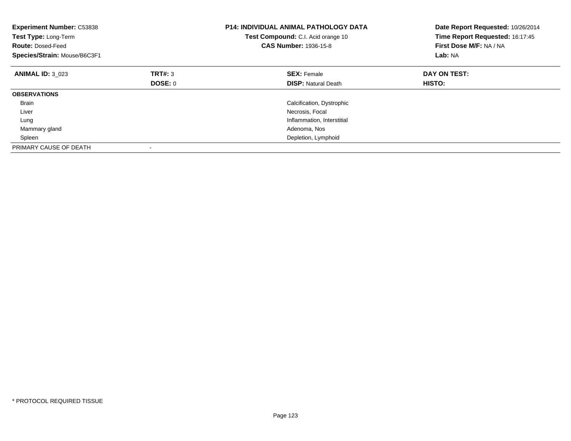| <b>Experiment Number: C53838</b><br>Test Type: Long-Term<br><b>Route: Dosed-Feed</b><br>Species/Strain: Mouse/B6C3F1 |         | <b>P14: INDIVIDUAL ANIMAL PATHOLOGY DATA</b><br>Test Compound: C.I. Acid orange 10<br><b>CAS Number: 1936-15-8</b> | Date Report Requested: 10/26/2014<br>Time Report Requested: 16:17:45<br>First Dose M/F: NA / NA<br>Lab: NA |
|----------------------------------------------------------------------------------------------------------------------|---------|--------------------------------------------------------------------------------------------------------------------|------------------------------------------------------------------------------------------------------------|
| <b>ANIMAL ID: 3 023</b>                                                                                              | TRT#: 3 | <b>SEX: Female</b>                                                                                                 | DAY ON TEST:                                                                                               |
|                                                                                                                      | DOSE: 0 | <b>DISP:</b> Natural Death                                                                                         | <b>HISTO:</b>                                                                                              |
| <b>OBSERVATIONS</b>                                                                                                  |         |                                                                                                                    |                                                                                                            |
| <b>Brain</b>                                                                                                         |         | Calcification, Dystrophic                                                                                          |                                                                                                            |
| Liver                                                                                                                |         | Necrosis, Focal                                                                                                    |                                                                                                            |
| Lung                                                                                                                 |         | Inflammation, Interstitial                                                                                         |                                                                                                            |
| Mammary gland                                                                                                        |         | Adenoma, Nos                                                                                                       |                                                                                                            |
| Spleen                                                                                                               |         | Depletion, Lymphoid                                                                                                |                                                                                                            |
| PRIMARY CAUSE OF DEATH                                                                                               |         |                                                                                                                    |                                                                                                            |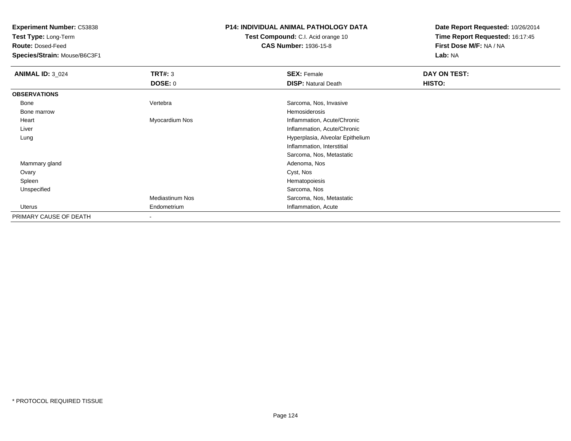**Test Type:** Long-Term

**Route:** Dosed-Feed

**Species/Strain:** Mouse/B6C3F1

## **P14: INDIVIDUAL ANIMAL PATHOLOGY DATA**

**Test Compound:** C.I. Acid orange 10**CAS Number:** 1936-15-8

**Date Report Requested:** 10/26/2014**Time Report Requested:** 16:17:45**First Dose M/F:** NA / NA**Lab:** NA

| <b>ANIMAL ID: 3_024</b> | TRT#: 3                | <b>SEX: Female</b>               | DAY ON TEST: |  |
|-------------------------|------------------------|----------------------------------|--------------|--|
|                         | <b>DOSE: 0</b>         | <b>DISP: Natural Death</b>       | HISTO:       |  |
| <b>OBSERVATIONS</b>     |                        |                                  |              |  |
| Bone                    | Vertebra               | Sarcoma, Nos, Invasive           |              |  |
| Bone marrow             |                        | Hemosiderosis                    |              |  |
| Heart                   | Myocardium Nos         | Inflammation, Acute/Chronic      |              |  |
| Liver                   |                        | Inflammation, Acute/Chronic      |              |  |
| Lung                    |                        | Hyperplasia, Alveolar Epithelium |              |  |
|                         |                        | Inflammation, Interstitial       |              |  |
|                         |                        | Sarcoma, Nos, Metastatic         |              |  |
| Mammary gland           |                        | Adenoma, Nos                     |              |  |
| Ovary                   |                        | Cyst, Nos                        |              |  |
| Spleen                  |                        | Hematopoiesis                    |              |  |
| Unspecified             |                        | Sarcoma, Nos                     |              |  |
|                         | <b>Mediastinum Nos</b> | Sarcoma, Nos, Metastatic         |              |  |
| Uterus                  | Endometrium            | Inflammation, Acute              |              |  |
| PRIMARY CAUSE OF DEATH  | $\,$                   |                                  |              |  |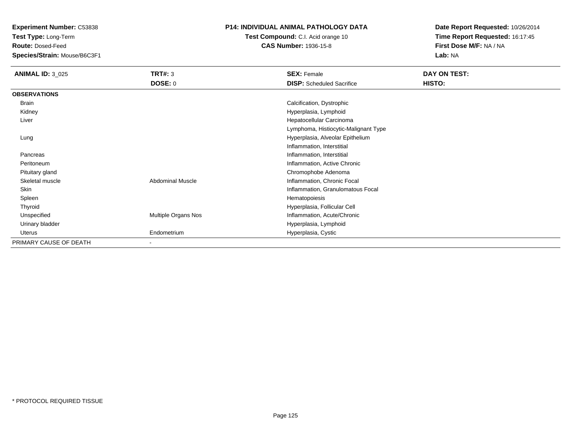**Test Type:** Long-Term

**Route:** Dosed-Feed

**Species/Strain:** Mouse/B6C3F1

## **P14: INDIVIDUAL ANIMAL PATHOLOGY DATA**

**Test Compound:** C.I. Acid orange 10**CAS Number:** 1936-15-8

**Date Report Requested:** 10/26/2014 **Time Report Requested:** 16:17:45**First Dose M/F:** NA / NA**Lab:** NA

| <b>ANIMAL ID: 3_025</b> | <b>TRT#: 3</b>             | <b>SEX: Female</b>                   | DAY ON TEST:  |
|-------------------------|----------------------------|--------------------------------------|---------------|
|                         | <b>DOSE: 0</b>             | <b>DISP:</b> Scheduled Sacrifice     | <b>HISTO:</b> |
| <b>OBSERVATIONS</b>     |                            |                                      |               |
| Brain                   |                            | Calcification, Dystrophic            |               |
| Kidney                  |                            | Hyperplasia, Lymphoid                |               |
| Liver                   |                            | Hepatocellular Carcinoma             |               |
|                         |                            | Lymphoma, Histiocytic-Malignant Type |               |
| Lung                    |                            | Hyperplasia, Alveolar Epithelium     |               |
|                         |                            | Inflammation, Interstitial           |               |
| Pancreas                |                            | Inflammation, Interstitial           |               |
| Peritoneum              |                            | Inflammation, Active Chronic         |               |
| Pituitary gland         |                            | Chromophobe Adenoma                  |               |
| Skeletal muscle         | <b>Abdominal Muscle</b>    | Inflammation, Chronic Focal          |               |
| Skin                    |                            | Inflammation, Granulomatous Focal    |               |
| Spleen                  |                            | Hematopoiesis                        |               |
| Thyroid                 |                            | Hyperplasia, Follicular Cell         |               |
| Unspecified             | <b>Multiple Organs Nos</b> | Inflammation, Acute/Chronic          |               |
| Urinary bladder         |                            | Hyperplasia, Lymphoid                |               |
| Uterus                  | Endometrium                | Hyperplasia, Cystic                  |               |
| PRIMARY CAUSE OF DEATH  |                            |                                      |               |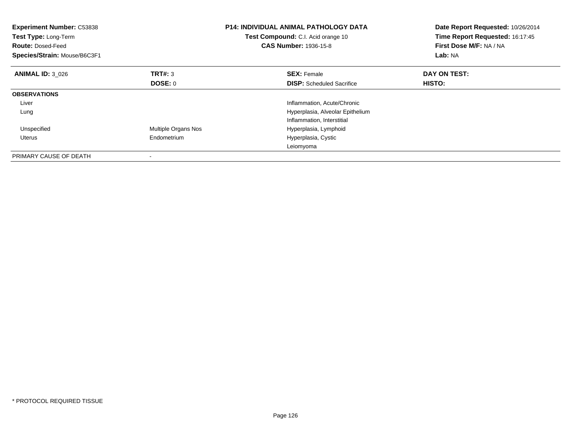| <b>Experiment Number: C53838</b><br>Test Type: Long-Term<br><b>Route: Dosed-Feed</b><br>Species/Strain: Mouse/B6C3F1 |                     | <b>P14: INDIVIDUAL ANIMAL PATHOLOGY DATA</b><br>Date Report Requested: 10/26/2014<br>Time Report Requested: 16:17:45<br>Test Compound: C.I. Acid orange 10<br>First Dose M/F: NA / NA<br><b>CAS Number: 1936-15-8</b><br>Lab: NA |              |
|----------------------------------------------------------------------------------------------------------------------|---------------------|----------------------------------------------------------------------------------------------------------------------------------------------------------------------------------------------------------------------------------|--------------|
| <b>ANIMAL ID: 3 026</b>                                                                                              | TRT#: 3             | <b>SEX: Female</b>                                                                                                                                                                                                               | DAY ON TEST: |
|                                                                                                                      | <b>DOSE: 0</b>      | <b>DISP:</b> Scheduled Sacrifice                                                                                                                                                                                                 | HISTO:       |
| <b>OBSERVATIONS</b>                                                                                                  |                     |                                                                                                                                                                                                                                  |              |
| Liver                                                                                                                |                     | Inflammation, Acute/Chronic                                                                                                                                                                                                      |              |
| Lung                                                                                                                 |                     | Hyperplasia, Alveolar Epithelium                                                                                                                                                                                                 |              |
|                                                                                                                      |                     | Inflammation, Interstitial                                                                                                                                                                                                       |              |
| Unspecified                                                                                                          | Multiple Organs Nos | Hyperplasia, Lymphoid                                                                                                                                                                                                            |              |
| Uterus                                                                                                               | Endometrium         | Hyperplasia, Cystic                                                                                                                                                                                                              |              |
|                                                                                                                      |                     | Leiomyoma                                                                                                                                                                                                                        |              |
| PRIMARY CAUSE OF DEATH                                                                                               |                     |                                                                                                                                                                                                                                  |              |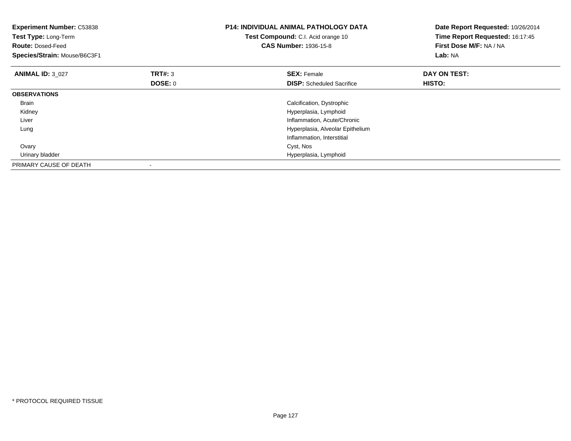| <b>Experiment Number: C53838</b><br>Test Type: Long-Term<br><b>Route: Dosed-Feed</b><br>Species/Strain: Mouse/B6C3F1 |                           | <b>P14: INDIVIDUAL ANIMAL PATHOLOGY DATA</b><br>Test Compound: C.I. Acid orange 10<br><b>CAS Number: 1936-15-8</b> | Date Report Requested: 10/26/2014<br>Time Report Requested: 16:17:45<br>First Dose M/F: NA / NA<br>Lab: NA |
|----------------------------------------------------------------------------------------------------------------------|---------------------------|--------------------------------------------------------------------------------------------------------------------|------------------------------------------------------------------------------------------------------------|
| <b>ANIMAL ID: 3_027</b>                                                                                              | <b>TRT#: 3</b><br>DOSE: 0 | <b>SEX: Female</b><br><b>DISP:</b> Scheduled Sacrifice                                                             | DAY ON TEST:<br>HISTO:                                                                                     |
| <b>OBSERVATIONS</b>                                                                                                  |                           |                                                                                                                    |                                                                                                            |
| <b>Brain</b>                                                                                                         |                           | Calcification, Dystrophic                                                                                          |                                                                                                            |
| Kidney                                                                                                               |                           | Hyperplasia, Lymphoid                                                                                              |                                                                                                            |
| Liver                                                                                                                |                           | Inflammation, Acute/Chronic                                                                                        |                                                                                                            |
| Lung                                                                                                                 |                           | Hyperplasia, Alveolar Epithelium                                                                                   |                                                                                                            |
|                                                                                                                      |                           | Inflammation, Interstitial                                                                                         |                                                                                                            |
| Ovary                                                                                                                |                           | Cyst, Nos                                                                                                          |                                                                                                            |
| Urinary bladder                                                                                                      |                           | Hyperplasia, Lymphoid                                                                                              |                                                                                                            |
| PRIMARY CAUSE OF DEATH                                                                                               |                           |                                                                                                                    |                                                                                                            |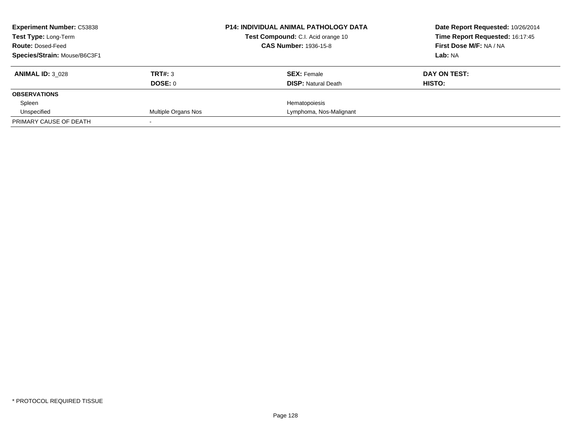| <b>Experiment Number: C53838</b><br><b>Test Type: Long-Term</b> |                     | <b>P14: INDIVIDUAL ANIMAL PATHOLOGY DATA</b><br>Test Compound: C.I. Acid orange 10 | Date Report Requested: 10/26/2014<br>Time Report Requested: 16:17:45 |
|-----------------------------------------------------------------|---------------------|------------------------------------------------------------------------------------|----------------------------------------------------------------------|
| <b>Route: Dosed-Feed</b>                                        |                     | <b>CAS Number: 1936-15-8</b>                                                       | First Dose M/F: NA / NA                                              |
| Species/Strain: Mouse/B6C3F1                                    |                     |                                                                                    | Lab: NA                                                              |
| <b>ANIMAL ID: 3 028</b>                                         | TRT#: 3             | <b>SEX: Female</b>                                                                 | DAY ON TEST:                                                         |
|                                                                 | DOSE: 0             | <b>DISP:</b> Natural Death                                                         | HISTO:                                                               |
| <b>OBSERVATIONS</b>                                             |                     |                                                                                    |                                                                      |
| Spleen                                                          |                     | Hematopoiesis                                                                      |                                                                      |
| Unspecified                                                     | Multiple Organs Nos | Lymphoma, Nos-Malignant                                                            |                                                                      |
| PRIMARY CAUSE OF DEATH                                          |                     |                                                                                    |                                                                      |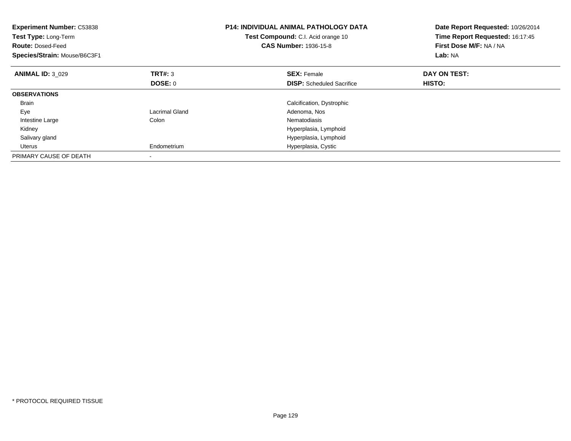| <b>Experiment Number: C53838</b><br><b>Test Type: Long-Term</b><br><b>Route: Dosed-Feed</b><br>Species/Strain: Mouse/B6C3F1 |                | <b>P14: INDIVIDUAL ANIMAL PATHOLOGY DATA</b><br>Test Compound: C.I. Acid orange 10<br><b>CAS Number: 1936-15-8</b> | Date Report Requested: 10/26/2014<br>Time Report Requested: 16:17:45<br>First Dose M/F: NA / NA<br>Lab: NA |
|-----------------------------------------------------------------------------------------------------------------------------|----------------|--------------------------------------------------------------------------------------------------------------------|------------------------------------------------------------------------------------------------------------|
| <b>ANIMAL ID: 3 029</b>                                                                                                     | TRT#: 3        | <b>SEX: Female</b>                                                                                                 | DAY ON TEST:                                                                                               |
|                                                                                                                             | <b>DOSE: 0</b> | <b>DISP:</b> Scheduled Sacrifice                                                                                   | HISTO:                                                                                                     |
| <b>OBSERVATIONS</b>                                                                                                         |                |                                                                                                                    |                                                                                                            |
| <b>Brain</b>                                                                                                                |                | Calcification, Dystrophic                                                                                          |                                                                                                            |
| Eye                                                                                                                         | Lacrimal Gland | Adenoma, Nos                                                                                                       |                                                                                                            |
| Intestine Large                                                                                                             | Colon          | Nematodiasis                                                                                                       |                                                                                                            |
| Kidney                                                                                                                      |                | Hyperplasia, Lymphoid                                                                                              |                                                                                                            |
| Salivary gland                                                                                                              |                | Hyperplasia, Lymphoid                                                                                              |                                                                                                            |
| Uterus                                                                                                                      | Endometrium    | Hyperplasia, Cystic                                                                                                |                                                                                                            |
| PRIMARY CAUSE OF DEATH                                                                                                      |                |                                                                                                                    |                                                                                                            |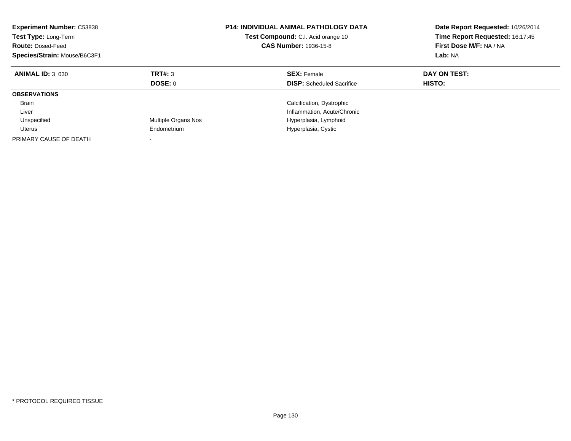| <b>Experiment Number: C53838</b><br><b>Test Type: Long-Term</b><br><b>Route: Dosed-Feed</b><br>Species/Strain: Mouse/B6C3F1 |                           | <b>P14: INDIVIDUAL ANIMAL PATHOLOGY DATA</b><br><b>Test Compound:</b> C.I. Acid orange 10<br><b>CAS Number: 1936-15-8</b> | Date Report Requested: 10/26/2014<br>Time Report Requested: 16:17:45<br>First Dose M/F: NA / NA<br>Lab: NA |
|-----------------------------------------------------------------------------------------------------------------------------|---------------------------|---------------------------------------------------------------------------------------------------------------------------|------------------------------------------------------------------------------------------------------------|
| <b>ANIMAL ID: 3 030</b>                                                                                                     | TRT#: 3<br><b>DOSE: 0</b> | <b>SEX: Female</b><br><b>DISP:</b> Scheduled Sacrifice                                                                    | DAY ON TEST:<br>HISTO:                                                                                     |
| <b>OBSERVATIONS</b>                                                                                                         |                           |                                                                                                                           |                                                                                                            |
| <b>Brain</b>                                                                                                                |                           | Calcification, Dystrophic                                                                                                 |                                                                                                            |
| Liver                                                                                                                       |                           | Inflammation, Acute/Chronic                                                                                               |                                                                                                            |
| Unspecified                                                                                                                 | Multiple Organs Nos       | Hyperplasia, Lymphoid                                                                                                     |                                                                                                            |
| Uterus                                                                                                                      | Endometrium               | Hyperplasia, Cystic                                                                                                       |                                                                                                            |
| PRIMARY CAUSE OF DEATH                                                                                                      |                           |                                                                                                                           |                                                                                                            |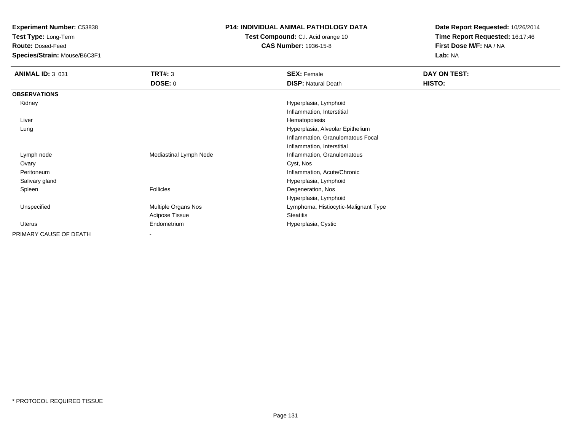**Test Type:** Long-Term

**Route:** Dosed-Feed

**Species/Strain:** Mouse/B6C3F1

## **P14: INDIVIDUAL ANIMAL PATHOLOGY DATA**

**Test Compound:** C.I. Acid orange 10**CAS Number:** 1936-15-8

**Date Report Requested:** 10/26/2014**Time Report Requested:** 16:17:46**First Dose M/F:** NA / NA**Lab:** NA

| <b>ANIMAL ID: 3_031</b> | <b>TRT#: 3</b>         | <b>SEX: Female</b>                   | DAY ON TEST: |
|-------------------------|------------------------|--------------------------------------|--------------|
|                         | <b>DOSE: 0</b>         | <b>DISP: Natural Death</b>           | HISTO:       |
| <b>OBSERVATIONS</b>     |                        |                                      |              |
| Kidney                  |                        | Hyperplasia, Lymphoid                |              |
|                         |                        | Inflammation, Interstitial           |              |
| Liver                   |                        | Hematopoiesis                        |              |
| Lung                    |                        | Hyperplasia, Alveolar Epithelium     |              |
|                         |                        | Inflammation, Granulomatous Focal    |              |
|                         |                        | Inflammation, Interstitial           |              |
| Lymph node              | Mediastinal Lymph Node | Inflammation, Granulomatous          |              |
| Ovary                   |                        | Cyst, Nos                            |              |
| Peritoneum              |                        | Inflammation, Acute/Chronic          |              |
| Salivary gland          |                        | Hyperplasia, Lymphoid                |              |
| Spleen                  | <b>Follicles</b>       | Degeneration, Nos                    |              |
|                         |                        | Hyperplasia, Lymphoid                |              |
| Unspecified             | Multiple Organs Nos    | Lymphoma, Histiocytic-Malignant Type |              |
|                         | Adipose Tissue         | <b>Steatitis</b>                     |              |
| Uterus                  | Endometrium            | Hyperplasia, Cystic                  |              |
| PRIMARY CAUSE OF DEATH  | ۰                      |                                      |              |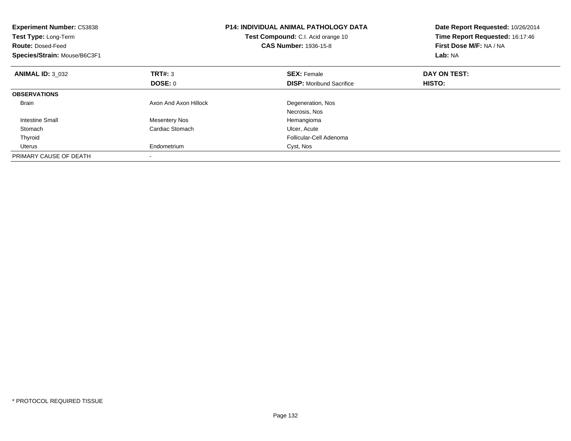| <b>Experiment Number: C53838</b><br>Test Type: Long-Term<br><b>Route: Dosed-Feed</b><br>Species/Strain: Mouse/B6C3F1 |                       | <b>P14: INDIVIDUAL ANIMAL PATHOLOGY DATA</b><br>Test Compound: C.I. Acid orange 10<br><b>CAS Number: 1936-15-8</b> | Date Report Requested: 10/26/2014<br>Time Report Requested: 16:17:46<br>First Dose M/F: NA / NA<br>Lab: NA |
|----------------------------------------------------------------------------------------------------------------------|-----------------------|--------------------------------------------------------------------------------------------------------------------|------------------------------------------------------------------------------------------------------------|
| <b>ANIMAL ID: 3 032</b>                                                                                              | <b>TRT#: 3</b>        | <b>SEX: Female</b>                                                                                                 | DAY ON TEST:                                                                                               |
|                                                                                                                      | DOSE: 0               | <b>DISP:</b> Moribund Sacrifice                                                                                    | HISTO:                                                                                                     |
| <b>OBSERVATIONS</b>                                                                                                  |                       |                                                                                                                    |                                                                                                            |
| <b>Brain</b>                                                                                                         | Axon And Axon Hillock | Degeneration, Nos                                                                                                  |                                                                                                            |
|                                                                                                                      |                       | Necrosis, Nos                                                                                                      |                                                                                                            |
| <b>Intestine Small</b>                                                                                               | <b>Mesentery Nos</b>  | Hemangioma                                                                                                         |                                                                                                            |
| Stomach                                                                                                              | Cardiac Stomach       | Ulcer, Acute                                                                                                       |                                                                                                            |
| Thyroid                                                                                                              |                       | Follicular-Cell Adenoma                                                                                            |                                                                                                            |
| <b>Uterus</b>                                                                                                        | Endometrium           | Cyst, Nos                                                                                                          |                                                                                                            |
| PRIMARY CAUSE OF DEATH                                                                                               |                       |                                                                                                                    |                                                                                                            |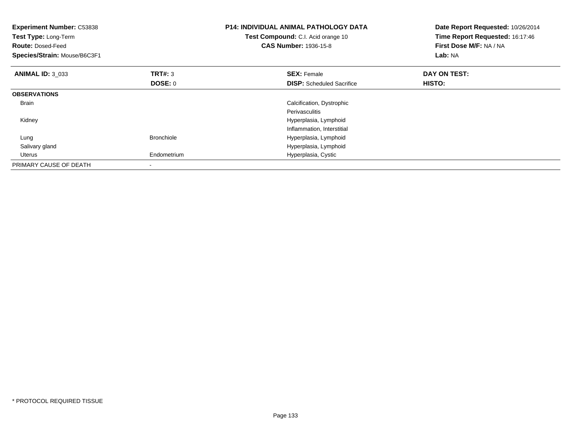| <b>Experiment Number: C53838</b><br>Test Type: Long-Term<br><b>Route: Dosed-Feed</b><br>Species/Strain: Mouse/B6C3F1 |                   | <b>P14: INDIVIDUAL ANIMAL PATHOLOGY DATA</b><br>Test Compound: C.I. Acid orange 10<br><b>CAS Number: 1936-15-8</b> | Date Report Requested: 10/26/2014<br>Time Report Requested: 16:17:46<br>First Dose M/F: NA / NA<br>Lab: NA |
|----------------------------------------------------------------------------------------------------------------------|-------------------|--------------------------------------------------------------------------------------------------------------------|------------------------------------------------------------------------------------------------------------|
| <b>ANIMAL ID: 3 033</b>                                                                                              | <b>TRT#: 3</b>    | <b>SEX: Female</b>                                                                                                 | DAY ON TEST:                                                                                               |
|                                                                                                                      | DOSE: 0           | <b>DISP:</b> Scheduled Sacrifice                                                                                   | <b>HISTO:</b>                                                                                              |
| <b>OBSERVATIONS</b>                                                                                                  |                   |                                                                                                                    |                                                                                                            |
| <b>Brain</b>                                                                                                         |                   | Calcification, Dystrophic                                                                                          |                                                                                                            |
|                                                                                                                      |                   | Perivasculitis                                                                                                     |                                                                                                            |
| Kidney                                                                                                               |                   | Hyperplasia, Lymphoid                                                                                              |                                                                                                            |
|                                                                                                                      |                   | Inflammation, Interstitial                                                                                         |                                                                                                            |
| Lung                                                                                                                 | <b>Bronchiole</b> | Hyperplasia, Lymphoid                                                                                              |                                                                                                            |
| Salivary gland                                                                                                       |                   | Hyperplasia, Lymphoid                                                                                              |                                                                                                            |
| Uterus                                                                                                               | Endometrium       | Hyperplasia, Cystic                                                                                                |                                                                                                            |
| PRIMARY CAUSE OF DEATH                                                                                               |                   |                                                                                                                    |                                                                                                            |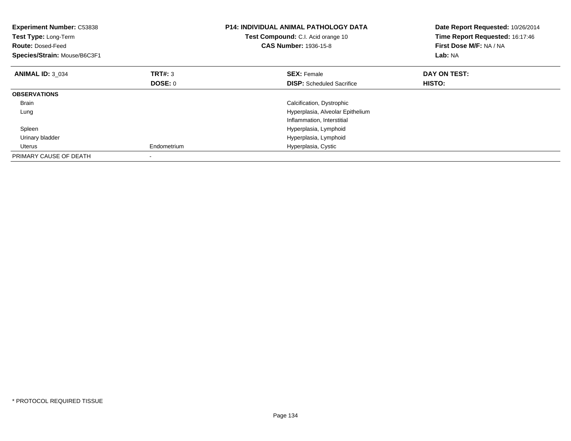| <b>Experiment Number: C53838</b><br>Test Type: Long-Term<br><b>Route: Dosed-Feed</b><br>Species/Strain: Mouse/B6C3F1 |                | <b>P14: INDIVIDUAL ANIMAL PATHOLOGY DATA</b><br>Test Compound: C.I. Acid orange 10<br><b>CAS Number: 1936-15-8</b> | Date Report Requested: 10/26/2014<br>Time Report Requested: 16:17:46<br>First Dose M/F: NA / NA<br>Lab: NA |
|----------------------------------------------------------------------------------------------------------------------|----------------|--------------------------------------------------------------------------------------------------------------------|------------------------------------------------------------------------------------------------------------|
| <b>ANIMAL ID: 3 034</b>                                                                                              | TRT#: 3        | <b>SEX: Female</b>                                                                                                 | DAY ON TEST:                                                                                               |
|                                                                                                                      | <b>DOSE: 0</b> | <b>DISP:</b> Scheduled Sacrifice                                                                                   | HISTO:                                                                                                     |
| <b>OBSERVATIONS</b>                                                                                                  |                |                                                                                                                    |                                                                                                            |
| <b>Brain</b>                                                                                                         |                | Calcification, Dystrophic                                                                                          |                                                                                                            |
| Lung                                                                                                                 |                | Hyperplasia, Alveolar Epithelium                                                                                   |                                                                                                            |
|                                                                                                                      |                | Inflammation, Interstitial                                                                                         |                                                                                                            |
| Spleen                                                                                                               |                | Hyperplasia, Lymphoid                                                                                              |                                                                                                            |
| Urinary bladder                                                                                                      |                | Hyperplasia, Lymphoid                                                                                              |                                                                                                            |
| Uterus                                                                                                               | Endometrium    | Hyperplasia, Cystic                                                                                                |                                                                                                            |
| PRIMARY CAUSE OF DEATH                                                                                               |                |                                                                                                                    |                                                                                                            |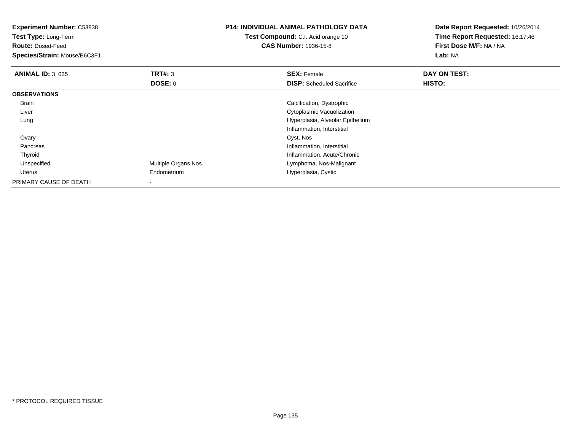| <b>Experiment Number: C53838</b><br>Test Type: Long-Term<br><b>Route: Dosed-Feed</b><br>Species/Strain: Mouse/B6C3F1 |                     | <b>P14: INDIVIDUAL ANIMAL PATHOLOGY DATA</b><br>Test Compound: C.I. Acid orange 10<br><b>CAS Number: 1936-15-8</b> | Date Report Requested: 10/26/2014<br>Time Report Requested: 16:17:46<br>First Dose M/F: NA / NA<br>Lab: NA |
|----------------------------------------------------------------------------------------------------------------------|---------------------|--------------------------------------------------------------------------------------------------------------------|------------------------------------------------------------------------------------------------------------|
| <b>ANIMAL ID: 3 035</b>                                                                                              | <b>TRT#: 3</b>      | <b>SEX: Female</b>                                                                                                 | DAY ON TEST:                                                                                               |
|                                                                                                                      | DOSE: 0             | <b>DISP:</b> Scheduled Sacrifice                                                                                   | HISTO:                                                                                                     |
| <b>OBSERVATIONS</b>                                                                                                  |                     |                                                                                                                    |                                                                                                            |
| Brain                                                                                                                |                     | Calcification, Dystrophic                                                                                          |                                                                                                            |
| Liver                                                                                                                |                     | Cytoplasmic Vacuolization                                                                                          |                                                                                                            |
| Lung                                                                                                                 |                     | Hyperplasia, Alveolar Epithelium                                                                                   |                                                                                                            |
|                                                                                                                      |                     | Inflammation, Interstitial                                                                                         |                                                                                                            |
| Ovary                                                                                                                |                     | Cyst, Nos                                                                                                          |                                                                                                            |
| Pancreas                                                                                                             |                     | Inflammation, Interstitial                                                                                         |                                                                                                            |
| Thyroid                                                                                                              |                     | Inflammation, Acute/Chronic                                                                                        |                                                                                                            |
| Unspecified                                                                                                          | Multiple Organs Nos | Lymphoma, Nos-Malignant                                                                                            |                                                                                                            |
| Uterus                                                                                                               | Endometrium         | Hyperplasia, Cystic                                                                                                |                                                                                                            |
| PRIMARY CAUSE OF DEATH                                                                                               |                     |                                                                                                                    |                                                                                                            |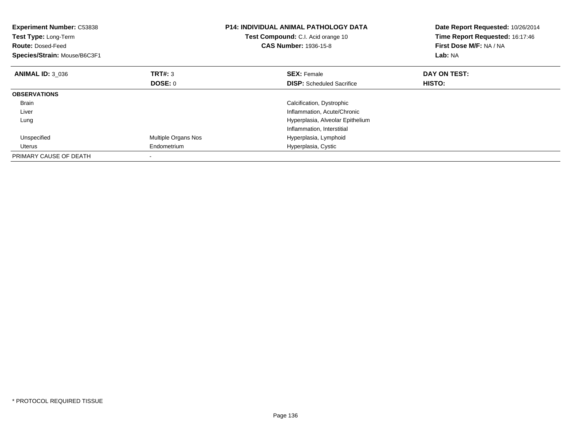| <b>Experiment Number: C53838</b><br>Test Type: Long-Term<br><b>Route: Dosed-Feed</b><br>Species/Strain: Mouse/B6C3F1 |                     | <b>P14: INDIVIDUAL ANIMAL PATHOLOGY DATA</b><br>Test Compound: C.I. Acid orange 10<br><b>CAS Number: 1936-15-8</b> | Date Report Requested: 10/26/2014<br>Time Report Requested: 16:17:46<br>First Dose M/F: NA / NA<br>Lab: NA |
|----------------------------------------------------------------------------------------------------------------------|---------------------|--------------------------------------------------------------------------------------------------------------------|------------------------------------------------------------------------------------------------------------|
| <b>ANIMAL ID: 3 036</b>                                                                                              | TRT#: 3             | <b>SEX: Female</b>                                                                                                 | DAY ON TEST:                                                                                               |
|                                                                                                                      | <b>DOSE: 0</b>      | <b>DISP:</b> Scheduled Sacrifice                                                                                   | HISTO:                                                                                                     |
| <b>OBSERVATIONS</b>                                                                                                  |                     |                                                                                                                    |                                                                                                            |
| Brain                                                                                                                |                     | Calcification, Dystrophic                                                                                          |                                                                                                            |
| Liver                                                                                                                |                     | Inflammation, Acute/Chronic                                                                                        |                                                                                                            |
| Lung                                                                                                                 |                     | Hyperplasia, Alveolar Epithelium                                                                                   |                                                                                                            |
|                                                                                                                      |                     | Inflammation, Interstitial                                                                                         |                                                                                                            |
| Unspecified                                                                                                          | Multiple Organs Nos | Hyperplasia, Lymphoid                                                                                              |                                                                                                            |
| Uterus                                                                                                               | Endometrium         | Hyperplasia, Cystic                                                                                                |                                                                                                            |
| PRIMARY CAUSE OF DEATH                                                                                               |                     |                                                                                                                    |                                                                                                            |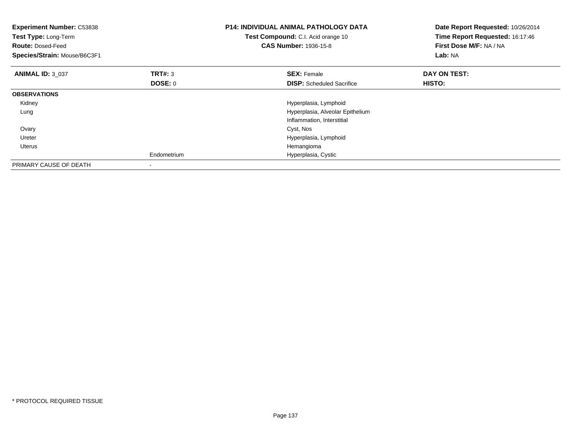| <b>Experiment Number: C53838</b><br>Test Type: Long-Term<br><b>Route: Dosed-Feed</b><br>Species/Strain: Mouse/B6C3F1 |                           | <b>P14: INDIVIDUAL ANIMAL PATHOLOGY DATA</b><br>Test Compound: C.I. Acid orange 10<br><b>CAS Number: 1936-15-8</b> | Date Report Requested: 10/26/2014<br>Time Report Requested: 16:17:46<br>First Dose M/F: NA / NA<br>Lab: NA |
|----------------------------------------------------------------------------------------------------------------------|---------------------------|--------------------------------------------------------------------------------------------------------------------|------------------------------------------------------------------------------------------------------------|
| <b>ANIMAL ID: 3 037</b>                                                                                              | <b>TRT#: 3</b><br>DOSE: 0 | <b>SEX: Female</b><br><b>DISP:</b> Scheduled Sacrifice                                                             | DAY ON TEST:<br><b>HISTO:</b>                                                                              |
| <b>OBSERVATIONS</b>                                                                                                  |                           |                                                                                                                    |                                                                                                            |
| Kidney                                                                                                               |                           | Hyperplasia, Lymphoid                                                                                              |                                                                                                            |
| Lung                                                                                                                 |                           | Hyperplasia, Alveolar Epithelium                                                                                   |                                                                                                            |
|                                                                                                                      |                           | Inflammation, Interstitial                                                                                         |                                                                                                            |
| Ovary                                                                                                                |                           | Cyst, Nos                                                                                                          |                                                                                                            |
| Ureter                                                                                                               |                           | Hyperplasia, Lymphoid                                                                                              |                                                                                                            |
| <b>Uterus</b>                                                                                                        |                           | Hemangioma                                                                                                         |                                                                                                            |
|                                                                                                                      | Endometrium               | Hyperplasia, Cystic                                                                                                |                                                                                                            |
| PRIMARY CAUSE OF DEATH                                                                                               |                           |                                                                                                                    |                                                                                                            |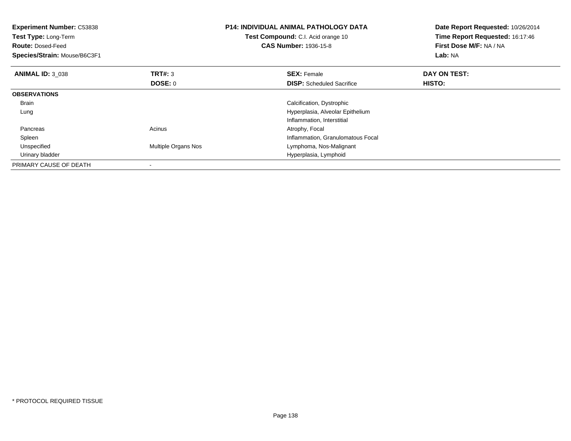| <b>Experiment Number: C53838</b><br><b>Test Type: Long-Term</b><br><b>Route: Dosed-Feed</b><br>Species/Strain: Mouse/B6C3F1 |                            | <b>P14: INDIVIDUAL ANIMAL PATHOLOGY DATA</b><br>Test Compound: C.I. Acid orange 10<br><b>CAS Number: 1936-15-8</b> | Date Report Requested: 10/26/2014<br>Time Report Requested: 16:17:46<br>First Dose M/F: NA / NA<br>Lab: NA |
|-----------------------------------------------------------------------------------------------------------------------------|----------------------------|--------------------------------------------------------------------------------------------------------------------|------------------------------------------------------------------------------------------------------------|
| <b>ANIMAL ID: 3 038</b>                                                                                                     | TRT#: 3                    | <b>SEX: Female</b>                                                                                                 | DAY ON TEST:                                                                                               |
|                                                                                                                             | DOSE: 0                    | <b>DISP:</b> Scheduled Sacrifice                                                                                   | HISTO:                                                                                                     |
| <b>OBSERVATIONS</b>                                                                                                         |                            |                                                                                                                    |                                                                                                            |
| <b>Brain</b>                                                                                                                |                            | Calcification, Dystrophic                                                                                          |                                                                                                            |
| Lung                                                                                                                        |                            | Hyperplasia, Alveolar Epithelium                                                                                   |                                                                                                            |
|                                                                                                                             |                            | Inflammation, Interstitial                                                                                         |                                                                                                            |
| Pancreas                                                                                                                    | Acinus                     | Atrophy, Focal                                                                                                     |                                                                                                            |
| Spleen                                                                                                                      |                            | Inflammation, Granulomatous Focal                                                                                  |                                                                                                            |
| Unspecified                                                                                                                 | <b>Multiple Organs Nos</b> | Lymphoma, Nos-Malignant                                                                                            |                                                                                                            |
| Urinary bladder                                                                                                             |                            | Hyperplasia, Lymphoid                                                                                              |                                                                                                            |
| PRIMARY CAUSE OF DEATH                                                                                                      |                            |                                                                                                                    |                                                                                                            |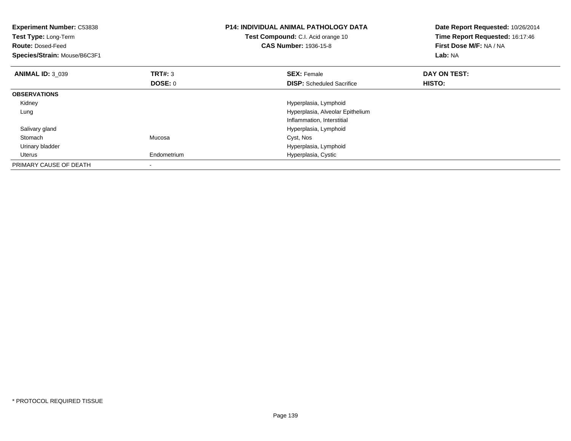| <b>Experiment Number: C53838</b><br>Test Type: Long-Term<br><b>Route: Dosed-Feed</b><br>Species/Strain: Mouse/B6C3F1 |                | <b>P14: INDIVIDUAL ANIMAL PATHOLOGY DATA</b><br>Test Compound: C.I. Acid orange 10<br><b>CAS Number: 1936-15-8</b> | Date Report Requested: 10/26/2014<br>Time Report Requested: 16:17:46<br>First Dose M/F: NA / NA<br>Lab: NA |
|----------------------------------------------------------------------------------------------------------------------|----------------|--------------------------------------------------------------------------------------------------------------------|------------------------------------------------------------------------------------------------------------|
| <b>ANIMAL ID: 3 039</b>                                                                                              | <b>TRT#: 3</b> | <b>SEX: Female</b>                                                                                                 | DAY ON TEST:                                                                                               |
|                                                                                                                      | DOSE: 0        | <b>DISP:</b> Scheduled Sacrifice                                                                                   | HISTO:                                                                                                     |
| <b>OBSERVATIONS</b>                                                                                                  |                |                                                                                                                    |                                                                                                            |
| Kidney                                                                                                               |                | Hyperplasia, Lymphoid                                                                                              |                                                                                                            |
| Lung                                                                                                                 |                | Hyperplasia, Alveolar Epithelium                                                                                   |                                                                                                            |
|                                                                                                                      |                | Inflammation, Interstitial                                                                                         |                                                                                                            |
| Salivary gland                                                                                                       |                | Hyperplasia, Lymphoid                                                                                              |                                                                                                            |
| Stomach                                                                                                              | Mucosa         | Cyst, Nos                                                                                                          |                                                                                                            |
| Urinary bladder                                                                                                      |                | Hyperplasia, Lymphoid                                                                                              |                                                                                                            |
| Uterus                                                                                                               | Endometrium    | Hyperplasia, Cystic                                                                                                |                                                                                                            |
| PRIMARY CAUSE OF DEATH                                                                                               |                |                                                                                                                    |                                                                                                            |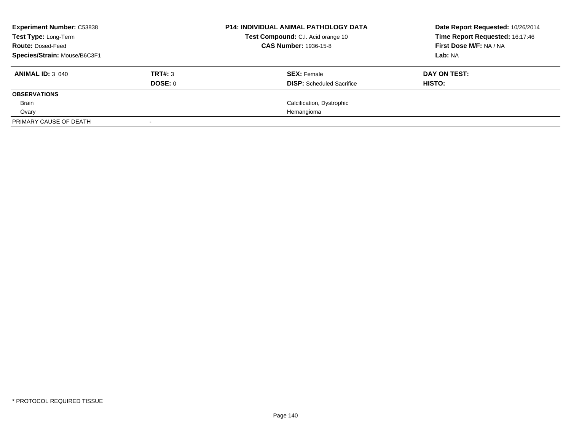| <b>Experiment Number: C53838</b><br><b>Test Type: Long-Term</b> |         | <b>P14: INDIVIDUAL ANIMAL PATHOLOGY DATA</b><br>Test Compound: C.I. Acid orange 10 | Date Report Requested: 10/26/2014<br>Time Report Requested: 16:17:46 |
|-----------------------------------------------------------------|---------|------------------------------------------------------------------------------------|----------------------------------------------------------------------|
| <b>Route: Dosed-Feed</b><br>Species/Strain: Mouse/B6C3F1        |         | <b>CAS Number: 1936-15-8</b>                                                       | First Dose M/F: NA / NA                                              |
|                                                                 |         |                                                                                    | Lab: NA                                                              |
| <b>ANIMAL ID: 3 040</b>                                         | TRT#: 3 | <b>SEX: Female</b>                                                                 | DAY ON TEST:                                                         |
|                                                                 | DOSE: 0 | <b>DISP:</b> Scheduled Sacrifice                                                   | HISTO:                                                               |
| <b>OBSERVATIONS</b>                                             |         |                                                                                    |                                                                      |
| Brain                                                           |         | Calcification, Dystrophic                                                          |                                                                      |
| Ovary                                                           |         | Hemangioma                                                                         |                                                                      |
| PRIMARY CAUSE OF DEATH                                          |         |                                                                                    |                                                                      |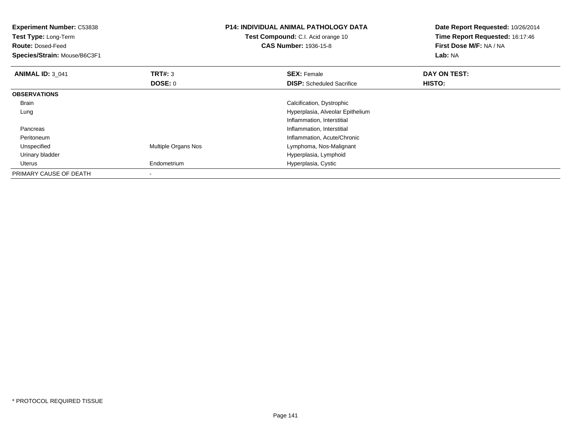| <b>Experiment Number: C53838</b><br>Test Type: Long-Term<br><b>Route: Dosed-Feed</b><br>Species/Strain: Mouse/B6C3F1 |                     | <b>P14: INDIVIDUAL ANIMAL PATHOLOGY DATA</b><br>Test Compound: C.I. Acid orange 10<br><b>CAS Number: 1936-15-8</b> | Date Report Requested: 10/26/2014<br>Time Report Requested: 16:17:46<br>First Dose M/F: NA / NA<br>Lab: NA |
|----------------------------------------------------------------------------------------------------------------------|---------------------|--------------------------------------------------------------------------------------------------------------------|------------------------------------------------------------------------------------------------------------|
| <b>ANIMAL ID: 3 041</b>                                                                                              | <b>TRT#: 3</b>      | <b>SEX: Female</b>                                                                                                 | DAY ON TEST:                                                                                               |
|                                                                                                                      | DOSE: 0             | <b>DISP:</b> Scheduled Sacrifice                                                                                   | HISTO:                                                                                                     |
| <b>OBSERVATIONS</b>                                                                                                  |                     |                                                                                                                    |                                                                                                            |
| Brain                                                                                                                |                     | Calcification, Dystrophic                                                                                          |                                                                                                            |
| Lung                                                                                                                 |                     | Hyperplasia, Alveolar Epithelium                                                                                   |                                                                                                            |
|                                                                                                                      |                     | Inflammation, Interstitial                                                                                         |                                                                                                            |
| Pancreas                                                                                                             |                     | Inflammation, Interstitial                                                                                         |                                                                                                            |
| Peritoneum                                                                                                           |                     | Inflammation, Acute/Chronic                                                                                        |                                                                                                            |
| Unspecified                                                                                                          | Multiple Organs Nos | Lymphoma, Nos-Malignant                                                                                            |                                                                                                            |
| Urinary bladder                                                                                                      |                     | Hyperplasia, Lymphoid                                                                                              |                                                                                                            |
| Uterus                                                                                                               | Endometrium         | Hyperplasia, Cystic                                                                                                |                                                                                                            |
| PRIMARY CAUSE OF DEATH                                                                                               | $\,$                |                                                                                                                    |                                                                                                            |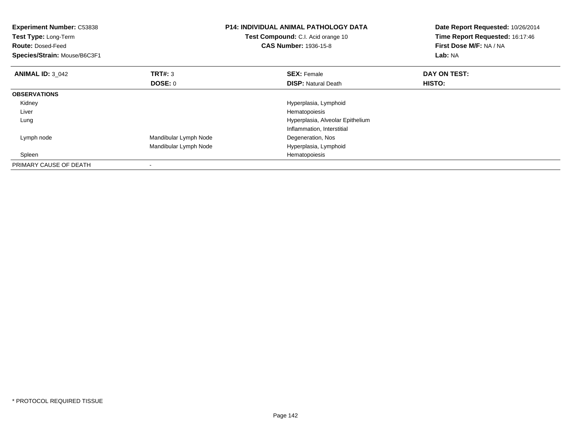| <b>Experiment Number: C53838</b><br>Test Type: Long-Term<br><b>Route: Dosed-Feed</b><br>Species/Strain: Mouse/B6C3F1 |                       | <b>P14: INDIVIDUAL ANIMAL PATHOLOGY DATA</b><br>Test Compound: C.I. Acid orange 10<br><b>CAS Number: 1936-15-8</b> | Date Report Requested: 10/26/2014<br>Time Report Requested: 16:17:46<br>First Dose M/F: NA / NA<br>Lab: NA |
|----------------------------------------------------------------------------------------------------------------------|-----------------------|--------------------------------------------------------------------------------------------------------------------|------------------------------------------------------------------------------------------------------------|
| <b>ANIMAL ID: 3 042</b>                                                                                              | TRT#: 3<br>DOSE: 0    | <b>SEX: Female</b><br><b>DISP:</b> Natural Death                                                                   | DAY ON TEST:<br>HISTO:                                                                                     |
|                                                                                                                      |                       |                                                                                                                    |                                                                                                            |
| <b>OBSERVATIONS</b>                                                                                                  |                       |                                                                                                                    |                                                                                                            |
| Kidney                                                                                                               |                       | Hyperplasia, Lymphoid                                                                                              |                                                                                                            |
| Liver                                                                                                                |                       | Hematopoiesis                                                                                                      |                                                                                                            |
| Lung                                                                                                                 |                       | Hyperplasia, Alveolar Epithelium                                                                                   |                                                                                                            |
|                                                                                                                      |                       | Inflammation, Interstitial                                                                                         |                                                                                                            |
| Lymph node                                                                                                           | Mandibular Lymph Node | Degeneration, Nos                                                                                                  |                                                                                                            |
|                                                                                                                      | Mandibular Lymph Node | Hyperplasia, Lymphoid                                                                                              |                                                                                                            |
| Spleen                                                                                                               |                       | Hematopoiesis                                                                                                      |                                                                                                            |
| PRIMARY CAUSE OF DEATH                                                                                               |                       |                                                                                                                    |                                                                                                            |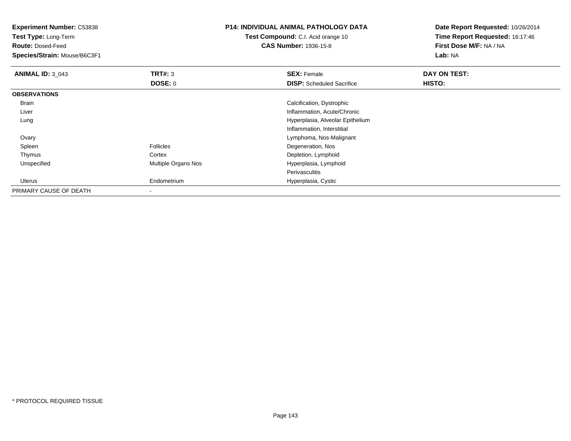**Test Type:** Long-Term

**Route:** Dosed-Feed

**Species/Strain:** Mouse/B6C3F1

## **P14: INDIVIDUAL ANIMAL PATHOLOGY DATA**

**Test Compound:** C.I. Acid orange 10**CAS Number:** 1936-15-8

**Date Report Requested:** 10/26/2014**Time Report Requested:** 16:17:46**First Dose M/F:** NA / NA**Lab:** NA

| <b>ANIMAL ID: 3_043</b> | TRT#: 3             | <b>SEX: Female</b>               | DAY ON TEST: |  |
|-------------------------|---------------------|----------------------------------|--------------|--|
|                         | <b>DOSE: 0</b>      | <b>DISP:</b> Scheduled Sacrifice | HISTO:       |  |
| <b>OBSERVATIONS</b>     |                     |                                  |              |  |
| Brain                   |                     | Calcification, Dystrophic        |              |  |
| Liver                   |                     | Inflammation, Acute/Chronic      |              |  |
| Lung                    |                     | Hyperplasia, Alveolar Epithelium |              |  |
|                         |                     | Inflammation, Interstitial       |              |  |
| Ovary                   |                     | Lymphoma, Nos-Malignant          |              |  |
| Spleen                  | <b>Follicles</b>    | Degeneration, Nos                |              |  |
| Thymus                  | Cortex              | Depletion, Lymphoid              |              |  |
| Unspecified             | Multiple Organs Nos | Hyperplasia, Lymphoid            |              |  |
|                         |                     | Perivasculitis                   |              |  |
| Uterus                  | Endometrium         | Hyperplasia, Cystic              |              |  |
| PRIMARY CAUSE OF DEATH  | ۰                   |                                  |              |  |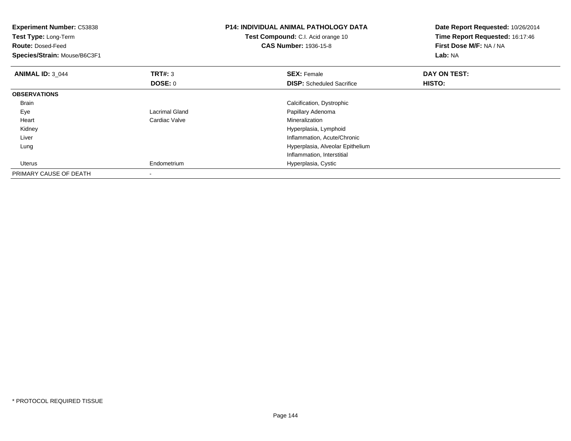| <b>Experiment Number: C53838</b><br>Test Type: Long-Term<br><b>Route: Dosed-Feed</b><br>Species/Strain: Mouse/B6C3F1 |                | <b>P14: INDIVIDUAL ANIMAL PATHOLOGY DATA</b><br>Test Compound: C.I. Acid orange 10<br><b>CAS Number: 1936-15-8</b> | Date Report Requested: 10/26/2014<br>Time Report Requested: 16:17:46<br>First Dose M/F: NA / NA<br>Lab: NA |
|----------------------------------------------------------------------------------------------------------------------|----------------|--------------------------------------------------------------------------------------------------------------------|------------------------------------------------------------------------------------------------------------|
| <b>ANIMAL ID: 3_044</b>                                                                                              | <b>TRT#: 3</b> | <b>SEX: Female</b>                                                                                                 | DAY ON TEST:                                                                                               |
|                                                                                                                      | DOSE: 0        | <b>DISP:</b> Scheduled Sacrifice                                                                                   | HISTO:                                                                                                     |
| <b>OBSERVATIONS</b>                                                                                                  |                |                                                                                                                    |                                                                                                            |
| <b>Brain</b>                                                                                                         |                | Calcification, Dystrophic                                                                                          |                                                                                                            |
| Eye                                                                                                                  | Lacrimal Gland | Papillary Adenoma                                                                                                  |                                                                                                            |
| Heart                                                                                                                | Cardiac Valve  | Mineralization                                                                                                     |                                                                                                            |
| Kidney                                                                                                               |                | Hyperplasia, Lymphoid                                                                                              |                                                                                                            |
| Liver                                                                                                                |                | Inflammation, Acute/Chronic                                                                                        |                                                                                                            |
| Lung                                                                                                                 |                | Hyperplasia, Alveolar Epithelium                                                                                   |                                                                                                            |
|                                                                                                                      |                | Inflammation, Interstitial                                                                                         |                                                                                                            |
| Uterus                                                                                                               | Endometrium    | Hyperplasia, Cystic                                                                                                |                                                                                                            |
| PRIMARY CAUSE OF DEATH                                                                                               |                |                                                                                                                    |                                                                                                            |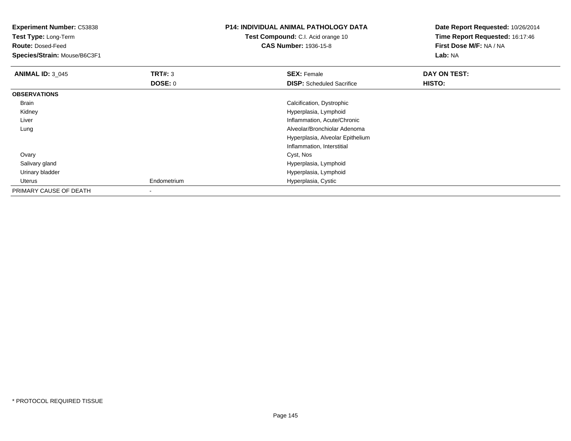| Experiment Number: C53838<br>Test Type: Long-Term<br><b>Route: Dosed-Feed</b> |                           | <b>P14: INDIVIDUAL ANIMAL PATHOLOGY DATA</b><br><b>Test Compound:</b> C.I. Acid orange 10<br><b>CAS Number: 1936-15-8</b> | Date Report Requested: 10/26/2014<br>Time Report Requested: 16:17:46<br>First Dose M/F: NA / NA |  |
|-------------------------------------------------------------------------------|---------------------------|---------------------------------------------------------------------------------------------------------------------------|-------------------------------------------------------------------------------------------------|--|
| Species/Strain: Mouse/B6C3F1                                                  |                           |                                                                                                                           | Lab: NA                                                                                         |  |
| <b>ANIMAL ID: 3_045</b>                                                       | TRT#: 3<br><b>DOSE: 0</b> | <b>SEX: Female</b><br><b>DISP:</b> Scheduled Sacrifice                                                                    | DAY ON TEST:<br><b>HISTO:</b>                                                                   |  |
| <b>OBSERVATIONS</b>                                                           |                           |                                                                                                                           |                                                                                                 |  |
| Brain                                                                         |                           | Calcification, Dystrophic                                                                                                 |                                                                                                 |  |
| Kidney                                                                        |                           | Hyperplasia, Lymphoid                                                                                                     |                                                                                                 |  |
| Liver                                                                         |                           | Inflammation, Acute/Chronic                                                                                               |                                                                                                 |  |
| Lung                                                                          |                           | Alveolar/Bronchiolar Adenoma                                                                                              |                                                                                                 |  |
|                                                                               |                           | Hyperplasia, Alveolar Epithelium                                                                                          |                                                                                                 |  |
|                                                                               |                           | Inflammation, Interstitial                                                                                                |                                                                                                 |  |
| Ovary                                                                         |                           | Cyst, Nos                                                                                                                 |                                                                                                 |  |
| Salivary gland                                                                |                           | Hyperplasia, Lymphoid                                                                                                     |                                                                                                 |  |
| Urinary bladder                                                               |                           | Hyperplasia, Lymphoid                                                                                                     |                                                                                                 |  |
| Uterus                                                                        | Endometrium               | Hyperplasia, Cystic                                                                                                       |                                                                                                 |  |
| PRIMARY CAUSE OF DEATH                                                        |                           |                                                                                                                           |                                                                                                 |  |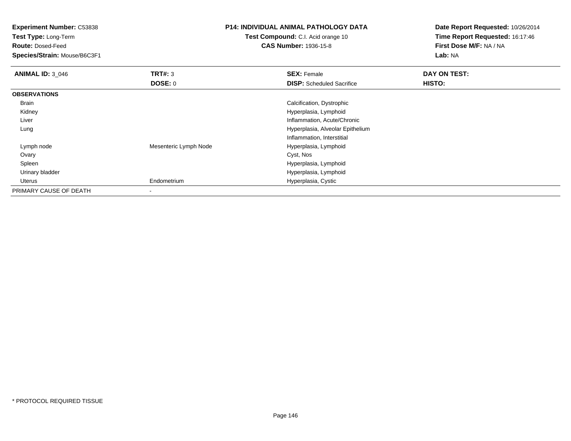**Experiment Number:** C53838

**Test Type:** Long-Term

**Route:** Dosed-Feed

**Species/Strain:** Mouse/B6C3F1

## **P14: INDIVIDUAL ANIMAL PATHOLOGY DATA**

**Test Compound:** C.I. Acid orange 10**CAS Number:** 1936-15-8

**Date Report Requested:** 10/26/2014**Time Report Requested:** 16:17:46**First Dose M/F:** NA / NA**Lab:** NA

| <b>ANIMAL ID: 3_046</b> | TRT#: 3               | <b>SEX: Female</b>               | DAY ON TEST:  |
|-------------------------|-----------------------|----------------------------------|---------------|
|                         | <b>DOSE: 0</b>        | <b>DISP:</b> Scheduled Sacrifice | <b>HISTO:</b> |
| <b>OBSERVATIONS</b>     |                       |                                  |               |
| Brain                   |                       | Calcification, Dystrophic        |               |
| Kidney                  |                       | Hyperplasia, Lymphoid            |               |
| Liver                   |                       | Inflammation, Acute/Chronic      |               |
| Lung                    |                       | Hyperplasia, Alveolar Epithelium |               |
|                         |                       | Inflammation, Interstitial       |               |
| Lymph node              | Mesenteric Lymph Node | Hyperplasia, Lymphoid            |               |
| Ovary                   |                       | Cyst, Nos                        |               |
| Spleen                  |                       | Hyperplasia, Lymphoid            |               |
| Urinary bladder         |                       | Hyperplasia, Lymphoid            |               |
| Uterus                  | Endometrium           | Hyperplasia, Cystic              |               |
| PRIMARY CAUSE OF DEATH  | -                     |                                  |               |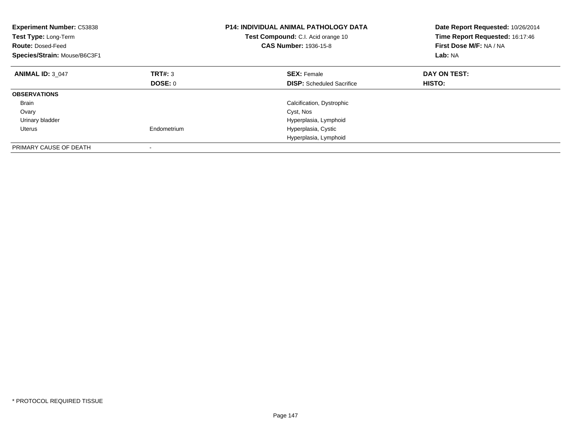| <b>Experiment Number: C53838</b><br>Test Type: Long-Term<br><b>Route: Dosed-Feed</b><br>Species/Strain: Mouse/B6C3F1 |             | <b>P14: INDIVIDUAL ANIMAL PATHOLOGY DATA</b><br>Test Compound: C.I. Acid orange 10<br><b>CAS Number: 1936-15-8</b> | Date Report Requested: 10/26/2014<br>Time Report Requested: 16:17:46<br>First Dose M/F: NA / NA<br>Lab: NA |
|----------------------------------------------------------------------------------------------------------------------|-------------|--------------------------------------------------------------------------------------------------------------------|------------------------------------------------------------------------------------------------------------|
| <b>ANIMAL ID: 3 047</b>                                                                                              | TRT#: 3     | <b>SEX: Female</b>                                                                                                 | DAY ON TEST:                                                                                               |
|                                                                                                                      | DOSE: 0     | <b>DISP:</b> Scheduled Sacrifice                                                                                   | <b>HISTO:</b>                                                                                              |
| <b>OBSERVATIONS</b>                                                                                                  |             |                                                                                                                    |                                                                                                            |
| <b>Brain</b>                                                                                                         |             | Calcification, Dystrophic                                                                                          |                                                                                                            |
| Ovary                                                                                                                |             | Cyst, Nos                                                                                                          |                                                                                                            |
| Urinary bladder                                                                                                      |             | Hyperplasia, Lymphoid                                                                                              |                                                                                                            |
| Uterus                                                                                                               | Endometrium | Hyperplasia, Cystic                                                                                                |                                                                                                            |
|                                                                                                                      |             | Hyperplasia, Lymphoid                                                                                              |                                                                                                            |
| PRIMARY CAUSE OF DEATH                                                                                               |             |                                                                                                                    |                                                                                                            |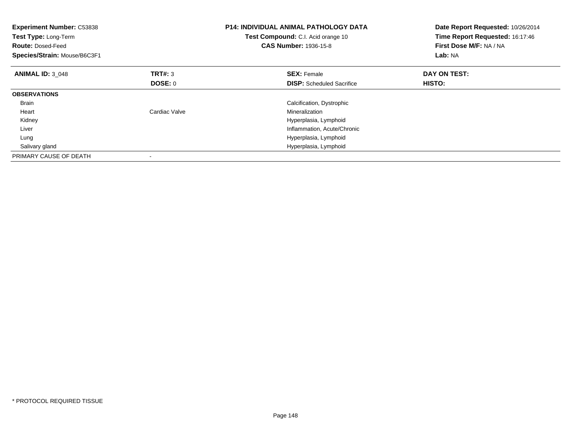| <b>Experiment Number: C53838</b><br>Test Type: Long-Term<br><b>Route: Dosed-Feed</b><br>Species/Strain: Mouse/B6C3F1 |                | <b>P14: INDIVIDUAL ANIMAL PATHOLOGY DATA</b><br>Test Compound: C.I. Acid orange 10<br><b>CAS Number: 1936-15-8</b> | Date Report Requested: 10/26/2014<br>Time Report Requested: 16:17:46<br>First Dose M/F: NA / NA<br>Lab: NA |
|----------------------------------------------------------------------------------------------------------------------|----------------|--------------------------------------------------------------------------------------------------------------------|------------------------------------------------------------------------------------------------------------|
| <b>ANIMAL ID: 3 048</b>                                                                                              | <b>TRT#: 3</b> | <b>SEX: Female</b>                                                                                                 | DAY ON TEST:                                                                                               |
|                                                                                                                      | DOSE: 0        | <b>DISP:</b> Scheduled Sacrifice                                                                                   | HISTO:                                                                                                     |
| <b>OBSERVATIONS</b>                                                                                                  |                |                                                                                                                    |                                                                                                            |
| <b>Brain</b>                                                                                                         |                | Calcification, Dystrophic                                                                                          |                                                                                                            |
| Heart                                                                                                                | Cardiac Valve  | Mineralization                                                                                                     |                                                                                                            |
| Kidney                                                                                                               |                | Hyperplasia, Lymphoid                                                                                              |                                                                                                            |
| Liver                                                                                                                |                | Inflammation, Acute/Chronic                                                                                        |                                                                                                            |
| Lung                                                                                                                 |                | Hyperplasia, Lymphoid                                                                                              |                                                                                                            |
| Salivary gland                                                                                                       |                | Hyperplasia, Lymphoid                                                                                              |                                                                                                            |
| PRIMARY CAUSE OF DEATH                                                                                               |                |                                                                                                                    |                                                                                                            |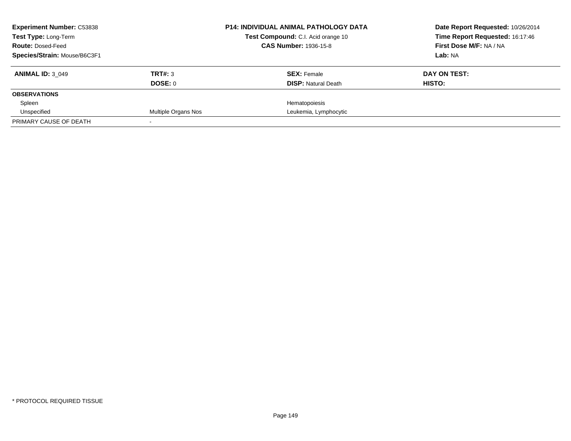| <b>Experiment Number: C53838</b>                        |                     | <b>P14: INDIVIDUAL ANIMAL PATHOLOGY DATA</b> | Date Report Requested: 10/26/2014                          |
|---------------------------------------------------------|---------------------|----------------------------------------------|------------------------------------------------------------|
| <b>Test Type: Long-Term</b><br><b>Route: Dosed-Feed</b> |                     | Test Compound: C.I. Acid orange 10           | Time Report Requested: 16:17:46<br>First Dose M/F: NA / NA |
|                                                         |                     | <b>CAS Number: 1936-15-8</b>                 |                                                            |
| Species/Strain: Mouse/B6C3F1                            |                     |                                              | Lab: NA                                                    |
| <b>ANIMAL ID: 3 049</b>                                 | TRT#: 3             | <b>SEX: Female</b>                           | DAY ON TEST:                                               |
|                                                         | <b>DOSE: 0</b>      | <b>DISP:</b> Natural Death                   | HISTO:                                                     |
| <b>OBSERVATIONS</b>                                     |                     |                                              |                                                            |
| Spleen                                                  |                     | Hematopoiesis                                |                                                            |
| Unspecified                                             | Multiple Organs Nos | Leukemia, Lymphocytic                        |                                                            |
| PRIMARY CAUSE OF DEATH                                  |                     |                                              |                                                            |